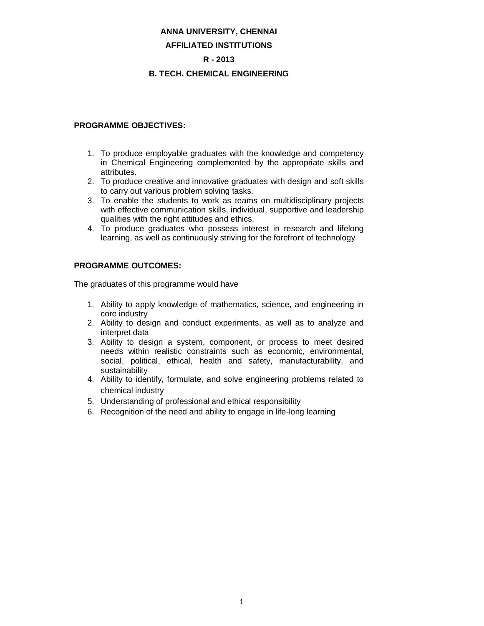#### **ANNA UNIVERSITY, CHENNAI**

#### **AFFILIATED INSTITUTIONS**

#### **R - 2013**

#### **B. TECH. CHEMICAL ENGINEERING**

#### **PROGRAMME OBJECTIVES:**

- 1. To produce employable graduates with the knowledge and competency in Chemical Engineering complemented by the appropriate skills and attributes.
- 2. To produce creative and innovative graduates with design and soft skills to carry out various problem solving tasks.
- 3. To enable the students to work as teams on multidisciplinary projects with effective communication skills, individual, supportive and leadership qualities with the right attitudes and ethics.
- 4. To produce graduates who possess interest in research and lifelong learning, as well as continuously striving for the forefront of technology.

#### **PROGRAMME OUTCOMES:**

The graduates of this programme would have

- 1. Ability to apply knowledge of mathematics, science, and engineering in core industry
- 2. Ability to design and conduct experiments, as well as to analyze and interpret data
- 3. Ability to design a system, component, or process to meet desired needs within realistic constraints such as economic, environmental, social, political, ethical, health and safety, manufacturability, and sustainability
- 4. Ability to identify, formulate, and solve engineering problems related to chemical industry
- 5. Understanding of professional and ethical responsibility
- 6. Recognition of the need and ability to engage in life-long learning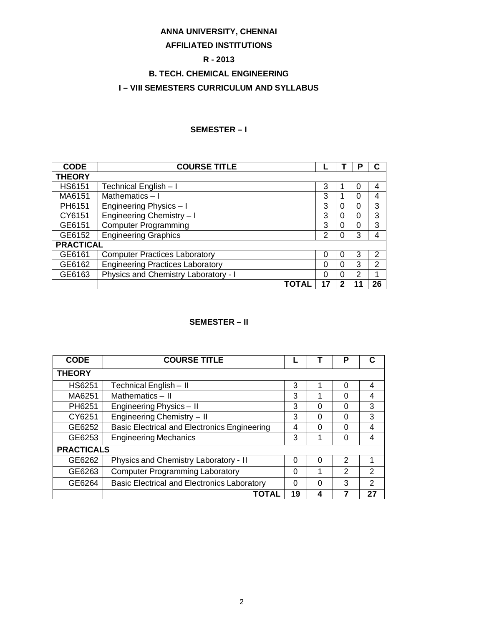# **ANNA UNIVERSITY, CHENNAI**

# **AFFILIATED INSTITUTIONS**

# **R - 2013**

# **B. TECH. CHEMICAL ENGINEERING**

### **I – VIII SEMESTERS CURRICULUM AND SYLLABUS**

#### **SEMESTER – I**

| <b>CODE</b>      | <b>COURSE TITLE</b>                     |    |   | o | С              |
|------------------|-----------------------------------------|----|---|---|----------------|
| <b>THEORY</b>    |                                         |    |   |   |                |
| <b>HS6151</b>    | Technical English - I                   | 3  |   | O | 4              |
| MA6151           | Mathematics-I                           | 3  |   | 0 | 4              |
| PH6151           | Engineering Physics - I                 | 3  | 0 | 0 | 3              |
| CY6151           | Engineering Chemistry - I               | 3  | 0 | 0 | 3              |
| GE6151           | <b>Computer Programming</b>             | 3  | 0 | 0 | 3              |
| GE6152           | <b>Engineering Graphics</b>             | 2  |   | 3 | 4              |
| <b>PRACTICAL</b> |                                         |    |   |   |                |
| GE6161           | <b>Computer Practices Laboratory</b>    | 0  |   | 3 | 2              |
| GE6162           | <b>Engineering Practices Laboratory</b> | 0  |   | 3 | $\overline{2}$ |
| GE6163           | Physics and Chemistry Laboratory - I    | 0  | 0 | 2 | 1              |
|                  | ΤΟΤΑΙ                                   | 17 |   |   | 26             |

### **SEMESTER – II**

| <b>CODE</b>       | <b>COURSE TITLE</b>                                 |          |   | Р              |                |
|-------------------|-----------------------------------------------------|----------|---|----------------|----------------|
| <b>THEORY</b>     |                                                     |          |   |                |                |
| <b>HS6251</b>     | Technical English - II                              | 3        |   | $\Omega$       | 4              |
| MA6251            | Mathematics - II                                    | 3        |   | 0              | 4              |
| PH6251            | Engineering Physics - II                            | 3        | 0 | $\Omega$       | 3              |
| CY6251            | Engineering Chemistry - II                          | 3        | 0 | 0              | 3              |
| GE6252            | <b>Basic Electrical and Electronics Engineering</b> | 4        | 0 | 0              | 4              |
| GE6253            | <b>Engineering Mechanics</b>                        | 3        | 1 | $\Omega$       | 4              |
| <b>PRACTICALS</b> |                                                     |          |   |                |                |
| GE6262            | Physics and Chemistry Laboratory - II               | $\Omega$ | 0 | $\mathfrak{p}$ |                |
| GE6263            | <b>Computer Programming Laboratory</b>              | $\Omega$ | 1 | $\mathcal{P}$  | $\mathcal{P}$  |
| GE6264            | <b>Basic Electrical and Electronics Laboratory</b>  | $\Omega$ | 0 | 3              | $\mathfrak{D}$ |
|                   | TOTAL                                               | 19       | 4 |                | 27             |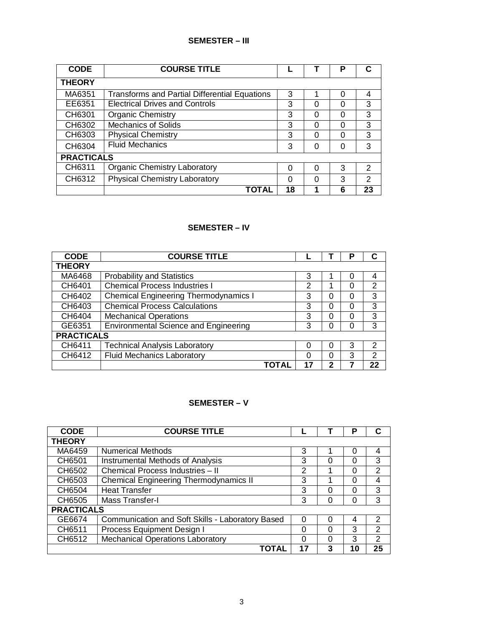### **SEMESTER – III**

| <b>CODE</b>       | <b>COURSE TITLE</b>                                  |          |          | Р        |               |
|-------------------|------------------------------------------------------|----------|----------|----------|---------------|
| <b>THEORY</b>     |                                                      |          |          |          |               |
| MA6351            | <b>Transforms and Partial Differential Equations</b> | 3        |          | 0        | 4             |
| EE6351            | <b>Electrical Drives and Controls</b>                | 3        | $\Omega$ | $\Omega$ | 3             |
| CH6301            | <b>Organic Chemistry</b>                             | 3        | $\Omega$ | $\Omega$ | 3             |
| CH6302            | Mechanics of Solids                                  | 3        | $\Omega$ | 0        | 3             |
| CH6303            | <b>Physical Chemistry</b>                            | 3        | $\Omega$ | 0        | 3             |
| CH6304            | <b>Fluid Mechanics</b>                               | 3        | 0        | 0        | 3             |
| <b>PRACTICALS</b> |                                                      |          |          |          |               |
| CH6311            | <b>Organic Chemistry Laboratory</b>                  | $\Omega$ | $\Omega$ | 3        | $\mathcal{P}$ |
| CH6312            | <b>Physical Chemistry Laboratory</b>                 | 0        | $\Omega$ | 3        | $\mathcal{P}$ |
|                   | TOTAL                                                | 18       |          | 6        | 23            |

# **SEMESTER – IV**

| <b>CODE</b>       | <b>COURSE TITLE</b>                          |    |          | Р | C              |
|-------------------|----------------------------------------------|----|----------|---|----------------|
| <b>THEORY</b>     |                                              |    |          |   |                |
| MA6468            | <b>Probability and Statistics</b>            | 3  |          |   | 4              |
| CH6401            | <b>Chemical Process Industries I</b>         | 2  |          | 0 | 2              |
| CH6402            | <b>Chemical Engineering Thermodynamics I</b> | 3  | 0        |   | 3              |
| CH6403            | <b>Chemical Process Calculations</b>         | 3  | 0        |   | 3              |
| CH6404            | <b>Mechanical Operations</b>                 | 3  | 0        |   | 3              |
| GE6351            | <b>Environmental Science and Engineering</b> | 3  | $\Omega$ |   | 3              |
| <b>PRACTICALS</b> |                                              |    |          |   |                |
| CH6411            | <b>Technical Analysis Laboratory</b>         | 0  | 0        | 3 | 2              |
| CH6412            | <b>Fluid Mechanics Laboratory</b>            | 0  | 0        | 3 | $\overline{2}$ |
|                   |                                              | 17 | 2        |   | 22             |

# **SEMESTER – V**

| <b>CODE</b>       | <b>COURSE TITLE</b>                              |          |          | Р  |                |
|-------------------|--------------------------------------------------|----------|----------|----|----------------|
| <b>THEORY</b>     |                                                  |          |          |    |                |
| MA6459            | <b>Numerical Methods</b>                         | 3        |          | 0  | 4              |
| CH6501            | Instrumental Methods of Analysis                 | 3        | 0        | 0  | 3              |
| CH6502            | Chemical Process Industries - II                 | 2        |          | 0  | $\overline{2}$ |
| CH6503            | <b>Chemical Engineering Thermodynamics II</b>    | 3        |          | 0  | 4              |
| CH6504            | <b>Heat Transfer</b>                             | 3        | 0        |    | 3              |
| CH6505            | Mass Transfer-I                                  | 3        | $\Omega$ |    | 3              |
| <b>PRACTICALS</b> |                                                  |          |          |    |                |
| GE6674            | Communication and Soft Skills - Laboratory Based | $\Omega$ | $\Omega$ | 4  | $\mathcal{P}$  |
| CH6511            | Process Equipment Design I                       | $\Omega$ | $\Omega$ | 3  | 2              |
| CH6512            | <b>Mechanical Operations Laboratory</b>          | $\Omega$ | $\Omega$ | 3  | $\mathcal{P}$  |
|                   | ΤΟΤΑΙ                                            | 17       | 3        | 10 | 25             |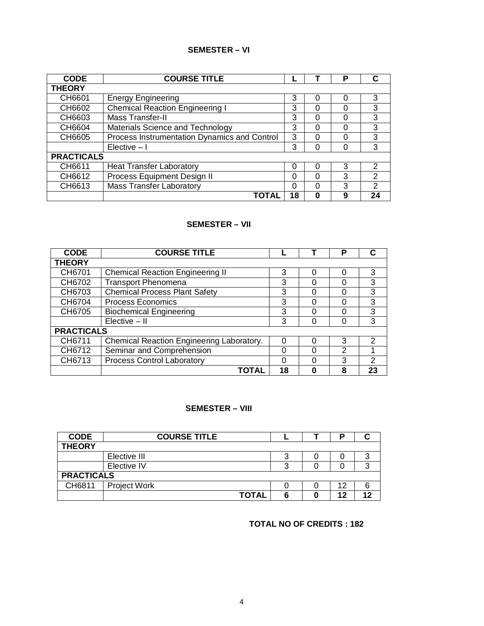# **SEMESTER – VI**

| <b>CODE</b>       | <b>COURSE TITLE</b>                          |    |   | Р |               |
|-------------------|----------------------------------------------|----|---|---|---------------|
| <b>THEORY</b>     |                                              |    |   |   |               |
| CH6601            | <b>Energy Engineering</b>                    | 3  | 0 |   | 3             |
| CH6602            | <b>Chemical Reaction Engineering I</b>       | 3  |   |   | 3             |
| CH6603            | Mass Transfer-II                             | 3  | 0 | Ω | 3             |
| CH6604            | Materials Science and Technology             | 3  |   |   | 3             |
| CH6605            | Process Instrumentation Dynamics and Control | 3  |   |   | 3             |
|                   | $Electric - I$                               | 3  |   |   | 3             |
| <b>PRACTICALS</b> |                                              |    |   |   |               |
| CH6611            | <b>Heat Transfer Laboratory</b>              | 0  |   | 3 | $\mathcal{P}$ |
| CH6612            | Process Equipment Design II                  | 0  |   | 3 | 2             |
| CH6613            | <b>Mass Transfer Laboratory</b>              | ი  |   | 3 | 2             |
|                   | <b>TOTAI</b>                                 | 18 |   | 9 | 24            |

### **SEMESTER – VII**

| <b>CODE</b>       | <b>COURSE TITLE</b>                       |    |   | P             |    |
|-------------------|-------------------------------------------|----|---|---------------|----|
| <b>THEORY</b>     |                                           |    |   |               |    |
| CH6701            | <b>Chemical Reaction Engineering II</b>   | 3  | 0 | Ω             | 3  |
| CH6702            | <b>Transport Phenomena</b>                | 3  | 0 |               | 3  |
| CH6703            | <b>Chemical Process Plant Safety</b>      | 3  | O | ∩             | 3  |
| CH6704            | <b>Process Economics</b>                  | 3  | 0 | Ω             | 3  |
| CH6705            | <b>Biochemical Engineering</b>            | 3  | O |               | 3  |
|                   | $E$ lective $-$ II                        | 3  | O |               | 3  |
| <b>PRACTICALS</b> |                                           |    |   |               |    |
| CH6711            | Chemical Reaction Engineering Laboratory. | O  |   | 3             | 2  |
| CH6712            | Seminar and Comprehension                 | 0  | 0 | $\mathcal{P}$ |    |
| CH6713            | <b>Process Control Laboratory</b>         | 0  | U | 3             | 2  |
|                   | ΤΟΤΑΙ                                     | 18 | O | 8             | 23 |

### **SEMESTER – VIII**

| <b>CODE</b>       | <b>COURSE TITLE</b> |   |    |    |
|-------------------|---------------------|---|----|----|
| <b>THEORY</b>     |                     |   |    |    |
|                   | Elective III        |   |    | 3  |
|                   | Elective IV         | ≏ |    | 3  |
| <b>PRACTICALS</b> |                     |   |    |    |
| CH6811            | <b>Project Work</b> |   | 12 | 6  |
|                   | <b>TOTAL</b>        |   | 12 | ィク |

**TOTAL NO OF CREDITS : 182**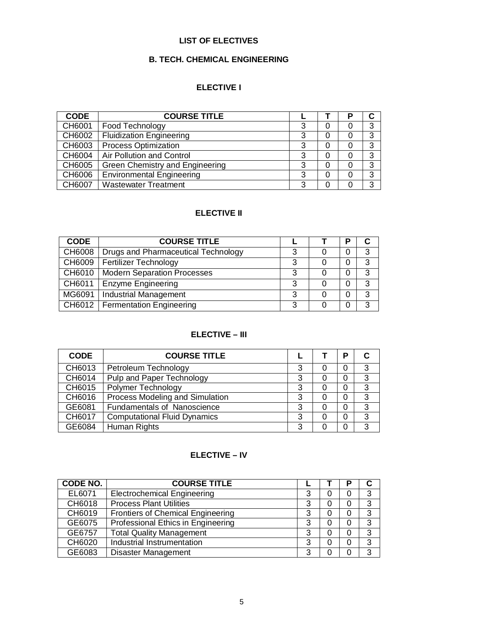#### **LIST OF ELECTIVES**

### **B. TECH. CHEMICAL ENGINEERING**

# **ELECTIVE I**

| <b>CODE</b> | <b>COURSE TITLE</b>              |   | P |   |
|-------------|----------------------------------|---|---|---|
| CH6001      | Food Technology                  | ົ |   | 3 |
| CH6002      | <b>Fluidization Engineering</b>  | 3 |   | 3 |
| CH6003      | <b>Process Optimization</b>      |   |   | 3 |
| CH6004      | Air Pollution and Control        |   |   | 3 |
| CH6005      | Green Chemistry and Engineering  | 3 |   | 3 |
| CH6006      | <b>Environmental Engineering</b> | 3 |   | 3 |
| CH6007      | <b>Wastewater Treatment</b>      | ว |   | ົ |

# **ELECTIVE II**

| <b>CODE</b> | <b>COURSE TITLE</b>                 |   | P |   |
|-------------|-------------------------------------|---|---|---|
| CH6008      | Drugs and Pharmaceutical Technology | ິ |   | 3 |
|             | CH6009   Fertilizer Technology      | ≏ | 0 | 3 |
| CH6010      | <b>Modern Separation Processes</b>  | ິ | 0 | 3 |
| CH6011      | <b>Enzyme Engineering</b>           | 3 | 0 | 3 |
| MG6091      | <b>Industrial Management</b>        | ິ | 0 | 3 |
|             | CH6012   Fermentation Engineering   | 2 |   | 2 |

# **ELECTIVE – III**

| <b>CODE</b> | <b>COURSE TITLE</b>                 |   |   | D |   |
|-------------|-------------------------------------|---|---|---|---|
| CH6013      | Petroleum Technology                | 3 | 0 |   | 3 |
| CH6014      | Pulp and Paper Technology           | 3 | 0 |   | 3 |
| CH6015      | Polymer Technology                  | 3 | 0 |   | 3 |
| CH6016      | Process Modeling and Simulation     | 3 |   |   | 3 |
| GE6081      | <b>Fundamentals of Nanoscience</b>  | 3 | 0 |   | 3 |
| CH6017      | <b>Computational Fluid Dynamics</b> | 3 | 0 |   | 3 |
| GE6084      | Human Rights                        | 3 |   |   | 3 |

#### **ELECTIVE – IV**

| <b>CODE NO.</b> | <b>COURSE TITLE</b>                      |   |   | Р        |   |
|-----------------|------------------------------------------|---|---|----------|---|
| EL6071          | <b>Electrochemical Engineering</b>       | 3 |   | 0        | 3 |
| CH6018          | <b>Process Plant Utilities</b>           |   | O | 0        | 3 |
| CH6019          | <b>Frontiers of Chemical Engineering</b> | 3 |   | 0        | 3 |
| GE6075          | Professional Ethics in Engineering       | 3 |   | 0        | 3 |
| GE6757          | <b>Total Quality Management</b>          | 3 |   | $\Omega$ | 3 |
| CH6020          | Industrial Instrumentation               | 3 |   | 0        | 3 |
| GE6083          | <b>Disaster Management</b>               | 3 |   |          | ર |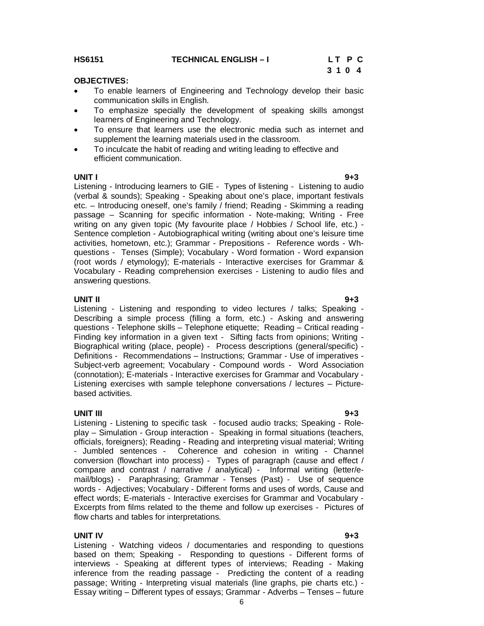**HS6151 TECHNICAL ENGLISH – I L T P C**

# **3 1 0 4**

# **OBJECTIVES:**

- To enable learners of Engineering and Technology develop their basic communication skills in English.
- To emphasize specially the development of speaking skills amongst learners of Engineering and Technology.
- To ensure that learners use the electronic media such as internet and supplement the learning materials used in the classroom.
- To inculcate the habit of reading and writing leading to effective and efficient communication.

**UNIT I 9+3** Listening - Introducing learners to GIE - Types of listening - Listening to audio (verbal & sounds); Speaking - Speaking about one's place, important festivals etc. – Introducing oneself, one's family / friend; Reading - Skimming a reading passage – Scanning for specific information - Note-making; Writing - Free writing on any given topic (My favourite place / Hobbies / School life, etc.) - Sentence completion - Autobiographical writing (writing about one's leisure time activities, hometown, etc.); Grammar - Prepositions - Reference words - Whquestions - Tenses (Simple); Vocabulary - Word formation - Word expansion (root words / etymology); E-materials - Interactive exercises for Grammar & Vocabulary - Reading comprehension exercises - Listening to audio files and answering questions.

#### **UNIT II 9+3**

Listening - Listening and responding to video lectures / talks; Speaking - Describing a simple process (filling a form, etc.) - Asking and answering questions - Telephone skills – Telephone etiquette; Reading – Critical reading - Finding key information in a given text - Sifting facts from opinions; Writing - Biographical writing (place, people) - Process descriptions (general/specific) - Definitions - Recommendations – Instructions; Grammar - Use of imperatives - Subject-verb agreement; Vocabulary - Compound words - Word Association (connotation); E-materials - Interactive exercises for Grammar and Vocabulary - Listening exercises with sample telephone conversations / lectures – Picturebased activities.

**UNIT III 9+3** Listening - Listening to specific task - focused audio tracks; Speaking - Roleplay – Simulation - Group interaction - Speaking in formal situations (teachers, officials, foreigners); Reading - Reading and interpreting visual material; Writing - Jumbled sentences - Coherence and cohesion in writing - Channel conversion (flowchart into process) - Types of paragraph (cause and effect / compare and contrast / narrative / analytical) - Informal writing (letter/email/blogs) - Paraphrasing; Grammar - Tenses (Past) - Use of sequence words - Adjectives; Vocabulary - Different forms and uses of words, Cause and effect words; E-materials - Interactive exercises for Grammar and Vocabulary - Excerpts from films related to the theme and follow up exercises - Pictures of flow charts and tables for interpretations.

#### **UNIT IV 9+3**

Listening - Watching videos / documentaries and responding to questions based on them; Speaking - Responding to questions - Different forms of interviews - Speaking at different types of interviews; Reading - Making inference from the reading passage - Predicting the content of a reading passage; Writing - Interpreting visual materials (line graphs, pie charts etc.) - Essay writing – Different types of essays; Grammar - Adverbs – Tenses – future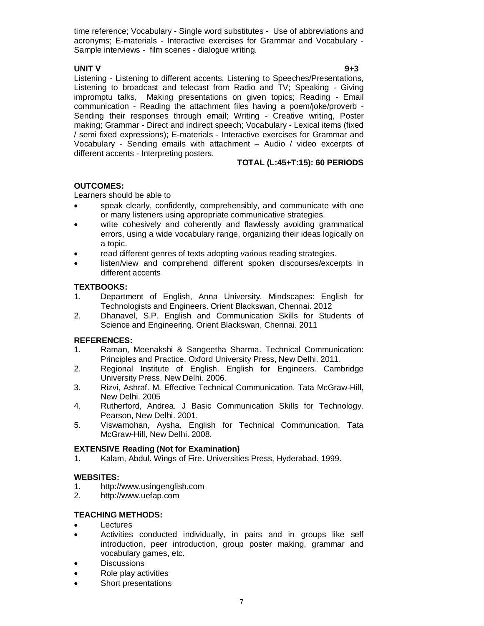time reference; Vocabulary - Single word substitutes - Use of abbreviations and acronyms; E-materials - Interactive exercises for Grammar and Vocabulary - Sample interviews - film scenes - dialogue writing.

#### **UNIT V 9+3**

Listening - Listening to different accents, Listening to Speeches/Presentations, Listening to broadcast and telecast from Radio and TV; Speaking - Giving impromptu talks, Making presentations on given topics; Reading - Email communication - Reading the attachment files having a poem/joke/proverb - Sending their responses through email; Writing - Creative writing, Poster making; Grammar - Direct and indirect speech; Vocabulary - Lexical items (fixed / semi fixed expressions); E-materials - Interactive exercises for Grammar and Vocabulary - Sending emails with attachment – Audio / video excerpts of different accents - Interpreting posters.

# **TOTAL (L:45+T:15): 60 PERIODS**

### **OUTCOMES:**

Learners should be able to

- speak clearly, confidently, comprehensibly, and communicate with one or many listeners using appropriate communicative strategies.
- write cohesively and coherently and flawlessly avoiding grammatical errors, using a wide vocabulary range, organizing their ideas logically on a topic.
- read different genres of texts adopting various reading strategies.
- listen/view and comprehend different spoken discourses/excerpts in different accents

#### **TEXTBOOKS:**

- 1. Department of English, Anna University. Mindscapes: English for Technologists and Engineers. Orient Blackswan, Chennai. 2012
- 2. Dhanavel, S.P. English and Communication Skills for Students of Science and Engineering. Orient Blackswan, Chennai. 2011

#### **REFERENCES:**

- 1. Raman, Meenakshi & Sangeetha Sharma. Technical Communication: Principles and Practice. Oxford University Press, New Delhi. 2011.
- 2. Regional Institute of English. English for Engineers. Cambridge University Press, New Delhi. 2006.
- 3. Rizvi, Ashraf. M. Effective Technical Communication. Tata McGraw-Hill, New Delhi. 2005
- 4. Rutherford, Andrea. J Basic Communication Skills for Technology. Pearson, New Delhi. 2001.
- 5. Viswamohan, Aysha. English for Technical Communication. Tata McGraw-Hill, New Delhi. 2008.

#### **EXTENSIVE Reading (Not for Examination)**

1. Kalam, Abdul. Wings of Fire. Universities Press, Hyderabad. 1999.

#### **WEBSITES:**

- 1. http://www.usingenglish.com<br>2. http://www.uefap.com
- http://www.uefap.com

#### **TEACHING METHODS:**

- Lectures
- Activities conducted individually, in pairs and in groups like self introduction, peer introduction, group poster making, grammar and vocabulary games, etc.
- **Discussions**
- Role play activities
- Short presentations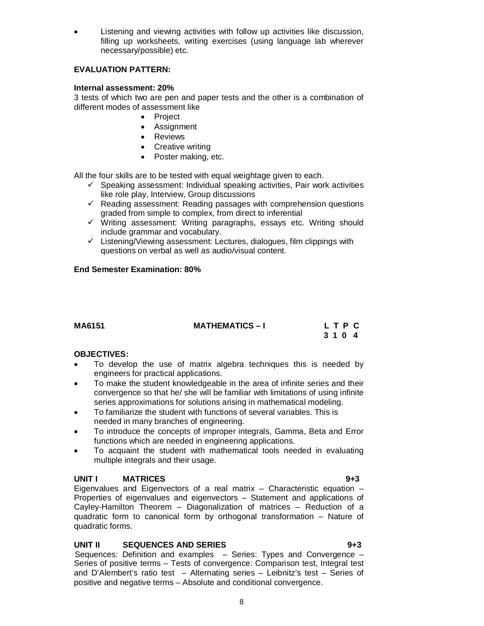Listening and viewing activities with follow up activities like discussion, filling up worksheets, writing exercises (using language lab wherever necessary/possible) etc.

### **EVALUATION PATTERN:**

#### **Internal assessment: 20%**

3 tests of which two are pen and paper tests and the other is a combination of different modes of assessment like

- Project
- Assignment
- Reviews
- Creative writing
- Poster making, etc.

All the four skills are to be tested with equal weightage given to each.

- $\checkmark$  Speaking assessment: Individual speaking activities, Pair work activities like role play, Interview, Group discussions
- $\checkmark$  Reading assessment: Reading passages with comprehension questions graded from simple to complex, from direct to inferential
- $\checkmark$  Writing assessment: Writing paragraphs, essays etc. Writing should include grammar and vocabulary.
- $\checkmark$  Listening/Viewing assessment: Lectures, dialogues, film clippings with questions on verbal as well as audio/visual content.

#### **End Semester Examination: 80%**

### **MA6151 MATHEMATICS – I L T P C 3 1 0 4**

#### **OBJECTIVES:**

- To develop the use of matrix algebra techniques this is needed by engineers for practical applications.
- To make the student knowledgeable in the area of infinite series and their convergence so that he/ she will be familiar with limitations of using infinite series approximations for solutions arising in mathematical modeling.
- To familiarize the student with functions of several variables. This is needed in many branches of engineering.
- To introduce the concepts of improper integrals, Gamma, Beta and Error functions which are needed in engineering applications.
- To acquaint the student with mathematical tools needed in evaluating multiple integrals and their usage.

#### **UNIT I MATRICES 9+3**

Eigenvalues and Eigenvectors of a real matrix – Characteristic equation – Properties of eigenvalues and eigenvectors – Statement and applications of Cayley-Hamilton Theorem – Diagonalization of matrices – Reduction of a quadratic form to canonical form by orthogonal transformation – Nature of quadratic forms.

#### **UNIT II SEQUENCES AND SERIES 9+3**

Sequences: Definition and examples – Series: Types and Convergence – Series of positive terms – Tests of convergence: Comparison test, Integral test and D'Alembert's ratio test – Alternating series – Leibnitz's test – Series of positive and negative terms – Absolute and conditional convergence.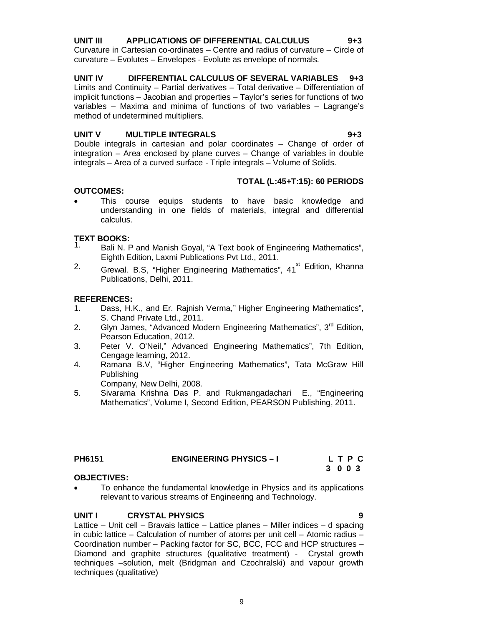# **UNIT III APPLICATIONS OF DIFFERENTIAL CALCULUS 9+3**

Curvature in Cartesian co-ordinates – Centre and radius of curvature – Circle of curvature – Evolutes – Envelopes - Evolute as envelope of normals.

# **UNIT IV DIFFERENTIAL CALCULUS OF SEVERAL VARIABLES 9+3**

Limits and Continuity – Partial derivatives – Total derivative – Differentiation of implicit functions – Jacobian and properties – Taylor's series for functions of two variables – Maxima and minima of functions of two variables – Lagrange's method of undetermined multipliers.

# **UNIT V MULTIPLE INTEGRALS 9+3**

Double integrals in cartesian and polar coordinates – Change of order of integration – Area enclosed by plane curves – Change of variables in double integrals – Area of a curved surface - Triple integrals – Volume of Solids.

# **TOTAL (L:45+T:15): 60 PERIODS**

# **OUTCOMES:**

 This course equips students to have basic knowledge and understanding in one fields of materials, integral and differential calculus.

# **TEXT BOOKS:**

- Bali N. P and Manish Goyal, "A Text book of Engineering Mathematics", Eighth Edition, Laxmi Publications Pvt Ltd., 2011.
- <sup>2</sup>. Grewal. B.S, "Higher Engineering Mathematics", 41<sup>st</sup> Edition, Khanna Publications, Delhi, 2011.

# **REFERENCES:**

- 1. Dass, H.K., and Er. Rajnish Verma," Higher Engineering Mathematics", S. Chand Private Ltd., 2011.
- 2. Glyn James, "Advanced Modern Engineering Mathematics", 3<sup>rd</sup> Edition, Pearson Education, 2012.
- 3. Peter V. O'Neil," Advanced Engineering Mathematics", 7th Edition, Cengage learning, 2012.
- 4. Ramana B.V, "Higher Engineering Mathematics", Tata McGraw Hill Publishing

Company, New Delhi, 2008.

5. Sivarama Krishna Das P. and Rukmangadachari E., "Engineering Mathematics", Volume I, Second Edition, PEARSON Publishing, 2011.

| <b>PH6151</b> | <b>ENGINEERING PHYSICS - I</b> | LTPC    |  |  |
|---------------|--------------------------------|---------|--|--|
|               |                                | 3 0 0 3 |  |  |

# **OBJECTIVES:**

 To enhance the fundamental knowledge in Physics and its applications relevant to various streams of Engineering and Technology.

# **UNIT I CRYSTAL PHYSICS 9**

Lattice – Unit cell – Bravais lattice – Lattice planes – Miller indices – d spacing in cubic lattice – Calculation of number of atoms per unit cell – Atomic radius – Coordination number – Packing factor for SC, BCC, FCC and HCP structures – Diamond and graphite structures (qualitative treatment) - Crystal growth techniques –solution, melt (Bridgman and Czochralski) and vapour growth techniques (qualitative)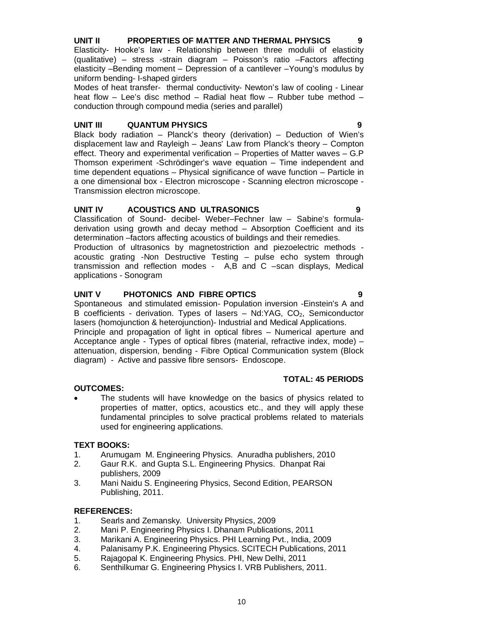# **UNIT II PROPERTIES OF MATTER AND THERMAL PHYSICS 9**

Elasticity- Hooke's law - Relationship between three modulii of elasticity (qualitative) – stress -strain diagram – Poisson's ratio –Factors affecting elasticity –Bending moment – Depression of a cantilever –Young's modulus by uniform bending- I-shaped girders

Modes of heat transfer- thermal conductivity- Newton's law of cooling - Linear heat flow – Lee's disc method – Radial heat flow – Rubber tube method – conduction through compound media (series and parallel)

#### **UNIT III QUANTUM PHYSICS 9**

Black body radiation – Planck's theory (derivation) – Deduction of Wien's displacement law and Rayleigh – Jeans' Law from Planck's theory – Compton effect. Theory and experimental verification – Properties of Matter waves – G.P Thomson experiment -Schrödinger's wave equation – Time independent and time dependent equations – Physical significance of wave function – Particle in a one dimensional box - Electron microscope - Scanning electron microscope - Transmission electron microscope.

#### **UNIT IV ACOUSTICS AND ULTRASONICS 9**

Classification of Sound- decibel- Weber–Fechner law – Sabine's formuladerivation using growth and decay method – Absorption Coefficient and its determination –factors affecting acoustics of buildings and their remedies.

Production of ultrasonics by magnetostriction and piezoelectric methods acoustic grating -Non Destructive Testing – pulse echo system through transmission and reflection modes - A,B and C –scan displays, Medical applications - Sonogram

#### **UNIT V PHOTONICS AND FIBRE OPTICS 9**

Spontaneous and stimulated emission- Population inversion -Einstein's A and B coefficients - derivation. Types of lasers  $-$  Nd:YAG, CO<sub>2</sub>, Semiconductor lasers (homojunction & heterojunction)- Industrial and Medical Applications.

Principle and propagation of light in optical fibres – Numerical aperture and Acceptance angle - Types of optical fibres (material, refractive index, mode) – attenuation, dispersion, bending - Fibre Optical Communication system (Block diagram) - Active and passive fibre sensors- Endoscope.

#### **OUTCOMES:**

 The students will have knowledge on the basics of physics related to properties of matter, optics, acoustics etc., and they will apply these fundamental principles to solve practical problems related to materials used for engineering applications.

#### **TEXT BOOKS:**

- 1. Arumugam M. Engineering Physics. Anuradha publishers, 2010
- 2. Gaur R.K. and Gupta S.L. Engineering Physics. Dhanpat Rai publishers, 2009
- 3. Mani Naidu S. Engineering Physics, Second Edition, PEARSON Publishing, 2011.

#### **REFERENCES:**

- 1. Searls and Zemansky. University Physics, 2009
- 2. Mani P. Engineering Physics I. Dhanam Publications, 2011
- 3. Marikani A. Engineering Physics. PHI Learning Pvt., India, 2009
- 4. Palanisamy P.K. Engineering Physics. SCITECH Publications, 2011
- 5. Rajagopal K. Engineering Physics. PHI, New Delhi, 2011
- 6. Senthilkumar G. Engineering Physics I. VRB Publishers, 2011.

# **TOTAL: 45 PERIODS**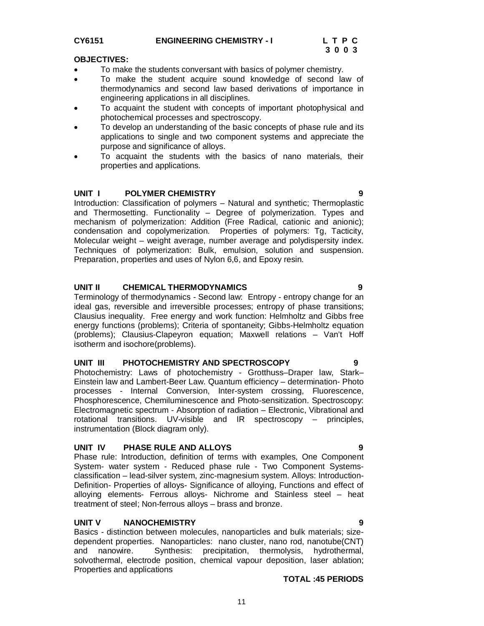# CY6151 **ENGINEERING CHEMISTRY - I** L T P C<br>3 0 0 3

#### **OBJECTIVES:**

- To make the students conversant with basics of polymer chemistry.
- To make the student acquire sound knowledge of second law of thermodynamics and second law based derivations of importance in engineering applications in all disciplines.
- To acquaint the student with concepts of important photophysical and photochemical processes and spectroscopy.
- To develop an understanding of the basic concepts of phase rule and its applications to single and two component systems and appreciate the purpose and significance of alloys.
- To acquaint the students with the basics of nano materials, their properties and applications.

### **UNIT I POLYMER CHEMISTRY 9**

Introduction: Classification of polymers – Natural and synthetic; Thermoplastic and Thermosetting. Functionality – Degree of polymerization. Types and mechanism of polymerization: Addition (Free Radical, cationic and anionic); condensation and copolymerization. Properties of polymers: Tg, Tacticity, Molecular weight – weight average, number average and polydispersity index. Techniques of polymerization: Bulk, emulsion, solution and suspension. Preparation, properties and uses of Nylon 6,6, and Epoxy resin.

#### **UNIT II CHEMICAL THERMODYNAMICS 9**

Terminology of thermodynamics - Second law: Entropy - entropy change for an ideal gas, reversible and irreversible processes; entropy of phase transitions; Clausius inequality. Free energy and work function: Helmholtz and Gibbs free energy functions (problems); Criteria of spontaneity; Gibbs-Helmholtz equation (problems); Clausius-Clapeyron equation; Maxwell relations – Van't Hoff isotherm and isochore(problems).

#### **UNIT III PHOTOCHEMISTRY AND SPECTROSCOPY 9**

Photochemistry: Laws of photochemistry - Grotthuss–Draper law, Stark– Einstein law and Lambert-Beer Law. Quantum efficiency – determination- Photo processes - Internal Conversion, Inter-system crossing, Fluorescence, Phosphorescence, Chemiluminescence and Photo-sensitization. Spectroscopy: Electromagnetic spectrum - Absorption of radiation – Electronic, Vibrational and rotational transitions. UV-visible and IR spectroscopy – principles, instrumentation (Block diagram only).

#### **UNIT IV PHASE RULE AND ALLOYS 9**

Phase rule: Introduction, definition of terms with examples, One Component System- water system - Reduced phase rule - Two Component Systemsclassification – lead-silver system, zinc-magnesium system. Alloys: Introduction-Definition- Properties of alloys- Significance of alloying, Functions and effect of alloying elements- Ferrous alloys- Nichrome and Stainless steel – heat treatment of steel; Non-ferrous alloys – brass and bronze.

#### **UNIT V NANOCHEMISTRY 9**

Basics - distinction between molecules, nanoparticles and bulk materials; sizedependent properties. Nanoparticles: nano cluster, nano rod, nanotube(CNT) and nanowire. Synthesis: precipitation, thermolysis, hydrothermal, solvothermal, electrode position, chemical vapour deposition, laser ablation; Properties and applications

#### **TOTAL :45 PERIODS**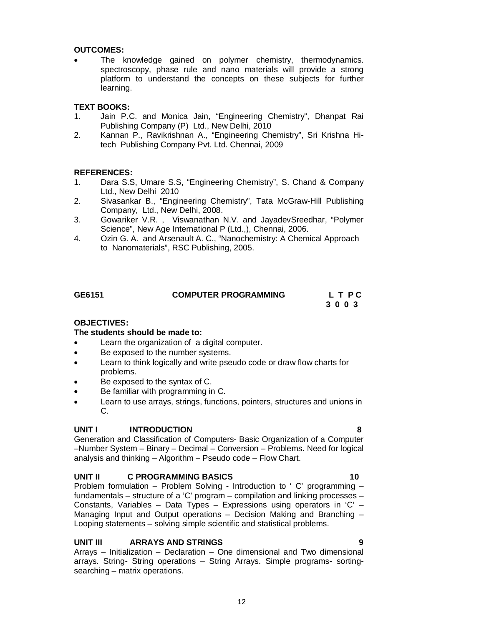**OUTCOMES:**

 The knowledge gained on polymer chemistry, thermodynamics. spectroscopy, phase rule and nano materials will provide a strong platform to understand the concepts on these subjects for further learning.

#### **TEXT BOOKS:**

- 1. Jain P.C. and Monica Jain, "Engineering Chemistry", Dhanpat Rai Publishing Company (P) Ltd., New Delhi, 2010
- 2. Kannan P., Ravikrishnan A., "Engineering Chemistry", Sri Krishna Hitech Publishing Company Pvt. Ltd. Chennai, 2009

#### **REFERENCES:**

- 1. Dara S.S, Umare S.S, "Engineering Chemistry", S. Chand & Company Ltd., New Delhi 2010
- 2. Sivasankar B., "Engineering Chemistry", Tata McGraw-Hill Publishing Company, Ltd., New Delhi, 2008.
- 3. Gowariker V.R. , Viswanathan N.V. and JayadevSreedhar, "Polymer Science", New Age International P (Ltd.,), Chennai, 2006.
- 4. Ozin G. A. and Arsenault A. C., "Nanochemistry: A Chemical Approach to Nanomaterials", RSC Publishing, 2005.

| GE6151 | <b>COMPUTER PROGRAMMING</b> | L T PC |
|--------|-----------------------------|--------|
|        |                             | 3003   |

#### **OBJECTIVES:**

#### **The students should be made to:**

- Learn the organization of a digital computer.
- Be exposed to the number systems.
- Learn to think logically and write pseudo code or draw flow charts for problems.
- Be exposed to the syntax of C.
- Be familiar with programming in C.
- Learn to use arrays, strings, functions, pointers, structures and unions in C.

#### **UNIT I INTRODUCTION 8**

Generation and Classification of Computers- Basic Organization of a Computer –Number System – Binary – Decimal – Conversion – Problems. Need for logical analysis and thinking – Algorithm – Pseudo code – Flow Chart.

#### **UNIT II C PROGRAMMING BASICS** 10

Problem formulation – Problem Solving - Introduction to ' C' programming – fundamentals – structure of a 'C' program – compilation and linking processes – Constants, Variables – Data Types – Expressions using operators in 'C' – Managing Input and Output operations – Decision Making and Branching – Looping statements – solving simple scientific and statistical problems.

#### **UNIT III ARRAYS AND STRINGS 9**

Arrays – Initialization – Declaration – One dimensional and Two dimensional arrays. String- String operations – String Arrays. Simple programs- sortingsearching – matrix operations.

12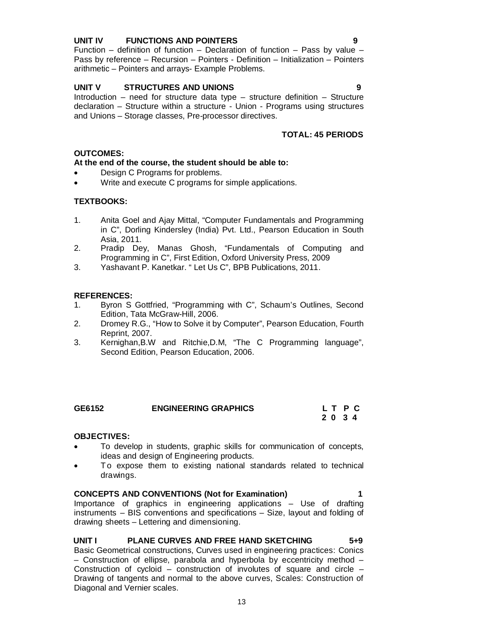#### **UNIT IV FUNCTIONS AND POINTERS 9**

Function – definition of function – Declaration of function – Pass by value – Pass by reference – Recursion – Pointers - Definition – Initialization – Pointers arithmetic – Pointers and arrays- Example Problems.

# **UNIT V STRUCTURES AND UNIONS 9**

Introduction – need for structure data type – structure definition – Structure declaration – Structure within a structure - Union - Programs using structures and Unions – Storage classes, Pre-processor directives.

# **TOTAL: 45 PERIODS**

### **OUTCOMES:**

### **At the end of the course, the student should be able to:**

- Design C Programs for problems.
- Write and execute C programs for simple applications.

### **TEXTBOOKS:**

- 1. Anita Goel and Ajay Mittal, "Computer Fundamentals and Programming in C", Dorling Kindersley (India) Pvt. Ltd., Pearson Education in South Asia, 2011.
- 2. Pradip Dey, Manas Ghosh, "Fundamentals of Computing and Programming in C", First Edition, Oxford University Press, 2009
- 3. Yashavant P. Kanetkar. " Let Us C", BPB Publications, 2011.

# **REFERENCES:**

- 1. Byron S Gottfried, "Programming with C", Schaum's Outlines, Second Edition, Tata McGraw-Hill, 2006.
- 2. Dromey R.G., "How to Solve it by Computer", Pearson Education, Fourth Reprint, 2007.
- 3. Kernighan,B.W and Ritchie,D.M, "The C Programming language", Second Edition, Pearson Education, 2006.

| GE6152 | <b>ENGINEERING GRAPHICS</b> | LT PC |  |
|--------|-----------------------------|-------|--|
|        |                             | 2034  |  |

#### **OBJECTIVES:**

- To develop in students, graphic skills for communication of concepts, ideas and design of Engineering products.
- To expose them to existing national standards related to technical drawings.

**CONCEPTS AND CONVENTIONS (Not for Examination) 1** Importance of graphics in engineering applications – Use of drafting instruments – BIS conventions and specifications – Size, layout and folding of drawing sheets – Lettering and dimensioning.

#### **UNIT I PLANE CURVES AND FREE HAND SKETCHING 5+9** Basic Geometrical constructions, Curves used in engineering practices: Conics – Construction of ellipse, parabola and hyperbola by eccentricity method – Construction of cycloid – construction of involutes of square and circle – Drawing of tangents and normal to the above curves, Scales: Construction of Diagonal and Vernier scales.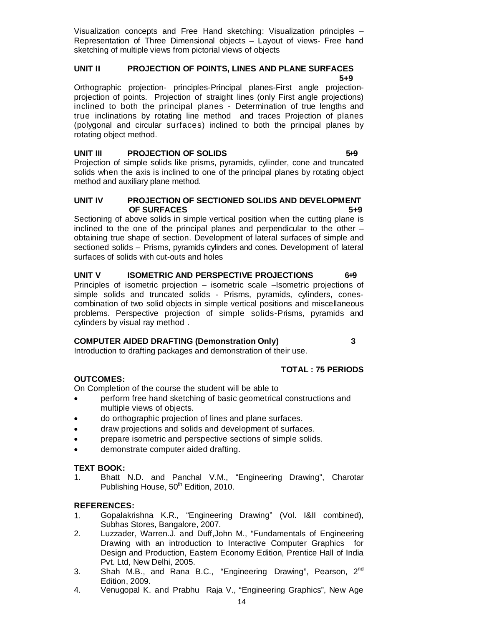Visualization concepts and Free Hand sketching: Visualization principles – Representation of Three Dimensional objects – Layout of views- Free hand sketching of multiple views from pictorial views of objects

#### **UNIT II PROJECTION OF POINTS, LINES AND PLANE SURFACES 5+9**

Orthographic projection- principles-Principal planes-First angle projectionprojection of points. Projection of straight lines (only First angle projections) inclined to both the principal planes - Determination of true lengths and true inclinations by rotating line method and traces Projection of planes (polygonal and circular surfaces) inclined to both the principal planes by rotating object method.

#### **UNIT III PROJECTION OF SOLIDS** 5.9

Projection of simple solids like prisms, pyramids, cylinder, cone and truncated solids when the axis is inclined to one of the principal planes by rotating object method and auxiliary plane method.

#### **UNIT IV PROJECTION OF SECTIONED SOLIDS AND DEVELOPMENT OF SURFACES** 5+9

Sectioning of above solids in simple vertical position when the cutting plane is inclined to the one of the principal planes and perpendicular to the other – obtaining true shape of section. Development of lateral surfaces of simple and sectioned solids – Prisms, pyramids cylinders and cones. Development of lateral surfaces of solids with cut-outs and holes

# **UNIT V ISOMETRIC AND PERSPECTIVE PROJECTIONS** 6+9

Principles of isometric projection – isometric scale –Isometric projections of simple solids and truncated solids - Prisms, pyramids, cylinders, conescombination of two solid objects in simple vertical positions and miscellaneous problems. Perspective projection of simple solids-Prisms, pyramids and cylinders by visual ray method .

#### **COMPUTER AIDED DRAFTING (Demonstration Only) 3**

Introduction to drafting packages and demonstration of their use.

# **TOTAL : 75 PERIODS**

#### **OUTCOMES:**

On Completion of the course the student will be able to

- perform free hand sketching of basic geometrical constructions and multiple views of objects.
- do orthographic projection of lines and plane surfaces.
- draw projections and solids and development of surfaces.
- prepare isometric and perspective sections of simple solids.
- demonstrate computer aided drafting.

#### **TEXT BOOK:**

1. Bhatt N.D. and Panchal V.M., "Engineering Drawing", Charotar Publishing House, 50<sup>th</sup> Edition, 2010.

#### **REFERENCES:**

- 1. Gopalakrishna K.R., "Engineering Drawing" (Vol. I&II combined), Subhas Stores, Bangalore, 2007.
- 2. Luzzader, Warren.J. and Duff,John M., "Fundamentals of Engineering Drawing with an introduction to Interactive Computer Graphics for Design and Production, Eastern Economy Edition, Prentice Hall of India Pvt. Ltd, New Delhi, 2005.
- 3. Shah M.B., and Rana B.C., "Engineering Drawing", Pearson, 2<sup>nd</sup> Edition, 2009.
- 4. Venugopal K. and Prabhu Raja V., "Engineering Graphics", New Age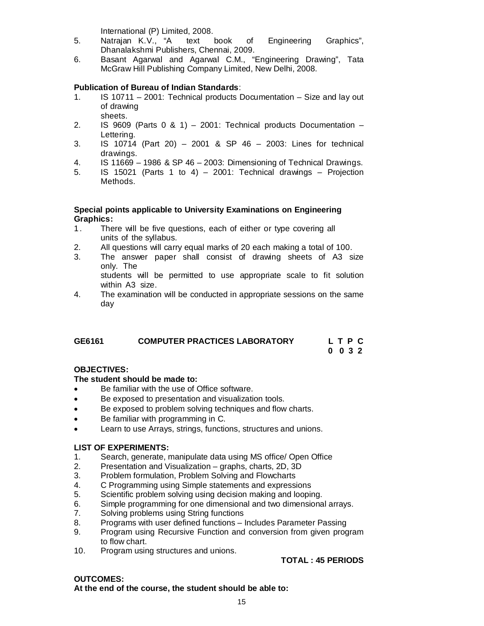International (P) Limited, 2008.

- 5. Natrajan K.V., "A text book of Engineering Graphics", Dhanalakshmi Publishers, Chennai, 2009.
- 6. Basant Agarwal and Agarwal C.M., "Engineering Drawing", Tata McGraw Hill Publishing Company Limited, New Delhi, 2008.

### **Publication of Bureau of Indian Standards**:

- 1. IS 10711 2001: Technical products Documentation Size and lay out of drawing sheets.
- 2. IS  $9609$  (Parts 0 & 1) 2001: Technical products Documentation Lettering.
- 3. IS 10714 (Part 20) 2001 & SP 46 2003: Lines for technical drawings.
- 4. IS 11669 1986 & SP 46 2003: Dimensioning of Technical Drawings.
- 5. IS 15021 (Parts 1 to 4) 2001: Technical drawings Projection Methods.

#### **Special points applicable to University Examinations on Engineering Graphics:**

- 1. There will be five questions, each of either or type covering all units of the syllabus.
- 2. All questions will carry equal marks of 20 each making a total of 100.
- 3. The answer paper shall consist of drawing sheets of A3 size only. The

 students will be permitted to use appropriate scale to fit solution within A3 size.

4. The examination will be conducted in appropriate sessions on the same day

| GE6161 | <b>COMPUTER PRACTICES LABORATORY</b> | L T P C         |
|--------|--------------------------------------|-----------------|
|        |                                      | $0 \t0 \t3 \t2$ |

# **OBJECTIVES:**

#### **The student should be made to:**

- Be familiar with the use of Office software.
- Be exposed to presentation and visualization tools.
- Be exposed to problem solving techniques and flow charts.
- Be familiar with programming in C.
- Learn to use Arrays, strings, functions, structures and unions.

#### **LIST OF EXPERIMENTS:**

- 1. Search, generate, manipulate data using MS office/ Open Office
- 2. Presentation and Visualization graphs, charts, 2D, 3D<br>3. Problem formulation. Problem Solving and Flowcharts
- 3. Problem formulation, Problem Solving and Flowcharts
- 4. C Programming using Simple statements and expressions
- 
- 5. Scientific problem solving using decision making and looping.<br>6. Simple programming for one dimensional and two dimensional 6. Simple programming for one dimensional and two dimensional arrays.<br>7. Solving problems using String functions
- Solving problems using String functions
- 8. Programs with user defined functions Includes Parameter Passing
- 9. Program using Recursive Function and conversion from given program to flow chart.
- 10. Program using structures and unions.

# **TOTAL : 45 PERIODS**

# **OUTCOMES:**

**At the end of the course, the student should be able to:**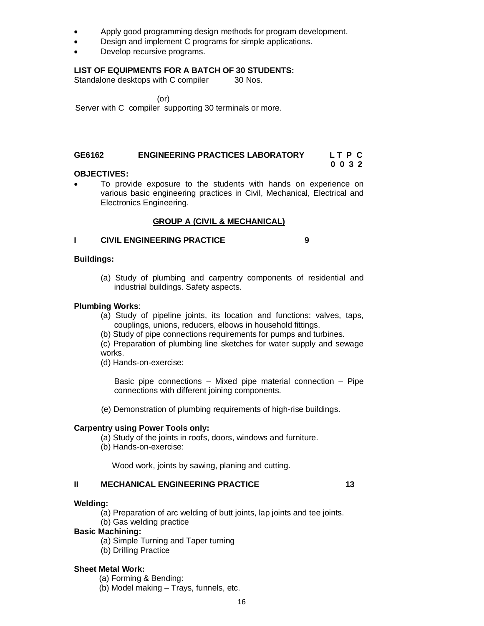- Apply good programming design methods for program development.
- Design and implement C programs for simple applications.
- Develop recursive programs.

#### **LIST OF EQUIPMENTS FOR A BATCH OF 30 STUDENTS:**

Standalone desktops with C compiler 30 Nos.

 (or) Server with C compiler supporting 30 terminals or more.

### **GE6162 ENGINEERING PRACTICES LABORATORY L T P C**

#### **0 0 3 2 0 0 3 2 OBJECTIVES:**

 To provide exposure to the students with hands on experience on various basic engineering practices in Civil, Mechanical, Electrical and Electronics Engineering.

#### **GROUP A (CIVIL & MECHANICAL)**

#### **I CIVIL ENGINEERING PRACTICE 9**

#### **Buildings:**

(a) Study of plumbing and carpentry components of residential and industrial buildings. Safety aspects.

#### **Plumbing Works**:

- (a) Study of pipeline joints, its location and functions: valves, taps, couplings, unions, reducers, elbows in household fittings.
- (b) Study of pipe connections requirements for pumps and turbines.

(c) Preparation of plumbing line sketches for water supply and sewage works.

(d) Hands-on-exercise:

Basic pipe connections – Mixed pipe material connection – Pipe connections with different joining components.

(e) Demonstration of plumbing requirements of high-rise buildings.

#### **Carpentry using Power Tools only:**

- (a) Study of the joints in roofs, doors, windows and furniture.
- (b) Hands-on-exercise:

Wood work, joints by sawing, planing and cutting.

#### **II MECHANICAL ENGINEERING PRACTICE 13**

#### **Welding:**

- (a) Preparation of arc welding of butt joints, lap joints and tee joints.
- (b) Gas welding practice

#### **Basic Machining:**

- (a) Simple Turning and Taper turning
- (b) Drilling Practice

#### **Sheet Metal Work:**

(a) Forming & Bending:

(b) Model making – Trays, funnels, etc.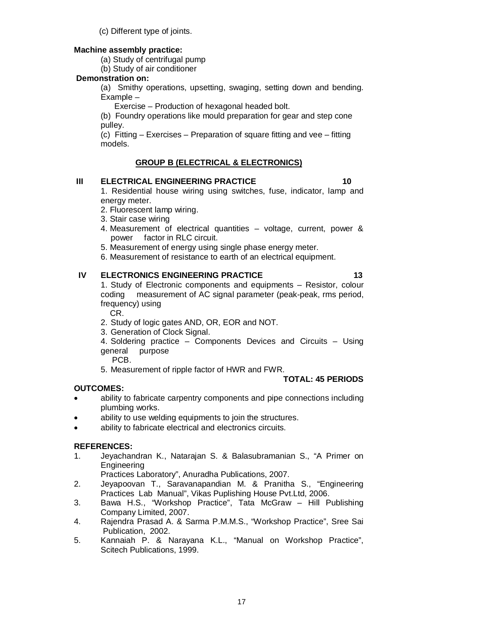(c) Different type of joints.

### **Machine assembly practice:**

(a) Study of centrifugal pump

(b) Study of air conditioner

# **Demonstration on:**

(a) Smithy operations, upsetting, swaging, setting down and bending. Example –

Exercise – Production of hexagonal headed bolt.

(b) Foundry operations like mould preparation for gear and step cone pulley.

(c) Fitting – Exercises – Preparation of square fitting and vee – fitting models.

# **GROUP B (ELECTRICAL & ELECTRONICS)**

### **III ELECTRICAL ENGINEERING PRACTICE 10**

1. Residential house wiring using switches, fuse, indicator, lamp and energy meter.

- 2. Fluorescent lamp wiring.
- 3. Stair case wiring
- 4. Measurement of electrical quantities voltage, current, power & power factor in RLC circuit.
- 5. Measurement of energy using single phase energy meter.
- 6. Measurement of resistance to earth of an electrical equipment.

# **IV ELECTRONICS ENGINEERING PRACTICE 13** 13

1. Study of Electronic components and equipments – Resistor, colour coding measurement of AC signal parameter (peak-peak, rms period, frequency) using

CR.

- 2. Study of logic gates AND, OR, EOR and NOT.
- 3. Generation of Clock Signal.
- 4. Soldering practice Components Devices and Circuits Using general purpose

PCB.

5. Measurement of ripple factor of HWR and FWR.

# **TOTAL: 45 PERIODS**

# **OUTCOMES:**

- ability to fabricate carpentry components and pipe connections including plumbing works.
- ability to use welding equipments to join the structures.
- ability to fabricate electrical and electronics circuits.

# **REFERENCES:**

1. Jeyachandran K., Natarajan S. & Balasubramanian S., "A Primer on **Engineering** 

Practices Laboratory", Anuradha Publications, 2007.

- 2. Jeyapoovan T., Saravanapandian M. & Pranitha S., "Engineering Practices Lab Manual", Vikas Puplishing House Pvt.Ltd, 2006.
- 3. Bawa H.S., "Workshop Practice", Tata McGraw Hill Publishing Company Limited, 2007.
- 4. Rajendra Prasad A. & Sarma P.M.M.S., "Workshop Practice", Sree Sai Publication, 2002.
- 5. Kannaiah P. & Narayana K.L., "Manual on Workshop Practice", Scitech Publications, 1999.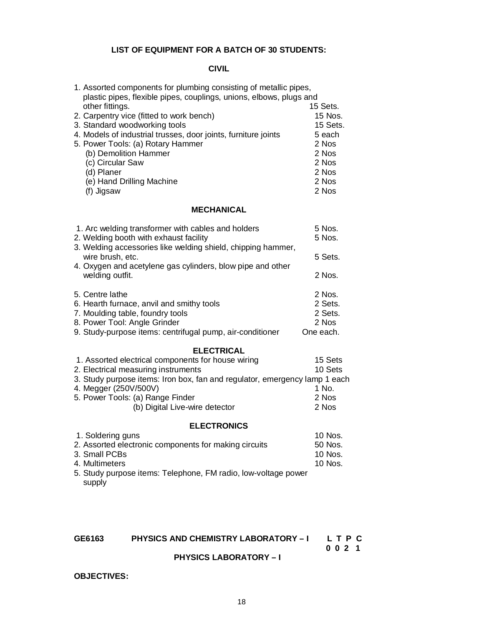## **LIST OF EQUIPMENT FOR A BATCH OF 30 STUDENTS:**

### **CIVIL**

| 1. Assorted components for plumbing consisting of metallic pipes,<br>plastic pipes, flexible pipes, couplings, unions, elbows, plugs and |          |
|------------------------------------------------------------------------------------------------------------------------------------------|----------|
| other fittings.                                                                                                                          | 15 Sets. |
| 2. Carpentry vice (fitted to work bench)                                                                                                 | 15 Nos.  |
| 3. Standard woodworking tools                                                                                                            | 15 Sets. |
| 4. Models of industrial trusses, door joints, furniture joints                                                                           | 5 each   |
| 5. Power Tools: (a) Rotary Hammer                                                                                                        | 2 Nos    |
| (b) Demolition Hammer                                                                                                                    | 2 Nos    |
| (c) Circular Saw                                                                                                                         | 2 Nos    |
| (d) Planer                                                                                                                               | 2 Nos    |
| (e) Hand Drilling Machine                                                                                                                | 2 Nos    |
| (f) Jigsaw                                                                                                                               | 2 Nos    |
|                                                                                                                                          |          |

### **MECHANICAL**

| 1. Arc welding transformer with cables and holders                               | 5 Nos.    |
|----------------------------------------------------------------------------------|-----------|
| 2. Welding booth with exhaust facility                                           | 5 Nos.    |
| 3. Welding accessories like welding shield, chipping hammer,<br>wire brush, etc. | 5 Sets.   |
| 4. Oxygen and acetylene gas cylinders, blow pipe and other<br>welding outfit.    | 2 Nos.    |
| 5. Centre lathe                                                                  | 2 Nos.    |
| 6. Hearth furnace, anvil and smithy tools                                        | 2 Sets.   |
| 7. Moulding table, foundry tools                                                 | 2 Sets.   |
| 8. Power Tool: Angle Grinder                                                     | 2 Nos     |
| 9. Study-purpose items: centrifugal pump, air-conditioner                        | One each. |

#### **ELECTRICAL**

| 1. Assorted electrical components for house wiring                         | 15 Sets |
|----------------------------------------------------------------------------|---------|
| 2. Electrical measuring instruments                                        | 10 Sets |
| 3. Study purpose items: Iron box, fan and regulator, emergency lamp 1 each |         |
| 4. Megger (250V/500V)                                                      | 1 No.   |
| 5. Power Tools: (a) Range Finder                                           | 2 Nos   |
| (b) Digital Live-wire detector                                             | 2 Nos   |
|                                                                            |         |

#### **ELECTRONICS**

| 1. Soldering guns                                              | 10 Nos. |
|----------------------------------------------------------------|---------|
| 2. Assorted electronic components for making circuits          | 50 Nos. |
| 3. Small PCBs                                                  | 10 Nos. |
| 4. Multimeters                                                 | 10 Nos. |
| 5. Study purpose items: Telephone, FM radio, low-voltage power |         |
| supply                                                         |         |

# **GE6163 PHYSICS AND CHEMISTRY LABORATORY – I L T P C**

 **0 0 2 1**

# **PHYSICS LABORATORY – I**

#### **OBJECTIVES:**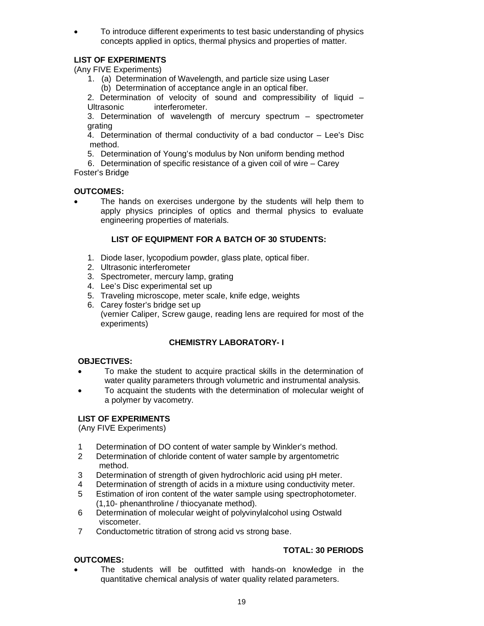To introduce different experiments to test basic understanding of physics concepts applied in optics, thermal physics and properties of matter.

# **LIST OF EXPERIMENTS**

(Any FIVE Experiments)

 1. (a) Determination of Wavelength, and particle size using Laser (b) Determination of acceptance angle in an optical fiber.

2. Determination of velocity of sound and compressibility of liquid – Ultrasonic interferometer.

3. Determination of wavelength of mercury spectrum – spectrometer grating

4. Determination of thermal conductivity of a bad conductor – Lee's Disc method.

5. Determination of Young's modulus by Non uniform bending method

 6. Determination of specific resistance of a given coil of wire – Carey Foster's Bridge

#### **OUTCOMES:**

 The hands on exercises undergone by the students will help them to apply physics principles of optics and thermal physics to evaluate engineering properties of materials.

### **LIST OF EQUIPMENT FOR A BATCH OF 30 STUDENTS:**

- 1. Diode laser, lycopodium powder, glass plate, optical fiber.
- 2. Ultrasonic interferometer
- 3. Spectrometer, mercury lamp, grating
- 4. Lee's Disc experimental set up
- 5. Traveling microscope, meter scale, knife edge, weights
- 6. Carey foster's bridge set up (vernier Caliper, Screw gauge, reading lens are required for most of the experiments)

#### **CHEMISTRY LABORATORY- I**

#### **OBJECTIVES:**

- To make the student to acquire practical skills in the determination of water quality parameters through volumetric and instrumental analysis.
- To acquaint the students with the determination of molecular weight of a polymer by vacometry.

#### **LIST OF EXPERIMENTS**

(Any FIVE Experiments)

- 1 Determination of DO content of water sample by Winkler's method.
- 2 Determination of chloride content of water sample by argentometric method.
- 3 Determination of strength of given hydrochloric acid using pH meter.
- 4 Determination of strength of acids in a mixture using conductivity meter.
- 5 Estimation of iron content of the water sample using spectrophotometer. (1,10- phenanthroline / thiocyanate method).
- 6 Determination of molecular weight of polyvinylalcohol using Ostwald viscometer.
- 7 Conductometric titration of strong acid vs strong base.

#### **OUTCOMES:**

# **TOTAL: 30 PERIODS**

 The students will be outfitted with hands-on knowledge in the quantitative chemical analysis of water quality related parameters.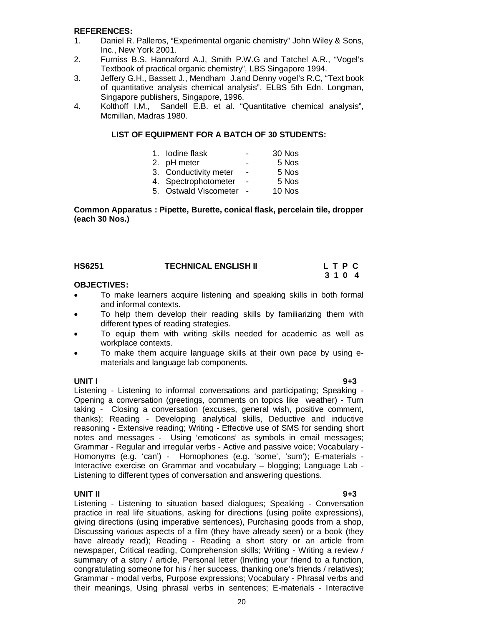#### **REFERENCES:**

- 1. Daniel R. Palleros, "Experimental organic chemistry" John Wiley & Sons, Inc., New York 2001.
- 2. Furniss B.S. Hannaford A.J, Smith P.W.G and Tatchel A.R., "Vogel's Textbook of practical organic chemistry", LBS Singapore 1994.
- 3. Jeffery G.H., Bassett J., Mendham J.and Denny vogel's R.C, "Text book of quantitative analysis chemical analysis", ELBS 5th Edn. Longman, Singapore publishers, Singapore, 1996.
- 4. Kolthoff I.M., Sandell E.B. et al. "Quantitative chemical analysis", Mcmillan, Madras 1980.

#### **LIST OF EQUIPMENT FOR A BATCH OF 30 STUDENTS:**

| 1. Iodine flask       | $\overline{\phantom{0}}$ | 30 Nos |
|-----------------------|--------------------------|--------|
| 2. pH meter           | $\blacksquare$           | 5 Nos  |
| 3. Conductivity meter | ٠                        | 5 Nos  |
| 4. Spectrophotometer  | $\blacksquare$           | 5 Nos  |
| 5. Ostwald Viscometer |                          | 10 Nos |

#### **Common Apparatus : Pipette, Burette, conical flask, percelain tile, dropper (each 30 Nos.)**

| <b>HS6251</b> | <b>TECHNICAL ENGLISH II</b> | LTPC |  |
|---------------|-----------------------------|------|--|
|               |                             | 3104 |  |

#### **OBJECTIVES:**

- To make learners acquire listening and speaking skills in both formal and informal contexts.
- To help them develop their reading skills by familiarizing them with different types of reading strategies.
- To equip them with writing skills needed for academic as well as workplace contexts.
- To make them acquire language skills at their own pace by using ematerials and language lab components.

**UNIT I 9+3** Listening - Listening to informal conversations and participating; Speaking - Opening a conversation (greetings, comments on topics like weather) - Turn taking - Closing a conversation (excuses, general wish, positive comment, thanks); Reading - Developing analytical skills, Deductive and inductive reasoning - Extensive reading; Writing - Effective use of SMS for sending short notes and messages - Using 'emoticons' as symbols in email messages; Grammar - Regular and irregular verbs - Active and passive voice; Vocabulary - Homonyms (e.g. 'can') - Homophones (e.g. 'some', 'sum'); E-materials - Interactive exercise on Grammar and vocabulary – blogging; Language Lab - Listening to different types of conversation and answering questions.

**UNIT II 9+3** Listening - Listening to situation based dialogues; Speaking - Conversation practice in real life situations, asking for directions (using polite expressions), giving directions (using imperative sentences), Purchasing goods from a shop, Discussing various aspects of a film (they have already seen) or a book (they have already read); Reading - Reading a short story or an article from newspaper, Critical reading, Comprehension skills; Writing - Writing a review / summary of a story / article, Personal letter (Inviting your friend to a function, congratulating someone for his / her success, thanking one's friends / relatives); Grammar - modal verbs, Purpose expressions; Vocabulary - Phrasal verbs and their meanings, Using phrasal verbs in sentences; E-materials - Interactive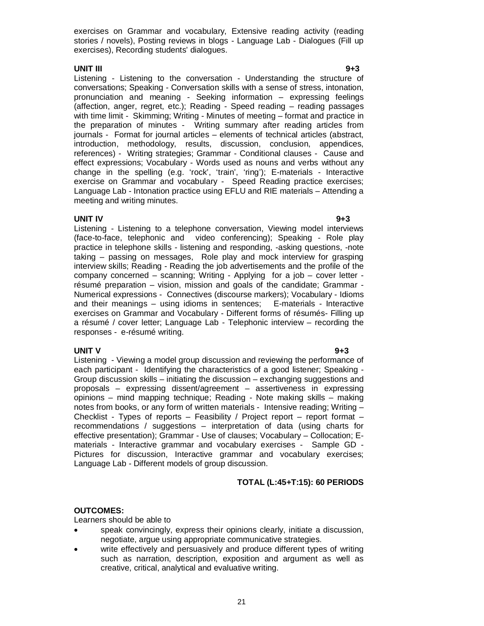exercises on Grammar and vocabulary, Extensive reading activity (reading stories / novels), Posting reviews in blogs - Language Lab - Dialogues (Fill up exercises), Recording students' dialogues.

#### **UNIT III 9+3**

Listening - Listening to the conversation - Understanding the structure of conversations; Speaking - Conversation skills with a sense of stress, intonation, pronunciation and meaning - Seeking information – expressing feelings (affection, anger, regret, etc.); Reading - Speed reading – reading passages with time limit - Skimming; Writing - Minutes of meeting – format and practice in the preparation of minutes - Writing summary after reading articles from journals - Format for journal articles – elements of technical articles (abstract, introduction, methodology, results, discussion, conclusion, appendices, references) - Writing strategies; Grammar - Conditional clauses - Cause and effect expressions; Vocabulary - Words used as nouns and verbs without any change in the spelling (e.g. 'rock', 'train', 'ring'); E-materials - Interactive exercise on Grammar and vocabulary - Speed Reading practice exercises; Language Lab - Intonation practice using EFLU and RIE materials – Attending a meeting and writing minutes.

#### **UNIT IV 9+3**

Listening - Listening to a telephone conversation, Viewing model interviews (face-to-face, telephonic and video conferencing); Speaking - Role play practice in telephone skills - listening and responding, -asking questions, -note taking – passing on messages, Role play and mock interview for grasping interview skills; Reading - Reading the job advertisements and the profile of the company concerned – scanning; Writing - Applying for a job – cover letter résumé preparation – vision, mission and goals of the candidate; Grammar - Numerical expressions - Connectives (discourse markers); Vocabulary - Idioms and their meanings – using idioms in sentences; E-materials - Interactive exercises on Grammar and Vocabulary - Different forms of résumés- Filling up a résumé / cover letter; Language Lab - Telephonic interview – recording the responses - e-résumé writing.

### **UNIT V 9+3**

Listening - Viewing a model group discussion and reviewing the performance of each participant - Identifying the characteristics of a good listener; Speaking - Group discussion skills – initiating the discussion – exchanging suggestions and proposals – expressing dissent/agreement – assertiveness in expressing opinions – mind mapping technique; Reading - Note making skills – making notes from books, or any form of written materials - Intensive reading; Writing – Checklist - Types of reports – Feasibility / Project report – report format – recommendations / suggestions – interpretation of data (using charts for effective presentation); Grammar - Use of clauses; Vocabulary – Collocation; Ematerials - Interactive grammar and vocabulary exercises - Sample GD - Pictures for discussion, Interactive grammar and vocabulary exercises; Language Lab - Different models of group discussion.

# **TOTAL (L:45+T:15): 60 PERIODS**

#### **OUTCOMES:**

Learners should be able to

- speak convincingly, express their opinions clearly, initiate a discussion, negotiate, argue using appropriate communicative strategies.
- write effectively and persuasively and produce different types of writing such as narration, description, exposition and argument as well as creative, critical, analytical and evaluative writing.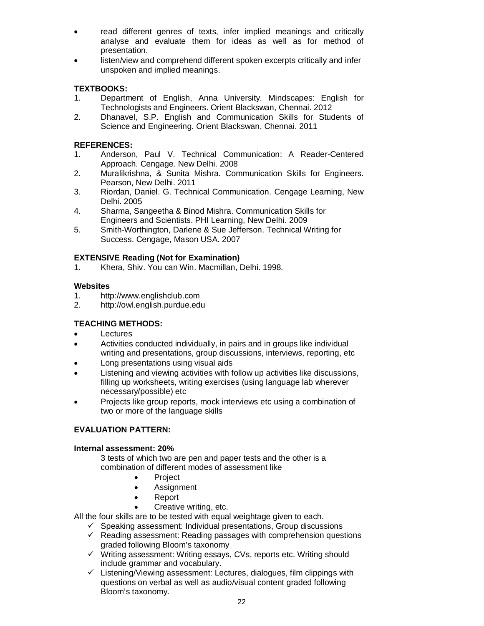- read different genres of texts, infer implied meanings and critically analyse and evaluate them for ideas as well as for method of presentation.
- listen/view and comprehend different spoken excerpts critically and infer unspoken and implied meanings.

# **TEXTBOOKS:**

- 1. Department of English, Anna University. Mindscapes: English for Technologists and Engineers. Orient Blackswan, Chennai. 2012
- 2. Dhanavel, S.P. English and Communication Skills for Students of Science and Engineering. Orient Blackswan, Chennai. 2011

### **REFERENCES:**

- 1. Anderson, Paul V. Technical Communication: A Reader-Centered Approach. Cengage. New Delhi. 2008
- 2. Muralikrishna, & Sunita Mishra. Communication Skills for Engineers. Pearson, New Delhi. 2011
- 3. Riordan, Daniel. G. Technical Communication. Cengage Learning, New Delhi. 2005
- 4. Sharma, Sangeetha & Binod Mishra. Communication Skills for Engineers and Scientists. PHI Learning, New Delhi. 2009
- 5. Smith-Worthington, Darlene & Sue Jefferson. Technical Writing for Success. Cengage, Mason USA. 2007

### **EXTENSIVE Reading (Not for Examination)**

1. Khera, Shiv. You can Win. Macmillan, Delhi. 1998.

# Websites<br>1 http

- 1. http://www.englishclub.com<br>2. http://owl.english.purdue.edu
- 2. http://owl.english.purdue.edu

# **TEACHING METHODS:**

- Lectures
- Activities conducted individually, in pairs and in groups like individual writing and presentations, group discussions, interviews, reporting, etc
- Long presentations using visual aids
- Listening and viewing activities with follow up activities like discussions, filling up worksheets, writing exercises (using language lab wherever necessary/possible) etc
- Projects like group reports, mock interviews etc using a combination of two or more of the language skills

#### **EVALUATION PATTERN:**

#### **Internal assessment: 20%**

3 tests of which two are pen and paper tests and the other is a combination of different modes of assessment like

- Project
- Assignment
- Report
- Creative writing, etc.

All the four skills are to be tested with equal weightage given to each.

- $\checkmark$  Speaking assessment: Individual presentations, Group discussions
- $\checkmark$  Reading assessment: Reading passages with comprehension questions graded following Bloom's taxonomy
- $\checkmark$  Writing assessment: Writing essays, CVs, reports etc. Writing should include grammar and vocabulary.
- $\checkmark$  Listening/Viewing assessment: Lectures, dialogues, film clippings with questions on verbal as well as audio/visual content graded following Bloom's taxonomy.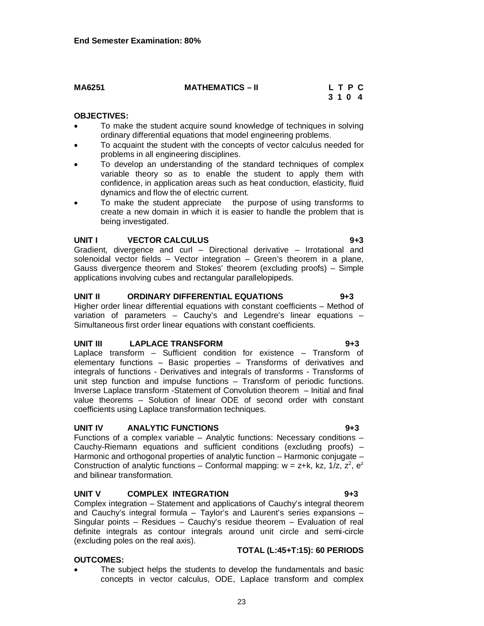23

#### **OBJECTIVES:**

• To make the student acquire sound knowledge of techniques in solving ordinary differential equations that model engineering problems.

 **3 1 0 4**

- To acquaint the student with the concepts of vector calculus needed for problems in all engineering disciplines.
- To develop an understanding of the standard techniques of complex variable theory so as to enable the student to apply them with confidence, in application areas such as heat conduction, elasticity, fluid dynamics and flow the of electric current.
- To make the student appreciate the purpose of using transforms to create a new domain in which it is easier to handle the problem that is being investigated.

#### **UNIT I VECTOR CALCULUS 9+3**

Gradient, divergence and curl – Directional derivative – Irrotational and solenoidal vector fields – Vector integration – Green's theorem in a plane, Gauss divergence theorem and Stokes' theorem (excluding proofs) – Simple applications involving cubes and rectangular parallelopipeds.

#### **UNIT II ORDINARY DIFFERENTIAL EQUATIONS 9+3**

Higher order linear differential equations with constant coefficients – Method of variation of parameters – Cauchy's and Legendre's linear equations – Simultaneous first order linear equations with constant coefficients.

#### **UNIT III LAPLACE TRANSFORM 9+3**

Laplace transform – Sufficient condition for existence – Transform of elementary functions – Basic properties – Transforms of derivatives and integrals of functions - Derivatives and integrals of transforms - Transforms of unit step function and impulse functions – Transform of periodic functions. Inverse Laplace transform -Statement of Convolution theorem – Initial and final value theorems – Solution of linear ODE of second order with constant coefficients using Laplace transformation techniques.

#### **UNIT IV ANALYTIC FUNCTIONS 9+3**

Functions of a complex variable – Analytic functions: Necessary conditions – Cauchy-Riemann equations and sufficient conditions (excluding proofs) – Harmonic and orthogonal properties of analytic function – Harmonic conjugate – Construction of analytic functions – Conformal mapping:  $w = z+k$ , kz, 1/z,  $z^2$ ,  $e^z$ and bilinear transformation.

#### **UNIT V COMPLEX INTEGRATION 9+3**

Complex integration – Statement and applications of Cauchy's integral theorem and Cauchy's integral formula – Taylor's and Laurent's series expansions – Singular points – Residues – Cauchy's residue theorem – Evaluation of real definite integrals as contour integrals around unit circle and semi-circle (excluding poles on the real axis).

#### **OUTCOMES:**

 The subject helps the students to develop the fundamentals and basic concepts in vector calculus, ODE, Laplace transform and complex

**TOTAL (L:45+T:15): 60 PERIODS**

# **MA6251 MATHEMATICS – II L T P C**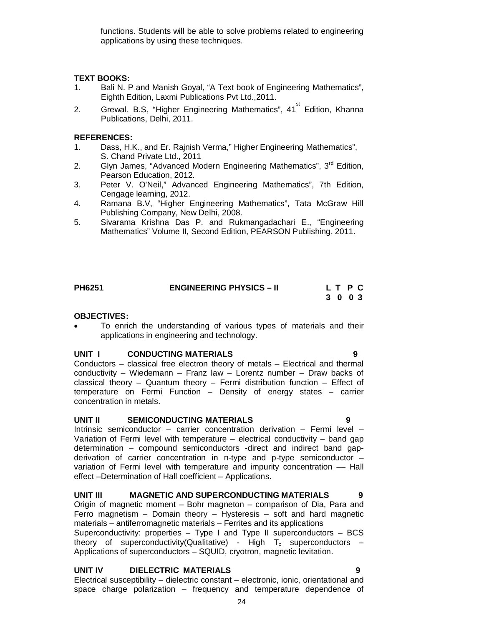functions. Students will be able to solve problems related to engineering applications by using these techniques.

#### **TEXT BOOKS:**

- 1. Bali N. P and Manish Goyal, "A Text book of Engineering Mathematics", Eighth Edition, Laxmi Publications Pvt Ltd.,2011.
- 2. Grewal. B.S, "Higher Engineering Mathematics", 41<sup>st</sup> Edition, Khanna Publications, Delhi, 2011.

#### **REFERENCES:**

- 1. Dass, H.K., and Er. Rajnish Verma," Higher Engineering Mathematics", S. Chand Private Ltd., 2011
- 2. Glyn James, "Advanced Modern Engineering Mathematics", 3<sup>rd</sup> Edition, Pearson Education, 2012.
- 3. Peter V. O'Neil," Advanced Engineering Mathematics", 7th Edition, Cengage learning, 2012.
- 4. Ramana B.V, "Higher Engineering Mathematics", Tata McGraw Hill Publishing Company, New Delhi, 2008.
- 5. Sivarama Krishna Das P. and Rukmangadachari E., "Engineering Mathematics" Volume II, Second Edition, PEARSON Publishing, 2011.

| <b>PH6251</b> | <b>ENGINEERING PHYSICS - II</b> | L T P C |  |  |
|---------------|---------------------------------|---------|--|--|
|               |                                 | 3 0 0 3 |  |  |

#### **OBJECTIVES:**

 To enrich the understanding of various types of materials and their applications in engineering and technology.

#### **UNIT I CONDUCTING MATERIALS 9**

Conductors – classical free electron theory of metals – Electrical and thermal conductivity – Wiedemann – Franz law – Lorentz number – Draw backs of classical theory – Quantum theory – Fermi distribution function – Effect of temperature on Fermi Function – Density of energy states – carrier concentration in metals.

#### **UNIT II SEMICONDUCTING MATERIALS 9**

Intrinsic semiconductor – carrier concentration derivation – Fermi level – Variation of Fermi level with temperature – electrical conductivity – band gap determination – compound semiconductors -direct and indirect band gapderivation of carrier concentration in n-type and p-type semiconductor – variation of Fermi level with temperature and impurity concentration -- Hall effect –Determination of Hall coefficient – Applications.

# **UNIT III MAGNETIC AND SUPERCONDUCTING MATERIALS 9**

Origin of magnetic moment – Bohr magneton – comparison of Dia, Para and Ferro magnetism  $-$  Domain theory  $-$  Hysteresis  $-$  soft and hard magnetic materials – antiferromagnetic materials – Ferrites and its applications Superconductivity: properties  $-$  Type I and Type II superconductors  $-$  BCS theory of superconductivity(Qualitative) - High  $T_c$  superconductors – Applications of superconductors – SQUID, cryotron, magnetic levitation.

#### **UNIT IV DIELECTRIC MATERIALS 9**

Electrical susceptibility – dielectric constant – electronic, ionic, orientational and space charge polarization – frequency and temperature dependence of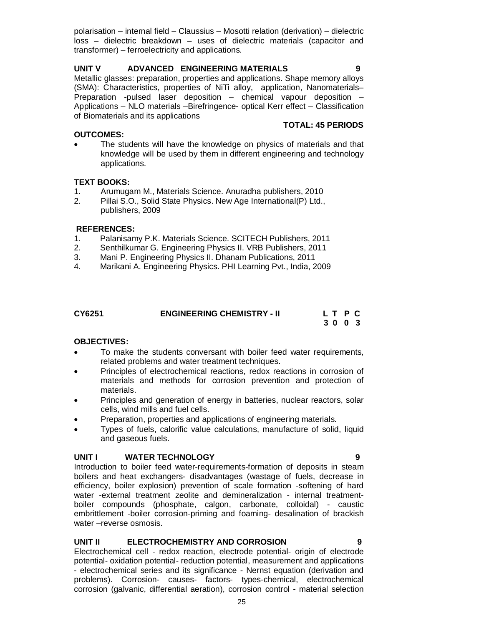polarisation – internal field – Claussius – Mosotti relation (derivation) – dielectric loss – dielectric breakdown – uses of dielectric materials (capacitor and transformer) – ferroelectricity and applications.

### **UNIT V ADVANCED ENGINEERING MATERIALS 9**

Metallic glasses: preparation, properties and applications. Shape memory alloys (SMA): Characteristics, properties of NiTi alloy, application, Nanomaterials– Preparation -pulsed laser deposition – chemical vapour deposition – Applications – NLO materials –Birefringence- optical Kerr effect – Classification of Biomaterials and its applications

**TOTAL: 45 PERIODS** 

#### **OUTCOMES:**

 The students will have the knowledge on physics of materials and that knowledge will be used by them in different engineering and technology applications.

#### **TEXT BOOKS:**

- 1. Arumugam M., Materials Science. Anuradha publishers, 2010
- 2. Pillai S.O., Solid State Physics. New Age International(P) Ltd., publishers, 2009

#### **REFERENCES:**

- 1. Palanisamy P.K. Materials Science. SCITECH Publishers, 2011
- 2. Senthilkumar G. Engineering Physics II. VRB Publishers, 2011
- 3. Mani P. Engineering Physics II. Dhanam Publications, 2011
- 4. Marikani A. Engineering Physics. PHI Learning Pvt., India, 2009

| CY6251 | <b>ENGINEERING CHEMISTRY - II</b> | LT P C |
|--------|-----------------------------------|--------|
|        |                                   | 3003   |

#### **OBJECTIVES:**

- To make the students conversant with boiler feed water requirements, related problems and water treatment techniques.
- Principles of electrochemical reactions, redox reactions in corrosion of materials and methods for corrosion prevention and protection of materials.
- Principles and generation of energy in batteries, nuclear reactors, solar cells, wind mills and fuel cells.
- Preparation, properties and applications of engineering materials.
- Types of fuels, calorific value calculations, manufacture of solid, liquid and gaseous fuels.

#### **UNIT I WATER TECHNOLOGY 9**

Introduction to boiler feed water-requirements-formation of deposits in steam boilers and heat exchangers- disadvantages (wastage of fuels, decrease in efficiency, boiler explosion) prevention of scale formation -softening of hard water -external treatment zeolite and demineralization - internal treatmentboiler compounds (phosphate, calgon, carbonate, colloidal) - caustic embrittlement -boiler corrosion-priming and foaming- desalination of brackish water –reverse osmosis.

#### **UNIT II ELECTROCHEMISTRY AND CORROSION 9**

Electrochemical cell - redox reaction, electrode potential- origin of electrode potential- oxidation potential- reduction potential, measurement and applications - electrochemical series and its significance - Nernst equation (derivation and problems). Corrosion- causes- factors- types-chemical, electrochemical corrosion (galvanic, differential aeration), corrosion control - material selection

25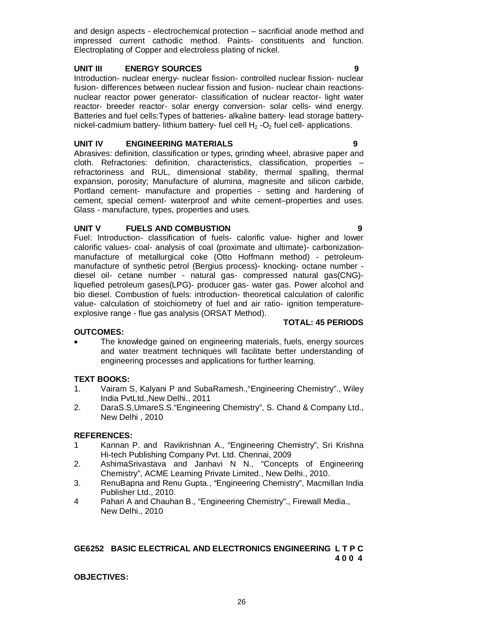and design aspects - electrochemical protection – sacrificial anode method and impressed current cathodic method. Paints- constituents and function. Electroplating of Copper and electroless plating of nickel.

#### **UNIT III ENERGY SOURCES 9**

Introduction- nuclear energy- nuclear fission- controlled nuclear fission- nuclear fusion- differences between nuclear fission and fusion- nuclear chain reactionsnuclear reactor power generator- classification of nuclear reactor- light water reactor- breeder reactor- solar energy conversion- solar cells- wind energy. Batteries and fuel cells:Types of batteries- alkaline battery- lead storage batterynickel-cadmium battery- lithium battery- fuel cell  $H_2$ -O<sub>2</sub> fuel cell- applications.

### **UNIT IV ENGINEERING MATERIALS 9**

Abrasives: definition, classification or types, grinding wheel, abrasive paper and cloth. Refractories: definition, characteristics, classification, properties – refractoriness and RUL, dimensional stability, thermal spalling, thermal expansion, porosity; Manufacture of alumina, magnesite and silicon carbide, Portland cement- manufacture and properties - setting and hardening of cement, special cement- waterproof and white cement–properties and uses. Glass - manufacture, types, properties and uses.

#### **UNIT V FUELS AND COMBUSTION 9**

Fuel: Introduction- classification of fuels- calorific value- higher and lower calorific values- coal- analysis of coal (proximate and ultimate)- carbonizationmanufacture of metallurgical coke (Otto Hoffmann method) - petroleummanufacture of synthetic petrol (Bergius process)- knocking- octane number diesel oil- cetane number - natural gas- compressed natural gas(CNG) liquefied petroleum gases(LPG)- producer gas- water gas. Power alcohol and bio diesel. Combustion of fuels: introduction- theoretical calculation of calorific value- calculation of stoichiometry of fuel and air ratio- ignition temperatureexplosive range - flue gas analysis (ORSAT Method).

#### **OUTCOMES:**

 The knowledge gained on engineering materials, fuels, energy sources and water treatment techniques will facilitate better understanding of engineering processes and applications for further learning.

#### **TEXT BOOKS:**

- 1. Vairam S, Kalyani P and SubaRamesh.,"Engineering Chemistry"., Wiley India PvtLtd.,New Delhi., 2011
- 2. DaraS.S,UmareS.S."Engineering Chemistry", S. Chand & Company Ltd., New Delhi , 2010

#### **REFERENCES:**

- 1 Kannan P. and Ravikrishnan A., "Engineering Chemistry", Sri Krishna Hi-tech Publishing Company Pvt. Ltd. Chennai, 2009
- 2. AshimaSrivastava and Janhavi N N., "Concepts of Engineering Chemistry", ACME Learning Private Limited., New Delhi., 2010.
- 3. RenuBapna and Renu Gupta., "Engineering Chemistry", Macmillan India Publisher Ltd., 2010.
- 4 Pahari A and Chauhan B., "Engineering Chemistry"., Firewall Media., New Delhi., 2010

# **GE6252 BASIC ELECTRICAL AND ELECTRONICS ENGINEERING L T P C 4 0 0 4**

#### **OBJECTIVES:**

**TOTAL: 45 PERIODS**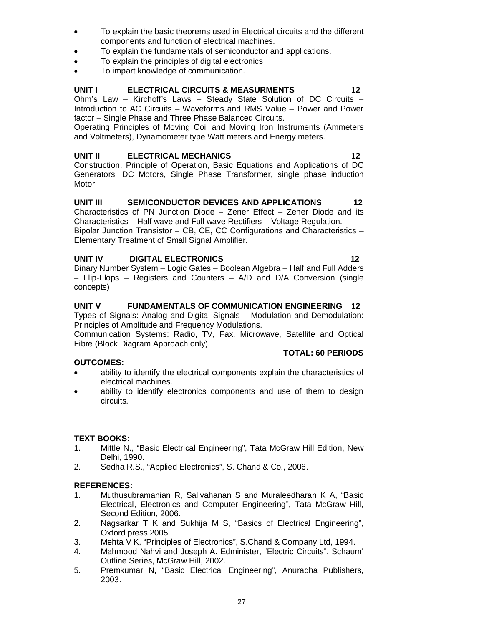- To explain the basic theorems used in Electrical circuits and the different components and function of electrical machines.
- To explain the fundamentals of semiconductor and applications.
- To explain the principles of digital electronics
- To impart knowledge of communication.

### **UNIT I ELECTRICAL CIRCUITS & MEASURMENTS 12**

Ohm's Law – Kirchoff's Laws – Steady State Solution of DC Circuits – Introduction to AC Circuits – Waveforms and RMS Value – Power and Power factor – Single Phase and Three Phase Balanced Circuits.

Operating Principles of Moving Coil and Moving Iron Instruments (Ammeters and Voltmeters), Dynamometer type Watt meters and Energy meters.

#### UNIT II ELECTRICAL MECHANICS 12

Construction, Principle of Operation, Basic Equations and Applications of DC Generators, DC Motors, Single Phase Transformer, single phase induction Motor.

#### **UNIT III SEMICONDUCTOR DEVICES AND APPLICATIONS 12**

Characteristics of PN Junction Diode – Zener Effect – Zener Diode and its Characteristics – Half wave and Full wave Rectifiers – Voltage Regulation. Bipolar Junction Transistor – CB, CE, CC Configurations and Characteristics – Elementary Treatment of Small Signal Amplifier.

#### **UNIT IV DIGITAL ELECTRONICS 12**

Binary Number System – Logic Gates – Boolean Algebra – Half and Full Adders – Flip-Flops – Registers and Counters – A/D and D/A Conversion (single concepts)

#### **UNIT V FUNDAMENTALS OF COMMUNICATION ENGINEERING 12**

Types of Signals: Analog and Digital Signals – Modulation and Demodulation: Principles of Amplitude and Frequency Modulations.

Communication Systems: Radio, TV, Fax, Microwave, Satellite and Optical Fibre (Block Diagram Approach only).

#### **OUTCOMES:**

#### **TOTAL: 60 PERIODS**

- ability to identify the electrical components explain the characteristics of electrical machines.
- ability to identify electronics components and use of them to design circuits.

#### **TEXT BOOKS:**

- 1. Mittle N., "Basic Electrical Engineering", Tata McGraw Hill Edition, New Delhi, 1990.
- 2. Sedha R.S., "Applied Electronics", S. Chand & Co., 2006.

#### **REFERENCES:**

- 1. Muthusubramanian R, Salivahanan S and Muraleedharan K A, "Basic Electrical, Electronics and Computer Engineering", Tata McGraw Hill, Second Edition, 2006.
- 2. Nagsarkar T K and Sukhija M S, "Basics of Electrical Engineering", Oxford press 2005.
- 3. Mehta V K, "Principles of Electronics", S.Chand & Company Ltd, 1994.
- 4. Mahmood Nahvi and Joseph A. Edminister, "Electric Circuits", Schaum' Outline Series, McGraw Hill, 2002.
- 5. Premkumar N, "Basic Electrical Engineering", Anuradha Publishers, 2003.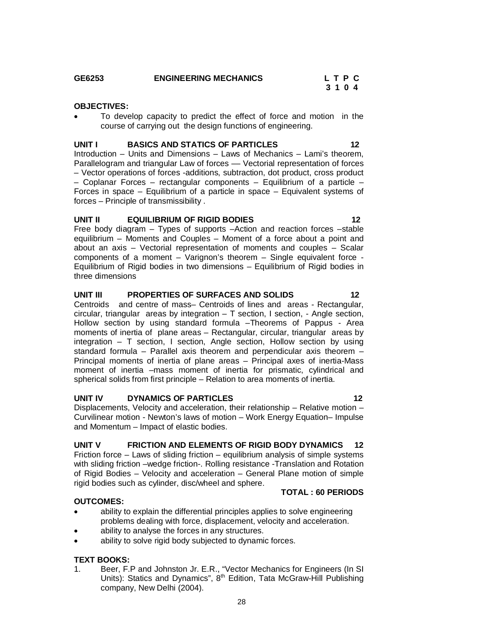#### GE6253 **ENGINEERING MECHANICS** L T P C<br>3 1 0 4  **3 1 0 4**

### **OBJECTIVES:**

 To develop capacity to predict the effect of force and motion in the course of carrying out the design functions of engineering.

# **UNIT I BASICS AND STATICS OF PARTICLES 12**

Introduction – Units and Dimensions – Laws of Mechanics – Lami's theorem, Parallelogram and triangular Law of forces — Vectorial representation of forces – Vector operations of forces -additions, subtraction, dot product, cross product – Coplanar Forces – rectangular components – Equilibrium of a particle – Forces in space – Equilibrium of a particle in space – Equivalent systems of forces – Principle of transmissibility .

#### **UNIT II EQUILIBRIUM OF RIGID BODIES 12**

Free body diagram – Types of supports –Action and reaction forces –stable equilibrium – Moments and Couples – Moment of a force about a point and about an axis – Vectorial representation of moments and couples – Scalar components of a moment – Varignon's theorem – Single equivalent force - Equilibrium of Rigid bodies in two dimensions – Equilibrium of Rigid bodies in three dimensions

#### **UNIT III PROPERTIES OF SURFACES AND SOLIDS 12**

Centroids and centre of mass– Centroids of lines and areas - Rectangular, circular, triangular areas by integration  $-$  T section, I section, - Angle section, Hollow section by using standard formula –Theorems of Pappus - Area moments of inertia of plane areas – Rectangular, circular, triangular areas by integration – T section, I section, Angle section, Hollow section by using standard formula – Parallel axis theorem and perpendicular axis theorem – Principal moments of inertia of plane areas – Principal axes of inertia-Mass moment of inertia –mass moment of inertia for prismatic, cylindrical and spherical solids from first principle – Relation to area moments of inertia.

#### **UNIT IV DYNAMICS OF PARTICLES** 12

Displacements, Velocity and acceleration, their relationship – Relative motion – Curvilinear motion - Newton's laws of motion – Work Energy Equation– Impulse and Momentum – Impact of elastic bodies.

#### **UNIT V FRICTION AND ELEMENTS OF RIGID BODY DYNAMICS 12**

Friction force  $-$  Laws of sliding friction  $-$  equilibrium analysis of simple systems with sliding friction –wedge friction-. Rolling resistance -Translation and Rotation of Rigid Bodies – Velocity and acceleration – General Plane motion of simple rigid bodies such as cylinder, disc/wheel and sphere. **TOTAL : 60 PERIODS**

#### **OUTCOMES:**

- ability to explain the differential principles applies to solve engineering problems dealing with force, displacement, velocity and acceleration.
- ability to analyse the forces in any structures.
- ability to solve rigid body subjected to dynamic forces.

#### **TEXT BOOKS:**

1. Beer, F.P and Johnston Jr. E.R., "Vector Mechanics for Engineers (In SI Units): Statics and Dynamics", 8<sup>th</sup> Edition, Tata McGraw-Hill Publishing company, New Delhi (2004).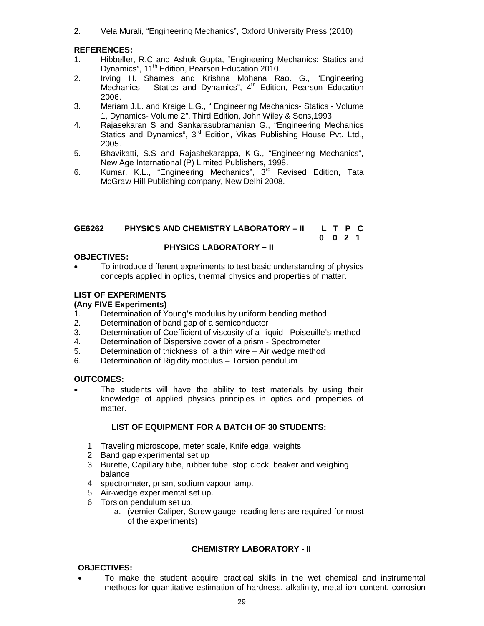2. Vela Murali, "Engineering Mechanics", Oxford University Press (2010)

#### **REFERENCES:**

- 1. Hibbeller, R.C and Ashok Gupta, "Engineering Mechanics: Statics and Dynamics", 11<sup>th</sup> Edition, Pearson Education 2010.
- 2. Irving H. Shames and Krishna Mohana Rao. G., "Engineering Mechanics – Statics and Dynamics",  $4<sup>th</sup>$  Edition, Pearson Education 2006.
- 3. Meriam J.L. and Kraige L.G., " Engineering Mechanics- Statics Volume 1, Dynamics- Volume 2", Third Edition, John Wiley & Sons,1993.
- 4. Rajasekaran S and Sankarasubramanian G., "Engineering Mechanics Statics and Dynamics", 3<sup>rd</sup> Edition, Vikas Publishing House Pvt. Ltd., 2005.
- 5. Bhavikatti, S.S and Rajashekarappa, K.G., "Engineering Mechanics", New Age International (P) Limited Publishers, 1998.
- 6. Kumar, K.L., "Engineering Mechanics", 3rd Revised Edition, Tata McGraw-Hill Publishing company, New Delhi 2008.

#### **GE6262 PHYSICS AND CHEMISTRY LABORATORY – II L T P C 0 0 2 1**

### **PHYSICS LABORATORY – II**

#### **OBJECTIVES:**

 To introduce different experiments to test basic understanding of physics concepts applied in optics, thermal physics and properties of matter.

#### **LIST OF EXPERIMENTS**

#### **(Any FIVE Experiments)**

- 1. Determination of Young's modulus by uniform bending method
- 2. Determination of band gap of a semiconductor
- 3. Determination of Coefficient of viscosity of a liquid –Poiseuille's method
- 4. Determination of Dispersive power of a prism Spectrometer
- 5. Determination of thickness of a thin wire Air wedge method
- 6. Determination of Rigidity modulus Torsion pendulum

#### **OUTCOMES:**

 The students will have the ability to test materials by using their knowledge of applied physics principles in optics and properties of matter.

#### **LIST OF EQUIPMENT FOR A BATCH OF 30 STUDENTS:**

- 1. Traveling microscope, meter scale, Knife edge, weights
- 2. Band gap experimental set up
- 3. Burette, Capillary tube, rubber tube, stop clock, beaker and weighing balance
- 4. spectrometer, prism, sodium vapour lamp.
- 5. Air-wedge experimental set up.
- 6. Torsion pendulum set up.
	- a. (vernier Caliper, Screw gauge, reading lens are required for most of the experiments)

#### **CHEMISTRY LABORATORY - II**

#### **OBJECTIVES:**

 To make the student acquire practical skills in the wet chemical and instrumental methods for quantitative estimation of hardness, alkalinity, metal ion content, corrosion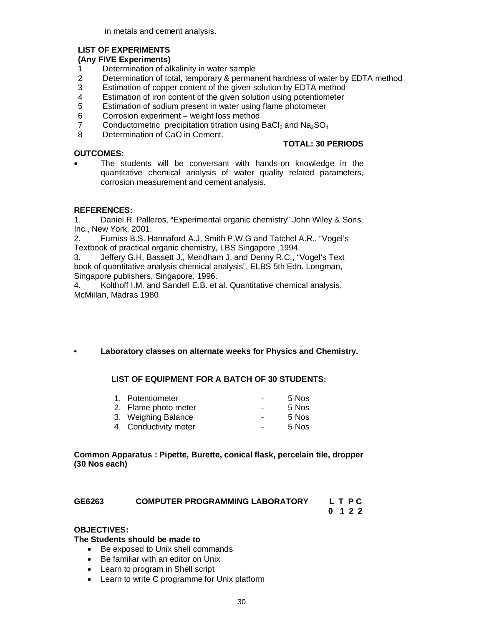in metals and cement analysis.

#### **LIST OF EXPERIMENTS**

#### **(Any FIVE Experiments)**

- 1 Determination of alkalinity in water sample<br>2 Determination of total, temporary & permar
- 2 Determination of total, temporary & permanent hardness of water by EDTA method<br>3 Estimation of copper content of the given solution by EDTA method
- Estimation of copper content of the given solution by EDTA method
- 4 Estimation of iron content of the given solution using potentiometer<br>5 Estimation of sodium present in water using flame photometer
- Estimation of sodium present in water using flame photometer
- 6 Corrosion experiment weight loss method
- 7 Conductometric precipitation titration using BaCl<sub>2</sub> and  $Na<sub>2</sub>SO<sub>4</sub>$ <br>8 Determination of CaO in Cement.
- Determination of CaO in Cement.

#### **OUTCOMES:**

# **TOTAL: 30 PERIODS**

 The students will be conversant with hands-on knowledge in the quantitative chemical analysis of water quality related parameters, corrosion measurement and cement analysis.

### **REFERENCES:**

1. Daniel R. Palleros, "Experimental organic chemistry" John Wiley & Sons, Inc., New York, 2001.

2. Furniss B.S. Hannaford A.J, Smith P.W.G and Tatchel A.R., "Vogel's Textbook of practical organic chemistry, LBS Singapore ,1994.

3. Jeffery G.H, Bassett J., Mendham J. and Denny R.C., "Vogel's Text book of quantitative analysis chemical analysis", ELBS 5th Edn. Longman, Singapore publishers, Singapore, 1996.

4. Kolthoff I.M. and Sandell E.B. et al. Quantitative chemical analysis, McMillan, Madras 1980

#### **• Laboratory classes on alternate weeks for Physics and Chemistry.**

#### **LIST OF EQUIPMENT FOR A BATCH OF 30 STUDENTS:**

| 1. Potentiometer      | $\blacksquare$ | 5 Nos |
|-----------------------|----------------|-------|
| 2. Flame photo meter  | $\sim$         | 5 Nos |
| 3. Weighing Balance   | $\blacksquare$ | 5 Nos |
| 4. Conductivity meter | $\blacksquare$ | 5 Nos |

#### **Common Apparatus : Pipette, Burette, conical flask, percelain tile, dropper (30 Nos each)**

| GE6263 | <b>COMPUTER PROGRAMMING LABORATORY</b> | L T P C |
|--------|----------------------------------------|---------|
|        |                                        | 0 1 2 2 |

#### **OBJECTIVES:**

#### **The Students should be made to**

- Be exposed to Unix shell commands
- Be familiar with an editor on Unix
- Learn to program in Shell script
- Learn to write C programme for Unix platform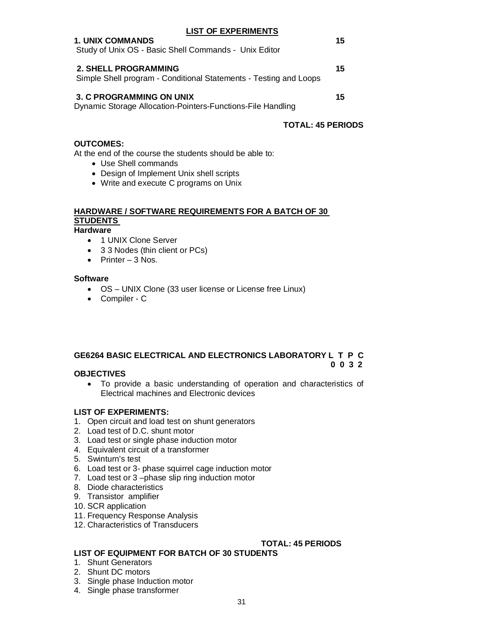#### **LIST OF EXPERIMENTS**

| <b>1. UNIX COMMANDS</b><br>Study of Unix OS - Basic Shell Commands - Unix Editor                 | 15 |
|--------------------------------------------------------------------------------------------------|----|
| <b>2. SHELL PROGRAMMING</b><br>Simple Shell program - Conditional Statements - Testing and Loops | 15 |
| <b>3. C PROGRAMMING ON UNIX</b>                                                                  | 15 |

Dynamic Storage Allocation-Pointers-Functions-File Handling

#### **TOTAL: 45 PERIODS**

#### **OUTCOMES:**

At the end of the course the students should be able to:

- Use Shell commands
- Design of Implement Unix shell scripts
- Write and execute C programs on Unix

# **HARDWARE / SOFTWARE REQUIREMENTS FOR A BATCH OF 30 STUDENTS**

#### **Hardware**

- 1 UNIX Clone Server
- 3 3 Nodes (thin client or PCs)
- $\bullet$  Printer 3 Nos.

#### **Software**

- OS UNIX Clone (33 user license or License free Linux)
- Compiler C

#### **GE6264 BASIC ELECTRICAL AND ELECTRONICS LABORATORY L T P C 0 0 3 2**

#### **OBJECTIVES**

 To provide a basic understanding of operation and characteristics of Electrical machines and Electronic devices

#### **LIST OF EXPERIMENTS:**

- 1. Open circuit and load test on shunt generators
- 2. Load test of D.C. shunt motor
- 3. Load test or single phase induction motor
- 4. Equivalent circuit of a transformer
- 5. Swinturn's test
- 6. Load test or 3- phase squirrel cage induction motor
- 7. Load test or 3 –phase slip ring induction motor
- 8. Diode characteristics
- 9. Transistor amplifier
- 10. SCR application
- 11. Frequency Response Analysis
- 12. Characteristics of Transducers

# **TOTAL: 45 PERIODS**

### **LIST OF EQUIPMENT FOR BATCH OF 30 STUDENTS**

- 1. Shunt Generators
- 2. Shunt DC motors
- 3. Single phase Induction motor
- 4. Single phase transformer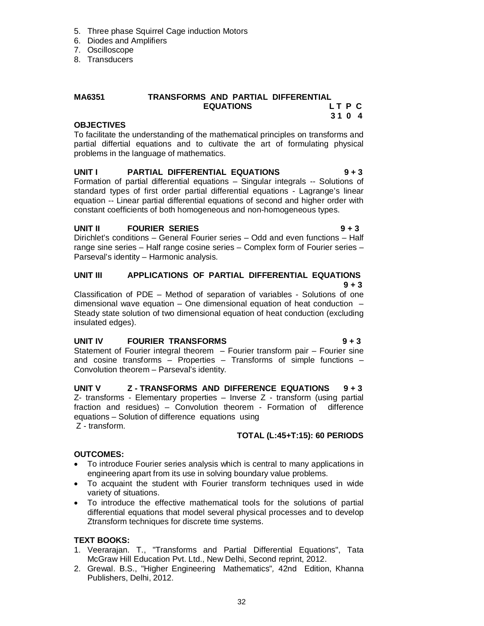- 5. Three phase Squirrel Cage induction Motors
- 6. Diodes and Amplifiers
- 7. Oscilloscope
- 8. Transducers

### **MA6351 TRANSFORMS AND PARTIAL DIFFERENTIAL EQUATIONS L T P C 3 1 0 4**

#### **OBJECTIVES**

To facilitate the understanding of the mathematical principles on transforms and partial differtial equations and to cultivate the art of formulating physical problems in the language of mathematics.

#### **UNIT I PARTIAL DIFFERENTIAL EQUATIONS 9 + 3**  Formation of partial differential equations – Singular integrals -- Solutions of standard types of first order partial differential equations - Lagrange's linear equation -- Linear partial differential equations of second and higher order with constant coefficients of both homogeneous and non-homogeneous types.

### **UNIT II FOURIER SERIES 9 + 3**

Dirichlet's conditions – General Fourier series – Odd and even functions – Half range sine series – Half range cosine series – Complex form of Fourier series – Parseval's identity – Harmonic analysis.

# **UNIT III APPLICATIONS OF PARTIAL DIFFERENTIAL EQUATIONS 8**  $+3$

Classification of PDE – Method of separation of variables - Solutions of one dimensional wave equation – One dimensional equation of heat conduction – Steady state solution of two dimensional equation of heat conduction (excluding insulated edges).

# **UNIT IV FOURIER TRANSFORMS 9 + 3**

Statement of Fourier integral theorem – Fourier transform pair – Fourier sine and cosine transforms – Properties – Transforms of simple functions – Convolution theorem – Parseval's identity.

#### **UNIT V Z - TRANSFORMS AND DIFFERENCE EQUATIONS 9 + 3** Z- transforms - Elementary properties – Inverse Z - transform (using partial fraction and residues) – Convolution theorem - Formation of difference equations – Solution of difference equations using Z - transform.

# **TOTAL (L:45+T:15): 60 PERIODS**

# **OUTCOMES:**

- To introduce Fourier series analysis which is central to many applications in engineering apart from its use in solving boundary value problems.
- To acquaint the student with Fourier transform techniques used in wide variety of situations.
- To introduce the effective mathematical tools for the solutions of partial differential equations that model several physical processes and to develop Ztransform techniques for discrete time systems.

# **TEXT BOOKS:**

- 1. Veerarajan. T., "Transforms and Partial Differential Equations", Tata McGraw Hill Education Pvt. Ltd., New Delhi, Second reprint, 2012.
- 2. Grewal. B.S., "Higher Engineering Mathematics"*,* 42nd Edition, Khanna Publishers, Delhi, 2012.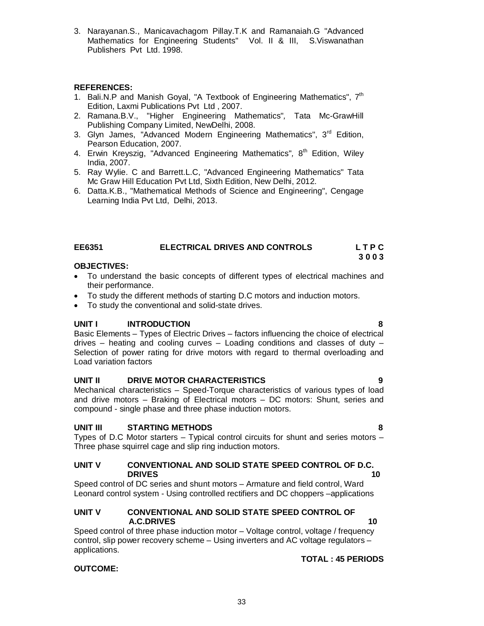3. Narayanan.S., Manicavachagom Pillay.T.K and Ramanaiah.G "Advanced Mathematics for Engineering Students" Vol. II & III, S.Viswanathan Publishers Pvt Ltd. 1998.

### **REFERENCES:**

- 1. Bali.N.P and Manish Goyal, "A Textbook of Engineering Mathematics",  $7<sup>th</sup>$ Edition, Laxmi Publications Pvt Ltd , 2007.
- 2. Ramana.B.V., "Higher Engineering Mathematics"*,* Tata Mc-GrawHill Publishing Company Limited, NewDelhi, 2008.
- 3. Glyn James, "Advanced Modern Engineering Mathematics", 3<sup>rd</sup> Edition, Pearson Education, 2007.
- 4. Erwin Kreyszig, "Advanced Engineering Mathematics", 8<sup>th</sup> Edition, Wiley India, 2007.
- 5. Ray Wylie. C and Barrett.L.C, "Advanced Engineering Mathematics" Tata Mc Graw Hill Education Pvt Ltd, Sixth Edition, New Delhi, 2012.
- 6. Datta.K.B., "Mathematical Methods of Science and Engineering", Cengage Learning India Pvt Ltd, Delhi, 2013.

#### **EE6351 ELECTRICAL DRIVES AND CONTROLS L T P C 3 0 0 3**

#### **OBJECTIVES:**

- To understand the basic concepts of different types of electrical machines and their performance.
- To study the different methods of starting D.C motors and induction motors.
- To study the conventional and solid-state drives.

#### **UNIT I INTRODUCTION 8**

Basic Elements – Types of Electric Drives – factors influencing the choice of electrical drives – heating and cooling curves – Loading conditions and classes of duty – Selection of power rating for drive motors with regard to thermal overloading and Load variation factors

#### **UNIT II DRIVE MOTOR CHARACTERISTICS 9**

Mechanical characteristics – Speed-Torque characteristics of various types of load and drive motors – Braking of Electrical motors – DC motors: Shunt, series and compound - single phase and three phase induction motors.

#### **UNIT III STARTING METHODS 8**

Types of D.C Motor starters – Typical control circuits for shunt and series motors – Three phase squirrel cage and slip ring induction motors.

#### **UNIT V CONVENTIONAL AND SOLID STATE SPEED CONTROL OF D.C. DRIVES** 10

Speed control of DC series and shunt motors – Armature and field control, Ward Leonard control system - Using controlled rectifiers and DC choppers –applications

#### **UNIT V CONVENTIONAL AND SOLID STATE SPEED CONTROL OF A.C.DRIVES 10**

Speed control of three phase induction motor – Voltage control, voltage / frequency control, slip power recovery scheme – Using inverters and AC voltage regulators – applications.

#### **OUTCOME:**

#### **TOTAL : 45 PERIODS**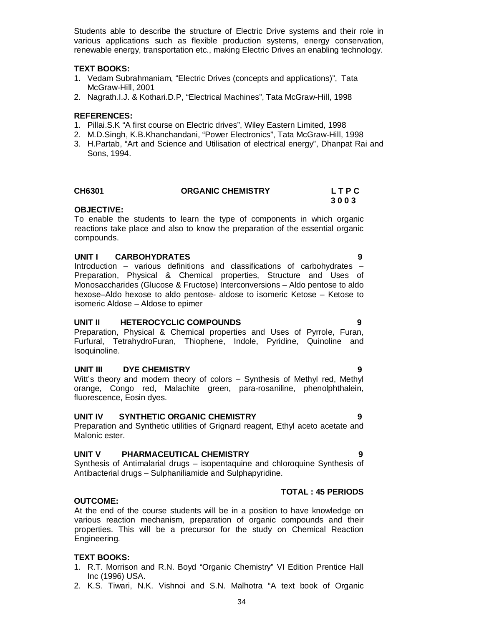Students able to describe the structure of Electric Drive systems and their role in various applications such as flexible production systems, energy conservation, renewable energy, transportation etc., making Electric Drives an enabling technology.

#### **TEXT BOOKS:**

- 1. Vedam Subrahmaniam, "Electric Drives (concepts and applications)", Tata McGraw-Hill, 2001
- 2. Nagrath.I.J. & Kothari.D.P, "Electrical Machines", Tata McGraw-Hill, 1998

#### **REFERENCES:**

- 1. Pillai.S.K "A first course on Electric drives", Wiley Eastern Limited, 1998
- 2. M.D.Singh, K.B.Khanchandani, "Power Electronics", Tata McGraw-Hill, 1998
- 3. H.Partab, "Art and Science and Utilisation of electrical energy", Dhanpat Rai and Sons, 1994.

### **CH6301 ORGANIC CHEMISTRY L T P C**

 **3 0 0 3**

#### **OBJECTIVE:**

To enable the students to learn the type of components in which organic reactions take place and also to know the preparation of the essential organic compounds.

#### **UNIT I CARBOHYDRATES 9**

Introduction – various definitions and classifications of carbohydrates – Preparation, Physical & Chemical properties, Structure and Uses of Monosaccharides (Glucose & Fructose) Interconversions – Aldo pentose to aldo hexose–Aldo hexose to aldo pentose- aldose to isomeric Ketose – Ketose to isomeric Aldose – Aldose to epimer

#### **UNIT II HETEROCYCLIC COMPOUNDS 9**

Preparation, Physical & Chemical properties and Uses of Pyrrole, Furan, Furfural, TetrahydroFuran, Thiophene, Indole, Pyridine, Quinoline and Isoquinoline.

#### **UNIT III DYE CHEMISTRY 9**

#### Witt's theory and modern theory of colors – Synthesis of Methyl red, Methyl orange, Congo red, Malachite green, para-rosaniline, phenolphthalein, fluorescence, Eosin dyes.

#### **UNIT IV SYNTHETIC ORGANIC CHEMISTRY 9**

Preparation and Synthetic utilities of Grignard reagent, Ethyl aceto acetate and Malonic ester.

#### **UNIT V PHARMACEUTICAL CHEMISTRY 9**

Synthesis of Antimalarial drugs – isopentaquine and chloroquine Synthesis of Antibacterial drugs – Sulphaniliamide and Sulphapyridine.

### **TOTAL : 45 PERIODS**

#### **OUTCOME:**

At the end of the course students will be in a position to have knowledge on various reaction mechanism, preparation of organic compounds and their properties. This will be a precursor for the study on Chemical Reaction Engineering.

#### **TEXT BOOKS:**

- 1. R.T. Morrison and R.N. Boyd "Organic Chemistry" VI Edition Prentice Hall Inc (1996) USA.
- 2. K.S. Tiwari, N.K. Vishnoi and S.N. Malhotra "A text book of Organic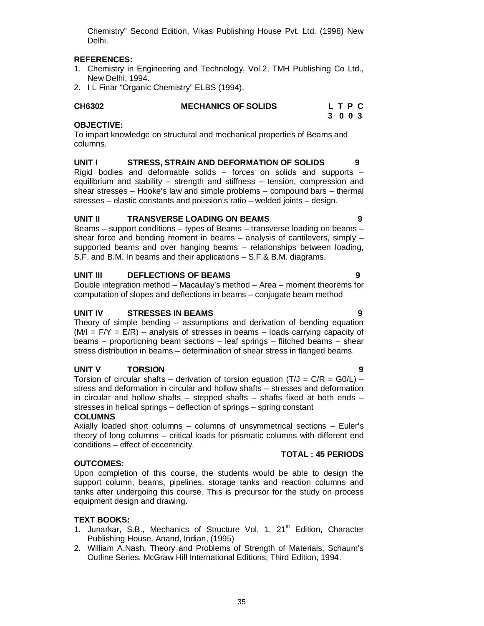Chemistry" Second Edition, Vikas Publishing House Pvt. Ltd. (1998) New Delhi.

### **REFERENCES:**

- 1. Chemistry in Engineering and Technology, Vol.2, TMH Publishing Co Ltd., New Delhi, 1994.
- 2. I L Finar "Organic Chemistry" ELBS (1994).

| CH6302 | <b>MECHANICS OF SOLIDS</b> | LTPC    |  |  |
|--------|----------------------------|---------|--|--|
|        |                            | 3 0 0 3 |  |  |

### **OBJECTIVE:**

To impart knowledge on structural and mechanical properties of Beams and columns.

**UNIT I STRESS, STRAIN AND DEFORMATION OF SOLIDS 9** Rigid bodies and deformable solids  $-$  forces on solids and supports  $$ equilibrium and stability – strength and stiffness – tension, compression and shear stresses – Hooke's law and simple problems – compound bars – thermal stresses – elastic constants and poission's ratio – welded joints – design.

#### **UNIT II TRANSVERSE LOADING ON BEAMS 9**

Beams – support conditions – types of Beams – transverse loading on beams – shear force and bending moment in beams – analysis of cantilevers, simply – supported beams and over hanging beams – relationships between loading, S.F. and B.M. In beams and their applications – S.F.& B.M. diagrams.

#### **UNIT III DEFLECTIONS OF BEAMS 9**

Double integration method – Macaulay's method – Area – moment theorems for computation of slopes and deflections in beams – conjugate beam method

#### **UNIT IV STRESSES IN BEAMS 9**

Theory of simple bending – assumptions and derivation of bending equation  $(M/I = F/Y = E/R)$  – analysis of stresses in beams – loads carrying capacity of beams – proportioning beam sections – leaf springs – flitched beams – shear stress distribution in beams – determination of shear stress in flanged beams.

#### **UNIT V TORSION 9**

Torsion of circular shafts – derivation of torsion equation (T/J =  $C/R = GO/L$ ) – stress and deformation in circular and hollow shafts – stresses and deformation in circular and hollow shafts – stepped shafts – shafts fixed at both ends – stresses in helical springs – deflection of springs – spring constant **COLUMNS**

Axially loaded short columns – columns of unsymmetrical sections – Euler's theory of long columns – critical loads for prismatic columns with different end conditions – effect of eccentricity.

#### **OUTCOMES:**

Upon completion of this course, the students would be able to design the support column, beams, pipelines, storage tanks and reaction columns and tanks after undergoing this course. This is precursor for the study on process equipment design and drawing.

#### **TEXT BOOKS:**

- 1. Junarkar, S.B., Mechanics of Structure Vol. 1, 21<sup>st</sup> Edition, Character Publishing House, Anand, Indian, (1995)
- 2. William A.Nash, Theory and Problems of Strength of Materials, Schaum's Outline Series. McGraw Hill International Editions, Third Edition, 1994.

**TOTAL : 45 PERIODS**

- 
-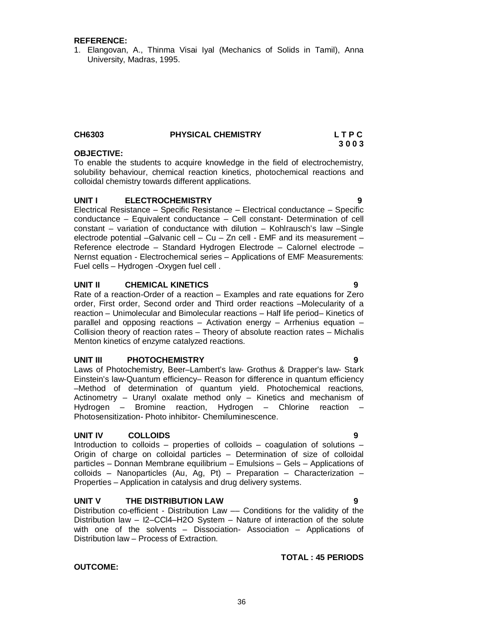#### **REFERENCE:**

1. Elangovan, A., Thinma Visai Iyal (Mechanics of Solids in Tamil), Anna University, Madras, 1995.

#### **CH6303 PHYSICAL CHEMISTRY L T P C 3 0 0 3**

# **OBJECTIVE:**

To enable the students to acquire knowledge in the field of electrochemistry, solubility behaviour, chemical reaction kinetics, photochemical reactions and colloidal chemistry towards different applications.

#### **UNIT I ELECTROCHEMISTRY 9**

Electrical Resistance – Specific Resistance – Electrical conductance – Specific conductance – Equivalent conductance – Cell constant- Determination of cell constant – variation of conductance with dilution – Kohlrausch's law –Single electrode potential –Galvanic cell – Cu – Zn cell - EMF and its measurement – Reference electrode – Standard Hydrogen Electrode – Calornel electrode – Nernst equation - Electrochemical series – Applications of EMF Measurements: Fuel cells – Hydrogen -Oxygen fuel cell .

#### **UNIT II CHEMICAL KINETICS 9**

Rate of a reaction-Order of a reaction – Examples and rate equations for Zero order, First order, Second order and Third order reactions –Molecularity of a reaction – Unimolecular and Bimolecular reactions – Half life period– Kinetics of parallel and opposing reactions – Activation energy – Arrhenius equation – Collision theory of reaction rates – Theory of absolute reaction rates – Michalis Menton kinetics of enzyme catalyzed reactions.

#### **UNIT III PHOTOCHEMISTRY 9**

Laws of Photochemistry, Beer–Lambert's law- Grothus & Drapper's law- Stark Einstein's law-Quantum efficiency– Reason for difference in quantum efficiency –Method of determination of quantum yield. Photochemical reactions, Actinometry – Uranyl oxalate method only – Kinetics and mechanism of Hydrogen – Bromine reaction, Hydrogen – Chlorine reaction – Photosensitization- Photo inhibitor- Chemiluminescence.

#### **UNIT IV COLLOIDS 9**

Introduction to colloids – properties of colloids – coagulation of solutions – Origin of charge on colloidal particles – Determination of size of colloidal particles – Donnan Membrane equilibrium – Emulsions – Gels – Applications of colloids – Nanoparticles (Au, Ag, Pt) – Preparation – Characterization – Properties – Application in catalysis and drug delivery systems.

#### **UNIT V THE DISTRIBUTION LAW 9**

Distribution co-efficient - Distribution Law –– Conditions for the validity of the Distribution law – I2–CCl4–H2O System – Nature of interaction of the solute with one of the solvents – Dissociation- Association – Applications of Distribution law – Process of Extraction.

#### **TOTAL : 45 PERIODS**

# **OUTCOME:**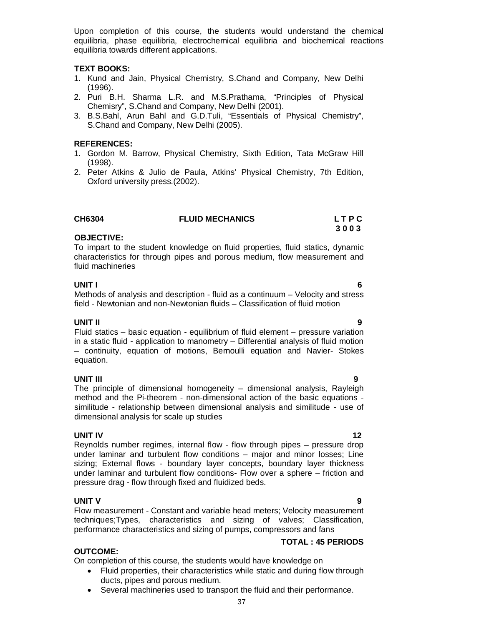Upon completion of this course, the students would understand the chemical equilibria, phase equilibria, electrochemical equilibria and biochemical reactions equilibria towards different applications.

### **TEXT BOOKS:**

- 1. Kund and Jain, Physical Chemistry, S.Chand and Company, New Delhi (1996).
- 2. Puri B.H. Sharma L.R. and M.S.Prathama, "Principles of Physical Chemisry", S.Chand and Company, New Delhi (2001).
- 3. B.S.Bahl, Arun Bahl and G.D.Tuli, "Essentials of Physical Chemistry", S.Chand and Company, New Delhi (2005).

### **REFERENCES:**

- 1. Gordon M. Barrow, Physical Chemistry, Sixth Edition, Tata McGraw Hill (1998).
- 2. Peter Atkins & Julio de Paula, Atkins' Physical Chemistry, 7th Edition, Oxford university press.(2002).

| CH6304 | <b>FLUID MECHANICS</b> | LTPC |
|--------|------------------------|------|
|        |                        | 3003 |

### **OBJECTIVE:**

To impart to the student knowledge on fluid properties, fluid statics, dynamic characteristics for through pipes and porous medium, flow measurement and fluid machineries

**UNIT I 6** Methods of analysis and description - fluid as a continuum – Velocity and stress field - Newtonian and non-Newtonian fluids – Classification of fluid motion

### **UNIT II 9**

Fluid statics – basic equation - equilibrium of fluid element – pressure variation in a static fluid - application to manometry – Differential analysis of fluid motion – continuity, equation of motions, Bernoulli equation and Navier- Stokes equation.

### **UNIT III 9**

The principle of dimensional homogeneity – dimensional analysis, Rayleigh method and the Pi-theorem - non-dimensional action of the basic equations similitude - relationship between dimensional analysis and similitude - use of dimensional analysis for scale up studies

### **UNIT IV** 12

Reynolds number regimes, internal flow - flow through pipes – pressure drop under laminar and turbulent flow conditions – major and minor losses; Line sizing; External flows - boundary layer concepts, boundary layer thickness under laminar and turbulent flow conditions- Flow over a sphere – friction and pressure drag - flow through fixed and fluidized beds.

### **UNIT V 9**

Flow measurement - Constant and variable head meters; Velocity measurement techniques;Types, characteristics and sizing of valves; Classification, performance characteristics and sizing of pumps, compressors and fans

### **TOTAL : 45 PERIODS**

### **OUTCOME:**

On completion of this course, the students would have knowledge on

- Fluid properties, their characteristics while static and during flow through ducts, pipes and porous medium.
- Several machineries used to transport the fluid and their performance.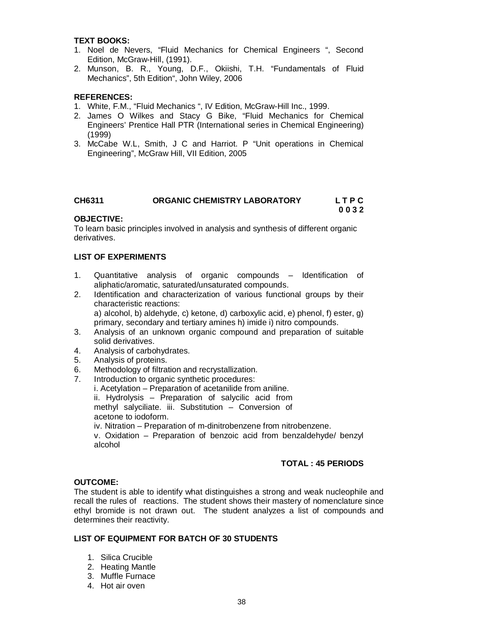### **TEXT BOOKS:**

- 1. Noel de Nevers, "Fluid Mechanics for Chemical Engineers ", Second Edition, McGraw-Hill, (1991).
- 2. Munson, B. R., Young, D.F., Okiishi, T.H. "Fundamentals of Fluid Mechanics", 5th Edition", John Wiley, 2006

### **REFERENCES:**

- 1. White, F.M., "Fluid Mechanics ", IV Edition, McGraw-Hill Inc., 1999.
- 2. James O Wilkes and Stacy G Bike, "Fluid Mechanics for Chemical Engineers' Prentice Hall PTR (International series in Chemical Engineering) (1999)
- 3. McCabe W.L, Smith, J C and Harriot. P "Unit operations in Chemical Engineering", McGraw Hill, VII Edition, 2005

### **CH6311 ORGANIC CHEMISTRY LABORATORY L T P C 0 0 3 2**

### **OBJECTIVE:**

To learn basic principles involved in analysis and synthesis of different organic derivatives.

### **LIST OF EXPERIMENTS**

- 1. Quantitative analysis of organic compounds Identification of aliphatic/aromatic, saturated/unsaturated compounds.
- 2. Identification and characterization of various functional groups by their characteristic reactions: a) alcohol, b) aldehyde, c) ketone, d) carboxylic acid, e) phenol, f) ester, g) primary, secondary and tertiary amines h) imide i) nitro compounds.
- 3. Analysis of an unknown organic compound and preparation of suitable solid derivatives.
- 4. Analysis of carbohydrates.
- 5. Analysis of proteins.
- 6. Methodology of filtration and recrystallization.<br>7. Introduction to organic synthetic procedures:
- Introduction to organic synthetic procedures:
	- i. Acetylation Preparation of acetanilide from aniline.
		- ii. Hydrolysis Preparation of salycilic acid from methyl salyciliate. iii. Substitution – Conversion of acetone to iodoform.

iv. Nitration – Preparation of m-dinitrobenzene from nitrobenzene.

v. Oxidation – Preparation of benzoic acid from benzaldehyde/ benzyl alcohol

### **TOTAL : 45 PERIODS**

### **OUTCOME:**

The student is able to identify what distinguishes a strong and weak nucleophile and recall the rules of reactions. The student shows their mastery of nomenclature since ethyl bromide is not drawn out. The student analyzes a list of compounds and determines their reactivity.

### **LIST OF EQUIPMENT FOR BATCH OF 30 STUDENTS**

- 1. Silica Crucible
- 2. Heating Mantle
- 3. Muffle Furnace
- 4. Hot air oven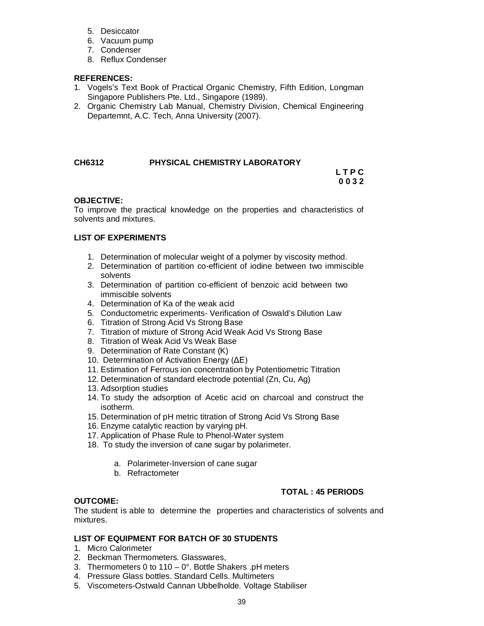- 5. Desiccator
- 6. Vacuum pump
- 7. Condenser
- 8. Reflux Condenser

### **REFERENCES:**

- 1. Vogels's Text Book of Practical Organic Chemistry, Fifth Edition, Longman Singapore Publishers Pte. Ltd., Singapore (1989).
- 2. Organic Chemistry Lab Manual, Chemistry Division, Chemical Engineering Departemnt, A.C. Tech, Anna University (2007).

### **CH6312 PHYSICAL CHEMISTRY LABORATORY**

 **L T P C 0 0 3 2**

### **OBJECTIVE:**

To improve the practical knowledge on the properties and characteristics of solvents and mixtures.

### **LIST OF EXPERIMENTS**

- 1. Determination of molecular weight of a polymer by viscosity method.
- 2. Determination of partition co-efficient of iodine between two immiscible solvents
- 3. Determination of partition co-efficient of benzoic acid between two immiscible solvents
- 4. Determination of Ka of the weak acid
- 5. Conductometric experiments- Verification of Oswald's Dilution Law
- 6. Titration of Strong Acid Vs Strong Base
- 7. Titration of mixture of Strong Acid Weak Acid Vs Strong Base
- 8. Titration of Weak Acid Vs Weak Base
- 9. Determination of Rate Constant (K)
- 10. Determination of Activation Energy (ΔE)
- 11. Estimation of Ferrous ion concentration by Potentiometric Titration
- 12. Determination of standard electrode potential (Zn, Cu, Ag)
- 13. Adsorption studies
- 14. To study the adsorption of Acetic acid on charcoal and construct the isotherm.
- 15. Determination of pH metric titration of Strong Acid Vs Strong Base
- 16. Enzyme catalytic reaction by varying pH.
- 17. Application of Phase Rule to Phenol-Water system
- 18. To study the inversion of cane sugar by polarimeter.
	- a. Polarimeter-Inversion of cane sugar
	- b. Refractometer

### **TOTAL : 45 PERIODS**

### **OUTCOME:**

The student is able to determine the properties and characteristics of solvents and mixtures.

### **LIST OF EQUIPMENT FOR BATCH OF 30 STUDENTS**

- 1. Micro Calorimeter
- 2. Beckman Thermometers. Glasswares,
- 3. Thermometers 0 to 110 0°. Bottle Shakers .pH meters
- 4. Pressure Glass bottles. Standard Cells. Multimeters
- 5. Viscometers-Ostwald Cannan Ubbelholde. Voltage Stabiliser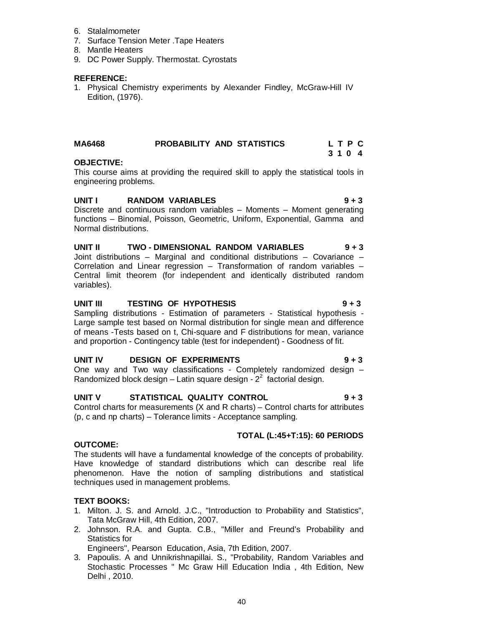- 6. Stalalmometer
- 7. Surface Tension Meter .Tape Heaters
- 8. Mantle Heaters
- 9. DC Power Supply. Thermostat. Cyrostats

### **REFERENCE:**

1. Physical Chemistry experiments by Alexander Findley, McGraw-Hill IV Edition, (1976).

### **MA6468 PROBABILITY AND STATISTICS L T P C 3 1 0 4**

### **OBJECTIVE:**

This course aims at providing the required skill to apply the statistical tools in engineering problems.

### **UNIT I RANDOM VARIABLES 9 + 3**

Discrete and continuous random variables  $-$  Moments  $-$  Moment generating functions – Binomial, Poisson, Geometric, Uniform, Exponential, Gamma and Normal distributions.

### **UNIT II TWO - DIMENSIONAL RANDOM VARIABLES 9 + 3** Joint distributions – Marginal and conditional distributions – Covariance – Correlation and Linear regression – Transformation of random variables – Central limit theorem (for independent and identically distributed random variables).

### UNIT III TESTING OF HYPOTHESIS **19 + 3**

Sampling distributions - Estimation of parameters - Statistical hypothesis - Large sample test based on Normal distribution for single mean and difference of means -Tests based on t, Chi-square and F distributions for mean, variance and proportion - Contingency table (test for independent) - Goodness of fit.

### **UNIT IV DESIGN OF EXPERIMENTS 9 + 3**

One way and Two way classifications - Completely randomized design – Randomized block design  $-$  Latin square design -  $2<sup>2</sup>$  factorial design.

### **UNIT V STATISTICAL QUALITY CONTROL 9 + 3**

Control charts for measurements (X and R charts) – Control charts for attributes (p, c and np charts) – Tolerance limits - Acceptance sampling.

### **TOTAL (L:45+T:15): 60 PERIODS**

### **OUTCOME:**

The students will have a fundamental knowledge of the concepts of probability. Have knowledge of standard distributions which can describe real life phenomenon. Have the notion of sampling distributions and statistical techniques used in management problems.

### **TEXT BOOKS:**

- 1. Milton. J. S. and Arnold. J.C., "Introduction to Probability and Statistics", Tata McGraw Hill, 4th Edition, 2007.
- 2. Johnson. R.A. and Gupta. C.B., "Miller and Freund's Probability and Statistics for

Engineers", Pearson Education, Asia, 7th Edition, 2007.

3. Papoulis. A and Unnikrishnapillai. S., "Probability, Random Variables and Stochastic Processes " Mc Graw Hill Education India , 4th Edition, New Delhi , 2010.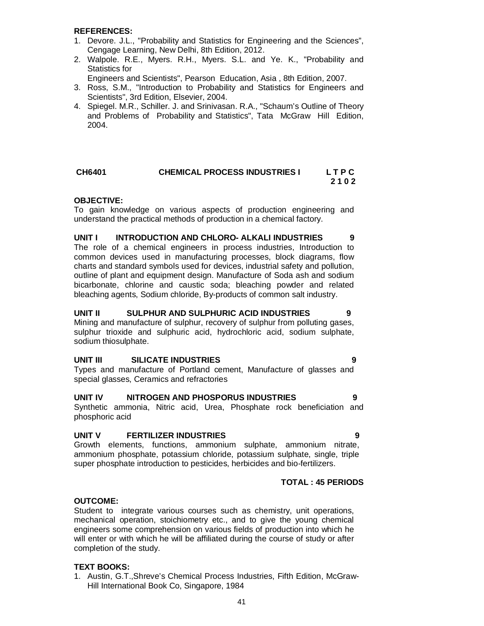### **REFERENCES:**

- 1. Devore. J.L., "Probability and Statistics for Engineering and the Sciences", Cengage Learning, New Delhi, 8th Edition, 2012.
- 2. Walpole. R.E., Myers. R.H., Myers. S.L. and Ye. K., "Probability and Statistics for
- Engineers and Scientists", Pearson Education, Asia , 8th Edition, 2007.
- 3. Ross, S.M., "Introduction to Probability and Statistics for Engineers and Scientists", 3rd Edition, Elsevier, 2004.
- 4. Spiegel. M.R., Schiller. J. and Srinivasan. R.A., "Schaum's Outline of Theory and Problems of Probability and Statistics", Tata McGraw Hill Edition, 2004.

### **CH6401 CHEMICAL PROCESS INDUSTRIES I L T P C 2 1 0 2**

### **OBJECTIVE:**

To gain knowledge on various aspects of production engineering and understand the practical methods of production in a chemical factory.

### **UNIT I INTRODUCTION AND CHLORO- ALKALI INDUSTRIES 9**

The role of a chemical engineers in process industries, Introduction to common devices used in manufacturing processes, block diagrams, flow charts and standard symbols used for devices, industrial safety and pollution, outline of plant and equipment design. Manufacture of Soda ash and sodium bicarbonate, chlorine and caustic soda; bleaching powder and related bleaching agents, Sodium chloride, By-products of common salt industry.

### **UNIT II SULPHUR AND SULPHURIC ACID INDUSTRIES 9**

Mining and manufacture of sulphur, recovery of sulphur from polluting gases, sulphur trioxide and sulphuric acid, hydrochloric acid, sodium sulphate, sodium thiosulphate.

### **UNIT III SILICATE INDUSTRIES 9**

Types and manufacture of Portland cement, Manufacture of glasses and special glasses, Ceramics and refractories

### **UNIT IV NITROGEN AND PHOSPORUS INDUSTRIES 9**

Synthetic ammonia, Nitric acid, Urea, Phosphate rock beneficiation and phosphoric acid

### **UNIT V FERTILIZER INDUSTRIES 9**

Growth elements, functions, ammonium sulphate, ammonium nitrate, ammonium phosphate, potassium chloride, potassium sulphate, single, triple super phosphate introduction to pesticides, herbicides and bio-fertilizers.

### **TOTAL : 45 PERIODS**

### **OUTCOME:**

Student to integrate various courses such as chemistry, unit operations, mechanical operation, stoichiometry etc., and to give the young chemical engineers some comprehension on various fields of production into which he will enter or with which he will be affiliated during the course of study or after completion of the study.

### **TEXT BOOKS:**

1. Austin, G.T.,Shreve's Chemical Process Industries, Fifth Edition, McGraw-Hill International Book Co, Singapore, 1984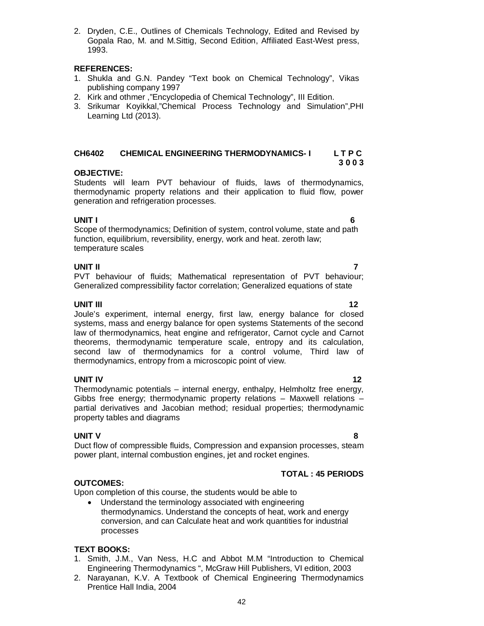2. Dryden, C.E., Outlines of Chemicals Technology, Edited and Revised by Gopala Rao, M. and M.Sittig, Second Edition, Affiliated East-West press, 1993.

### **REFERENCES:**

- 1. Shukla and G.N. Pandey "Text book on Chemical Technology", Vikas publishing company 1997
- 2. Kirk and othmer ,"Encyclopedia of Chemical Technology", III Edition.
- 3. Srikumar Koyikkal,"Chemical Process Technology and Simulation",PHI Learning Ltd (2013).

# **CH6402 CHEMICAL ENGINEERING THERMODYNAMICS- I L T P C**

### **OBJECTIVE:**

Students will learn PVT behaviour of fluids, laws of thermodynamics, thermodynamic property relations and their application to fluid flow, power generation and refrigeration processes.

**UNIT I 6** Scope of thermodynamics; Definition of system, control volume, state and path function, equilibrium, reversibility, energy, work and heat. zeroth law; temperature scales

### **UNIT II 7**

PVT behaviour of fluids; Mathematical representation of PVT behaviour; Generalized compressibility factor correlation; Generalized equations of state

### **UNIT III 12**

Joule's experiment, internal energy, first law, energy balance for closed systems, mass and energy balance for open systems Statements of the second law of thermodynamics, heat engine and refrigerator, Carnot cycle and Carnot theorems, thermodynamic temperature scale, entropy and its calculation, second law of thermodynamics for a control volume, Third law of thermodynamics, entropy from a microscopic point of view.

### **UNIT IV** 12

Thermodynamic potentials – internal energy, enthalpy, Helmholtz free energy, Gibbs free energy; thermodynamic property relations – Maxwell relations – partial derivatives and Jacobian method; residual properties; thermodynamic property tables and diagrams

### **UNIT V 8**

Duct flow of compressible fluids, Compression and expansion processes, steam power plant, internal combustion engines, jet and rocket engines.

### **OUTCOMES:**

Upon completion of this course, the students would be able to

 Understand the terminology associated with engineering thermodynamics. Understand the concepts of heat, work and energy conversion, and can Calculate heat and work quantities for industrial processes

### **TEXT BOOKS:**

- 1. Smith, J.M., Van Ness, H.C and Abbot M.M "Introduction to Chemical Engineering Thermodynamics ", McGraw Hill Publishers, VI edition, 2003
- 2. Narayanan, K.V. A Textbook of Chemical Engineering Thermodynamics Prentice Hall India, 2004

**TOTAL : 45 PERIODS**

## **3 0 0 3**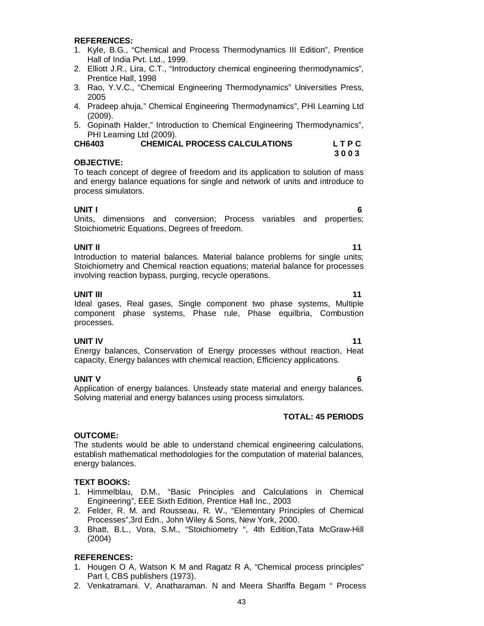### **REFERENCES:**

- 1. Kyle, B.G., "Chemical and Process Thermodynamics III Edition", Prentice Hall of India Pvt. Ltd., 1999.
- 2. Elliott J.R., Lira, C.T., "Introductory chemical engineering thermodynamics", Prentice Hall, 1998
- 3. Rao, Y.V.C., "Chemical Engineering Thermodynamics" Universities Press, 2005
- 4. Pradeep ahuja," Chemical Engineering Thermodynamics", PHI Learning Ltd (2009).
- 5. Gopinath Halder," Introduction to Chemical Engineering Thermodynamics", PHI Learning Ltd (2009).

| <b>CH6403</b> | <b>CHEMICAL PROCESS CALCULATIONS</b> | LTPC |
|---------------|--------------------------------------|------|
|               |                                      | 3003 |

### **OBJECTIVE:**

To teach concept of degree of freedom and its application to solution of mass and energy balance equations for single and network of units and introduce to process simulators.

**UNIT I 6** Units, dimensions and conversion; Process variables and properties; Stoichiometric Equations, Degrees of freedom.

### **UNIT II** 11

Introduction to material balances. Material balance problems for single units; Stoichiometry and Chemical reaction equations; material balance for processes involving reaction bypass, purging, recycle operations.

### **UNIT III** 11 Ideal gases, Real gases, Single component two phase systems, Multiple component phase systems, Phase rule, Phase equilbria, Combustion processes.

**UNIT IV 11** Energy balances, Conservation of Energy processes without reaction, Heat capacity, Energy balances with chemical reaction, Efficiency applications.

**UNIT V 6** Application of energy balances. Unsteady state material and energy balances. Solving material and energy balances using process simulators.

### **TOTAL: 45 PERIODS**

### **OUTCOME:**

The students would be able to understand chemical engineering calculations, establish mathematical methodologies for the computation of material balances, energy balances.

### **TEXT BOOKS:**

- 1. Himmelblau, D.M., "Basic Principles and Calculations in Chemical Engineering", EEE Sixth Edition, Prentice Hall Inc., 2003
- 2. Felder, R. M. and Rousseau, R. W., "Elementary Principles of Chemical Processes",3rd Edn., John Wiley & Sons, New York, 2000.
- 3. Bhatt, B.L., Vora, S.M., "Stoichiometry ", 4th Edition,Tata McGraw-Hill (2004)

### **REFERENCES:**

- 1. Hougen O A, Watson K M and Ragatz R A, "Chemical process principles" Part I, CBS publishers (1973).
- 2. Venkatramani. V, Anatharaman. N and Meera Shariffa Begam " Process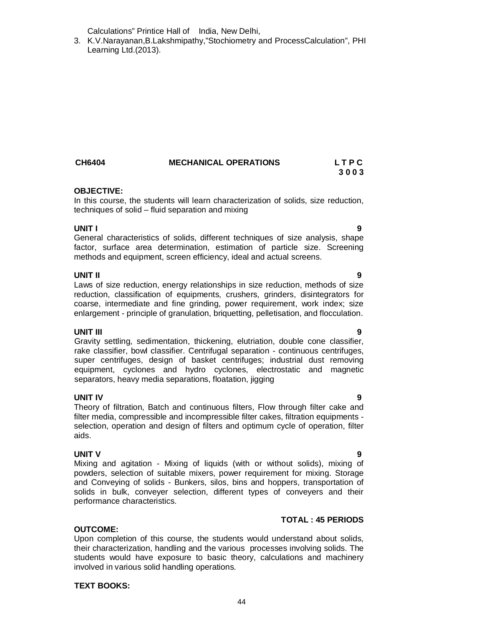Calculations" Printice Hall of India, New Delhi,

3. K.V.Narayanan,B.Lakshmipathy,"Stochiometry and ProcessCalculation", PHI Learning Ltd.(2013).

# **OBJECTIVE:**

In this course, the students will learn characterization of solids, size reduction, techniques of solid – fluid separation and mixing

**CH6404 MECHANICAL OPERATIONS L T P C**

### **UNIT I 9**

General characteristics of solids, different techniques of size analysis, shape factor, surface area determination, estimation of particle size. Screening methods and equipment, screen efficiency, ideal and actual screens.

### **UNIT II 9**

Laws of size reduction, energy relationships in size reduction, methods of size reduction, classification of equipments, crushers, grinders, disintegrators for coarse, intermediate and fine grinding, power requirement, work index; size enlargement - principle of granulation, briquetting, pelletisation, and flocculation.

### **UNIT III 9**

Gravity settling, sedimentation, thickening, elutriation, double cone classifier, rake classifier, bowl classifier. Centrifugal separation - continuous centrifuges, super centrifuges, design of basket centrifuges; industrial dust removing equipment, cyclones and hydro cyclones, electrostatic and magnetic separators, heavy media separations, floatation, jigging

### **UNIT IV 9**

Theory of filtration, Batch and continuous filters, Flow through filter cake and filter media, compressible and incompressible filter cakes, filtration equipments selection, operation and design of filters and optimum cycle of operation, filter aids.

### **UNIT V 9**

Mixing and agitation - Mixing of liquids (with or without solids), mixing of powders, selection of suitable mixers, power requirement for mixing. Storage and Conveying of solids - Bunkers, silos, bins and hoppers, transportation of solids in bulk, conveyer selection, different types of conveyers and their performance characteristics.

### **TOTAL : 45 PERIODS**

### **OUTCOME:**

Upon completion of this course, the students would understand about solids, their characterization, handling and the various processes involving solids. The students would have exposure to basic theory, calculations and machinery involved in various solid handling operations.

### **TEXT BOOKS:**

### 44

**3 0 0 3**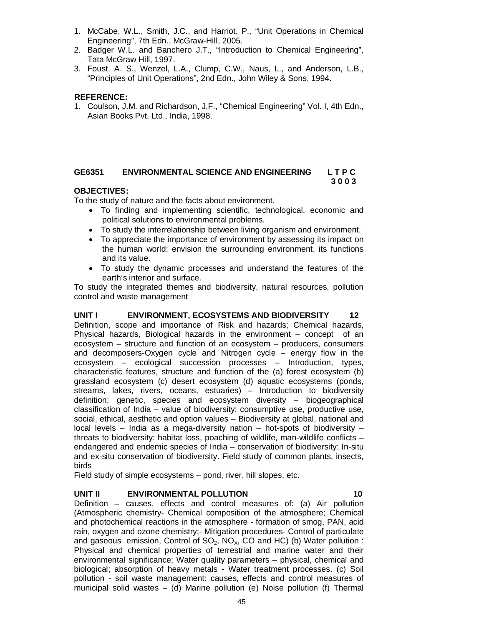- 1. McCabe, W.L., Smith, J.C., and Harriot, P., "Unit Operations in Chemical Engineering", 7th Edn., McGraw-Hill, 2005.
- 2. Badger W.L. and Banchero J.T., "Introduction to Chemical Engineering", Tata McGraw Hill, 1997.
- 3. Foust, A. S., Wenzel, L.A., Clump, C.W., Naus, L., and Anderson, L.B., "Principles of Unit Operations", 2nd Edn., John Wiley & Sons, 1994.

### **REFERENCE:**

1. Coulson, J.M. and Richardson, J.F., "Chemical Engineering" Vol. I, 4th Edn., Asian Books Pvt. Ltd., India, 1998.

### **GE6351 ENVIRONMENTAL SCIENCE AND ENGINEERING L T P C 3 0 0 3**

### **OBJECTIVES:**

To the study of nature and the facts about environment.

- To finding and implementing scientific, technological, economic and political solutions to environmental problems.
- To study the interrelationship between living organism and environment.
- To appreciate the importance of environment by assessing its impact on the human world; envision the surrounding environment, its functions and its value.
- To study the dynamic processes and understand the features of the earth's interior and surface.

To study the integrated themes and biodiversity, natural resources, pollution control and waste management

**UNIT I ENVIRONMENT, ECOSYSTEMS AND BIODIVERSITY 12** Definition, scope and importance of Risk and hazards; Chemical hazards, Physical hazards, Biological hazards in the environment – concept of an ecosystem – structure and function of an ecosystem – producers, consumers and decomposers-Oxygen cycle and Nitrogen cycle – energy flow in the ecosystem – ecological succession processes – Introduction, types, characteristic features, structure and function of the (a) forest ecosystem (b) grassland ecosystem (c) desert ecosystem (d) aquatic ecosystems (ponds, streams, lakes, rivers, oceans, estuaries) – Introduction to biodiversity definition: genetic, species and ecosystem diversity – biogeographical classification of India – value of biodiversity: consumptive use, productive use, social, ethical, aesthetic and option values – Biodiversity at global, national and local levels – India as a mega-diversity nation – hot-spots of biodiversity – threats to biodiversity: habitat loss, poaching of wildlife, man-wildlife conflicts – endangered and endemic species of India – conservation of biodiversity: In-situ and ex-situ conservation of biodiversity. Field study of common plants, insects, birds

Field study of simple ecosystems – pond, river, hill slopes, etc.

### **UNIT II ENVIRONMENTAL POLLUTION 10**

Definition – causes, effects and control measures of: (a) Air pollution (Atmospheric chemistry- Chemical composition of the atmosphere; Chemical and photochemical reactions in the atmosphere - formation of smog, PAN, acid rain, oxygen and ozone chemistry;- Mitigation procedures- Control of particulate and gaseous emission, Control of  $SO_2$ ,  $NO_x$ , CO and HC) (b) Water pollution : Physical and chemical properties of terrestrial and marine water and their environmental significance; Water quality parameters – physical, chemical and biological; absorption of heavy metals - Water treatment processes. (c) Soil pollution - soil waste management: causes, effects and control measures of municipal solid wastes – (d) Marine pollution (e) Noise pollution (f) Thermal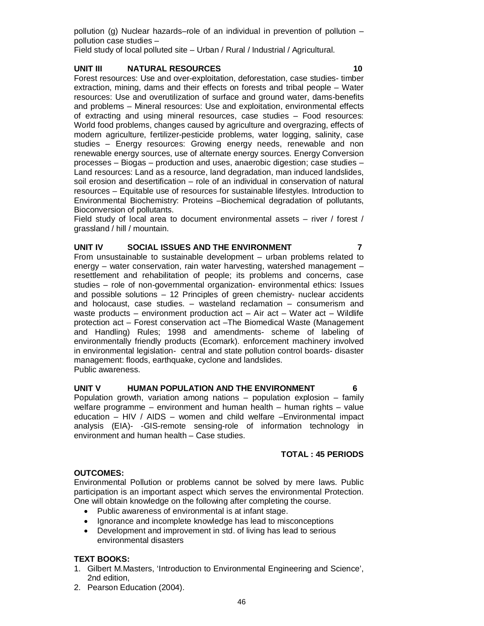pollution (g) Nuclear hazards–role of an individual in prevention of pollution – pollution case studies –

Field study of local polluted site – Urban / Rural / Industrial / Agricultural.

### **UNIT III NATURAL RESOURCES 10**

Forest resources: Use and over-exploitation, deforestation, case studies- timber extraction, mining, dams and their effects on forests and tribal people – Water resources: Use and overutilization of surface and ground water, dams-benefits and problems – Mineral resources: Use and exploitation, environmental effects of extracting and using mineral resources, case studies – Food resources: World food problems, changes caused by agriculture and overgrazing, effects of modern agriculture, fertilizer-pesticide problems, water logging, salinity, case studies – Energy resources: Growing energy needs, renewable and non renewable energy sources, use of alternate energy sources. Energy Conversion processes – Biogas – production and uses, anaerobic digestion; case studies – Land resources: Land as a resource, land degradation, man induced landslides, soil erosion and desertification – role of an individual in conservation of natural resources – Equitable use of resources for sustainable lifestyles. Introduction to Environmental Biochemistry: Proteins –Biochemical degradation of pollutants, Bioconversion of pollutants.

Field study of local area to document environmental assets – river / forest / grassland / hill / mountain.

### **UNIT IV SOCIAL ISSUES AND THE ENVIRONMENT 7**

From unsustainable to sustainable development – urban problems related to energy – water conservation, rain water harvesting, watershed management – resettlement and rehabilitation of people; its problems and concerns, case studies – role of non-governmental organization- environmental ethics: Issues and possible solutions – 12 Principles of green chemistry- nuclear accidents and holocaust, case studies. – wasteland reclamation – consumerism and waste products – environment production act – Air act – Water act – Wildlife protection act – Forest conservation act –The Biomedical Waste (Management and Handling) Rules; 1998 and amendments- scheme of labeling of environmentally friendly products (Ecomark). enforcement machinery involved in environmental legislation- central and state pollution control boards- disaster management: floods, earthquake, cyclone and landslides. Public awareness.

### UNIT V **HUMAN POPULATION AND THE ENVIRONMENT**

Population growth, variation among nations – population explosion – family welfare programme – environment and human health – human rights – value education – HIV / AIDS – women and child welfare –Environmental impact analysis (EIA)- -GIS-remote sensing-role of information technology in environment and human health – Case studies.

### **TOTAL : 45 PERIODS**

### **OUTCOMES:**

Environmental Pollution or problems cannot be solved by mere laws. Public participation is an important aspect which serves the environmental Protection. One will obtain knowledge on the following after completing the course.

- Public awareness of environmental is at infant stage.
- Ignorance and incomplete knowledge has lead to misconceptions
- Development and improvement in std. of living has lead to serious environmental disasters

### **TEXT BOOKS:**

- 1. Gilbert M.Masters, 'Introduction to Environmental Engineering and Science', 2nd edition,
- 2. Pearson Education (2004).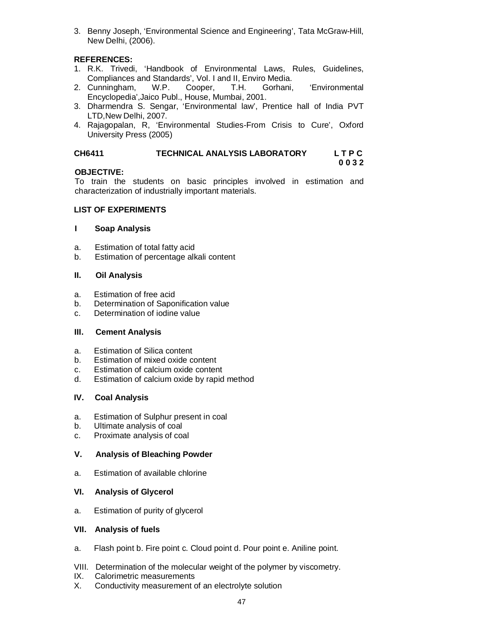3. Benny Joseph, 'Environmental Science and Engineering', Tata McGraw-Hill, New Delhi, (2006).

### **REFERENCES:**

- 1. R.K. Trivedi, 'Handbook of Environmental Laws, Rules, Guidelines, Compliances and Standards', Vol. I and II, Enviro Media.<br>Cunningham, W.P. Cooper, T.H. Gorhani,
- 2. Cunningham, W.P. Cooper, T.H. Gorhani, 'Environmental Encyclopedia',Jaico Publ., House, Mumbai, 2001.
- 3. Dharmendra S. Sengar, 'Environmental law', Prentice hall of India PVT LTD,New Delhi, 2007.
- 4. Rajagopalan, R, 'Environmental Studies-From Crisis to Cure', Oxford University Press (2005)

### **CH6411 TECHNICAL ANALYSIS LABORATORY L T P C**

**0 0 3 2**

### **OBJECTIVE:**

To train the students on basic principles involved in estimation and characterization of industrially important materials.

### **LIST OF EXPERIMENTS**

### **I Soap Analysis**

- a. Estimation of total fatty acid
- b. Estimation of percentage alkali content

### **II. Oil Analysis**

- a. Estimation of free acid
- b. Determination of Saponification value
- c. Determination of iodine value

### **III. Cement Analysis**

- a. Estimation of Silica content
- b. Estimation of mixed oxide content
- c. Estimation of calcium oxide content
- d. Estimation of calcium oxide by rapid method

### **IV. Coal Analysis**

- a. Estimation of Sulphur present in coal
- b. Ultimate analysis of coal
- c. Proximate analysis of coal

### **V. Analysis of Bleaching Powder**

a. Estimation of available chlorine

### **VI. Analysis of Glycerol**

a. Estimation of purity of glycerol

### **VII. Analysis of fuels**

- a. Flash point b. Fire point c. Cloud point d. Pour point e. Aniline point.
- VIII. Determination of the molecular weight of the polymer by viscometry.
- IX. Calorimetric measurements
- X. Conductivity measurement of an electrolyte solution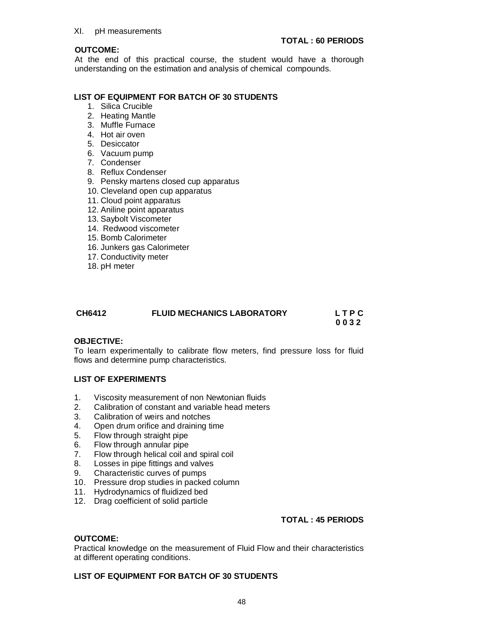### **OUTCOME:**

At the end of this practical course, the student would have a thorough understanding on the estimation and analysis of chemical compounds.

### **LIST OF EQUIPMENT FOR BATCH OF 30 STUDENTS**

- 1. Silica Crucible
- 2. Heating Mantle
- 3. Muffle Furnace
- 4. Hot air oven
- 5. Desiccator
- 6. Vacuum pump
- 7. Condenser
- 8. Reflux Condenser
- 9. Pensky martens closed cup apparatus
- 10. Cleveland open cup apparatus
- 11. Cloud point apparatus
- 12. Aniline point apparatus
- 13. Saybolt Viscometer
- 14. Redwood viscometer
- 15. Bomb Calorimeter
- 16. Junkers gas Calorimeter
- 17. Conductivity meter
- 18. pH meter

| CH6412 | <b>FLUID MECHANICS LABORATORY</b> | <b>LTPC</b> |
|--------|-----------------------------------|-------------|
|        |                                   | 0032        |

### **OBJECTIVE:**

To learn experimentally to calibrate flow meters, find pressure loss for fluid flows and determine pump characteristics.

### **LIST OF EXPERIMENTS**

- 1. Viscosity measurement of non Newtonian fluids
- 2. Calibration of constant and variable head meters
- 3. Calibration of weirs and notches
- 4. Open drum orifice and draining time
- 5. Flow through straight pipe
- 6. Flow through annular pipe
- 7. Flow through helical coil and spiral coil
- 8. Losses in pipe fittings and valves
- 9. Characteristic curves of pumps
- 10. Pressure drop studies in packed column
- 11. Hydrodynamics of fluidized bed
- 12. Drag coefficient of solid particle

### **TOTAL : 45 PERIODS**

### **OUTCOME:**

Practical knowledge on the measurement of Fluid Flow and their characteristics at different operating conditions.

### **LIST OF EQUIPMENT FOR BATCH OF 30 STUDENTS**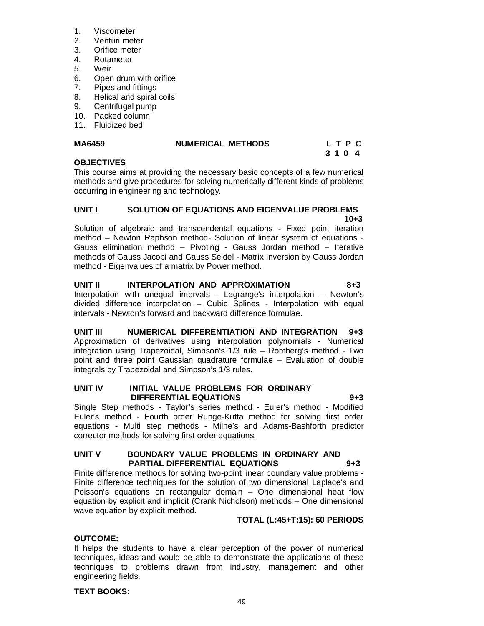- 1. Viscometer
- 2. Venturi meter
- 3. Orifice meter<br>4. Rotameter
- 4. Rotameter
- 5. Weir
- 6. Open drum with orifice
- 7. Pipes and fittings
- 8. Helical and spiral coils
- 9. Centrifugal pump
- 10. Packed column
- 11. Fluidized bed

# MA6459 **NUMERICAL METHODS** L T P C<br>3 1 0 4

# **3 1 0 4**

### **OBJECTIVES**

This course aims at providing the necessary basic concepts of a few numerical methods and give procedures for solving numerically different kinds of problems occurring in engineering and technology.

### **UNIT I SOLUTION OF EQUATIONS AND EIGENVALUE PROBLEMS 10+3 10+3**

Solution of algebraic and transcendental equations - Fixed point iteration method – Newton Raphson method- Solution of linear system of equations - Gauss elimination method – Pivoting - Gauss Jordan method – Iterative methods of Gauss Jacobi and Gauss Seidel - Matrix Inversion by Gauss Jordan method - Eigenvalues of a matrix by Power method.

# **UNIT II INTERPOLATION AND APPROXIMATION 8+3**

Interpolation with unequal intervals - Lagrange's interpolation – Newton's divided difference interpolation – Cubic Splines - Interpolation with equal intervals - Newton's forward and backward difference formulae.

**UNIT III NUMERICAL DIFFERENTIATION AND INTEGRATION 9+3** Approximation of derivatives using interpolation polynomials - Numerical integration using Trapezoidal, Simpson's 1/3 rule – Romberg's method - Two point and three point Gaussian quadrature formulae – Evaluation of double integrals by Trapezoidal and Simpson's 1/3 rules.

### **UNIT IV INITIAL VALUE PROBLEMS FOR ORDINARY DIFFERENTIAL EQUATIONS 9+3**

Single Step methods - Taylor's series method - Euler's method - Modified Euler's method - Fourth order Runge-Kutta method for solving first order equations - Multi step methods - Milne's and Adams-Bashforth predictor corrector methods for solving first order equations.

### **UNIT V BOUNDARY VALUE PROBLEMS IN ORDINARY AND PARTIAL DIFFERENTIAL EQUATIONS 9+3**

Finite difference methods for solving two-point linear boundary value problems - Finite difference techniques for the solution of two dimensional Laplace's and Poisson's equations on rectangular domain – One dimensional heat flow equation by explicit and implicit (Crank Nicholson) methods – One dimensional wave equation by explicit method.

### **TOTAL (L:45+T:15): 60 PERIODS**

### **OUTCOME:**

It helps the students to have a clear perception of the power of numerical techniques, ideas and would be able to demonstrate the applications of these techniques to problems drawn from industry, management and other engineering fields.

### **TEXT BOOKS:**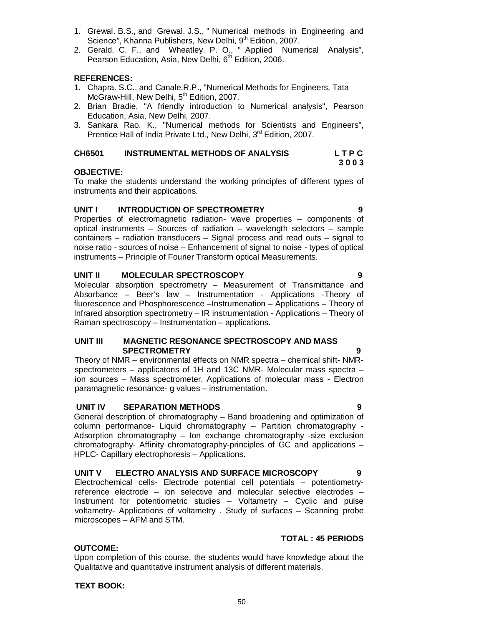# **SPECTROMETRY 9**

**UNIT II MOLECULAR SPECTROSCOPY 9** Molecular absorption spectrometry – Measurement of Transmittance and Absorbance – Beer's law – Instrumentation - Applications -Theory of fluorescence and Phosphorescence –Instrumenation – Applications – Theory of Infrared absorption spectrometry – IR instrumentation - Applications – Theory of

instruments and their applications. **UNIT I INTRODUCTION OF SPECTROMETRY 9** Properties of electromagnetic radiation- wave properties – components of

1. Grewal. B.S., and Grewal. J.S., " Numerical methods in Engineering and

2. Gerald. C. F., and Wheatley. P. O., " Applied Numerical Analysis",

1. Chapra. S.C., and Canale.R.P., "Numerical Methods for Engineers, Tata

2. Brian Bradie. "A friendly introduction to Numerical analysis", Pearson

3. Sankara Rao. K., "Numerical methods for Scientists and Engineers",

**CH6501 INSTRUMENTAL METHODS OF ANALYSIS L T P C**

To make the students understand the working principles of different types of

Prentice Hall of India Private Ltd., New Delhi, 3<sup>rd</sup> Edition, 2007.

Science", Khanna Publishers, New Delhi, 9<sup>th</sup> Edition, 2007.

Pearson Education, Asia, New Delhi, 6<sup>th</sup> Edition, 2006.

McGraw-Hill, New Delhi, 5<sup>th</sup> Edition, 2007.

Education, Asia, New Delhi, 2007.

**REFERENCES:**

**OBJECTIVE:**

optical instruments – Sources of radiation – wavelength selectors – sample containers – radiation transducers – Signal process and read outs – signal to noise ratio - sources of noise – Enhancement of signal to noise - types of optical instruments – Principle of Fourier Transform optical Measurements.

Raman spectroscopy – Instrumentation – applications.

# **UNIT III MAGNETIC RESONANCE SPECTROSCOPY AND MASS**

Theory of NMR – environmental effects on NMR spectra – chemical shift- NMRspectrometers – applicatons of 1H and 13C NMR- Molecular mass spectra – ion sources – Mass spectrometer. Applications of molecular mass - Electron paramagnetic resonance- g values – instrumentation.

### **UNIT IV SEPARATION METHODS 9**

General description of chromatography – Band broadening and optimization of column performance- Liquid chromatography – Partition chromatography - Adsorption chromatography – Ion exchange chromatography -size exclusion chromatography- Affinity chromatography-principles of GC and applications – HPLC- Capillary electrophoresis – Applications.

### **UNIT V ELECTRO ANALYSIS AND SURFACE MICROSCOPY 9**

Electrochemical cells- Electrode potential cell potentials – potentiometryreference electrode – ion selective and molecular selective electrodes – Instrument for potentiometric studies – Voltametry – Cyclic and pulse voltametry- Applications of voltametry . Study of surfaces – Scanning probe microscopes – AFM and STM.

### **TOTAL : 45 PERIODS**

**OUTCOME:** Upon completion of this course, the students would have knowledge about the Qualitative and quantitative instrument analysis of different materials.

**TEXT BOOK:**

**3 0 0 3**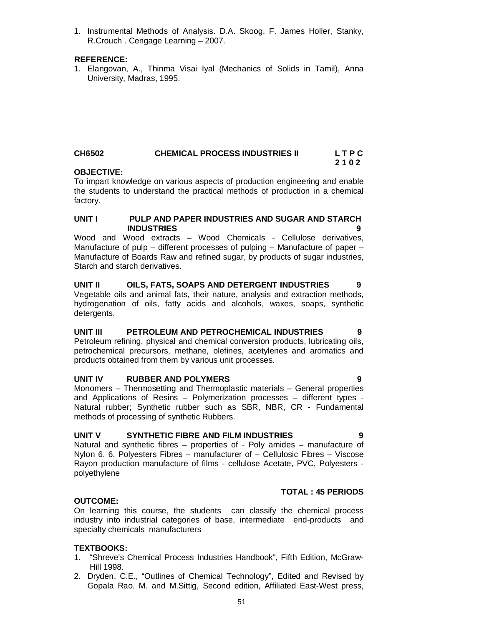On learning this course, the students can classify the chemical process industry into industrial categories of base, intermediate end-products and

polyethylene

detergents.

### **OUTCOME:**

**TEXTBOOKS:**

Hill 1998.

specialty chemicals manufacturers

Natural and synthetic fibres – properties of - Poly amides – manufacture of Nylon 6. 6. Polyesters Fibres – manufacturer of – Cellulosic Fibres – Viscose Rayon production manufacture of films - cellulose Acetate, PVC, Polyesters -

and Applications of Resins – Polymerization processes – different types - Natural rubber; Synthetic rubber such as SBR, NBR, CR - Fundamental methods of processing of synthetic Rubbers.

# **UNIT V SYNTHETIC FIBRE AND FILM INDUSTRIES 9**

**UNIT IV RUBBER AND POLYMERS 9** Monomers – Thermosetting and Thermoplastic materials – General properties

petrochemical precursors, methane, olefines, acetylenes and aromatics and products obtained from them by various unit processes.

**INDUSTRIES 9**

**UNIT I PULP AND PAPER INDUSTRIES AND SUGAR AND STARCH**  Wood and Wood extracts – Wood Chemicals - Cellulose derivatives, Manufacture of pulp – different processes of pulping – Manufacture of paper – Manufacture of Boards Raw and refined sugar, by products of sugar industries,

**UNIT II OILS, FATS, SOAPS AND DETERGENT INDUSTRIES 9** Vegetable oils and animal fats, their nature, analysis and extraction methods, hydrogenation of oils, fatty acids and alcohols, waxes, soaps, synthetic

**UNIT III PETROLEUM AND PETROCHEMICAL INDUSTRIES 9** Petroleum refining, physical and chemical conversion products, lubricating oils,

 **2 1 0 2 OBJECTIVE:** To impart knowledge on various aspects of production engineering and enable the students to understand the practical methods of production in a chemical factory.

### 1. Instrumental Methods of Analysis. D.A. Skoog, F. James Holler, Stanky, R.Crouch . Cengage Learning – 2007.

### **REFERENCE:**

Starch and starch derivatives.

1. Elangovan, A., Thinma Visai Iyal (Mechanics of Solids in Tamil), Anna University, Madras, 1995.

# **CH6502 CHEMICAL PROCESS INDUSTRIES II L T P C**

### 51

### **TOTAL : 45 PERIODS**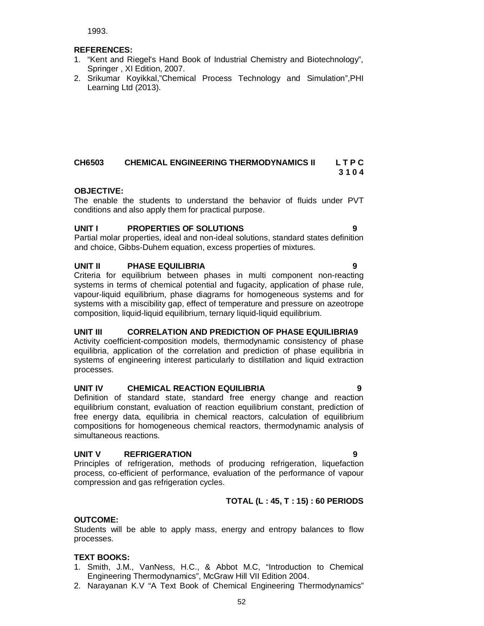1993.

### **REFERENCES:**

- 1. "Kent and Riegel's Hand Book of Industrial Chemistry and Biotechnology", Springer , XI Edition, 2007.
- 2. Srikumar Koyikkal,"Chemical Process Technology and Simulation",PHI Learning Ltd (2013).

### **CH6503 CHEMICAL ENGINEERING THERMODYNAMICS II L T P C 3 1 0 4**

### **OBJECTIVE:**

The enable the students to understand the behavior of fluids under PVT conditions and also apply them for practical purpose.

### **UNIT I PROPERTIES OF SOLUTIONS 9**

Partial molar properties, ideal and non-ideal solutions, standard states definition and choice, Gibbs-Duhem equation, excess properties of mixtures.

### **UNIT II PHASE EQUILIBRIA 9**

Criteria for equilibrium between phases in multi component non-reacting systems in terms of chemical potential and fugacity, application of phase rule, vapour-liquid equilibrium, phase diagrams for homogeneous systems and for systems with a miscibility gap, effect of temperature and pressure on azeotrope composition, liquid-liquid equilibrium, ternary liquid-liquid equilibrium.

### **UNIT III CORRELATION AND PREDICTION OF PHASE EQUILIBRIA9**

Activity coefficient-composition models, thermodynamic consistency of phase equilibria, application of the correlation and prediction of phase equilibria in systems of engineering interest particularly to distillation and liquid extraction processes.

### **UNIT IV CHEMICAL REACTION EQUILIBRIA 9**

Definition of standard state, standard free energy change and reaction equilibrium constant, evaluation of reaction equilibrium constant, prediction of free energy data, equilibria in chemical reactors, calculation of equilibrium compositions for homogeneous chemical reactors, thermodynamic analysis of simultaneous reactions.

### **UNIT V REFRIGERATION 9**

Principles of refrigeration, methods of producing refrigeration, liquefaction process, co-efficient of performance, evaluation of the performance of vapour compression and gas refrigeration cycles.

### **TOTAL (L : 45, T : 15) : 60 PERIODS**

### **OUTCOME:**

Students will be able to apply mass, energy and entropy balances to flow processes.

### **TEXT BOOKS:**

- 1. Smith, J.M., VanNess, H.C., & Abbot M.C, "Introduction to Chemical Engineering Thermodynamics", McGraw Hill VII Edition 2004.
- 2. Narayanan K.V "A Text Book of Chemical Engineering Thermodynamics"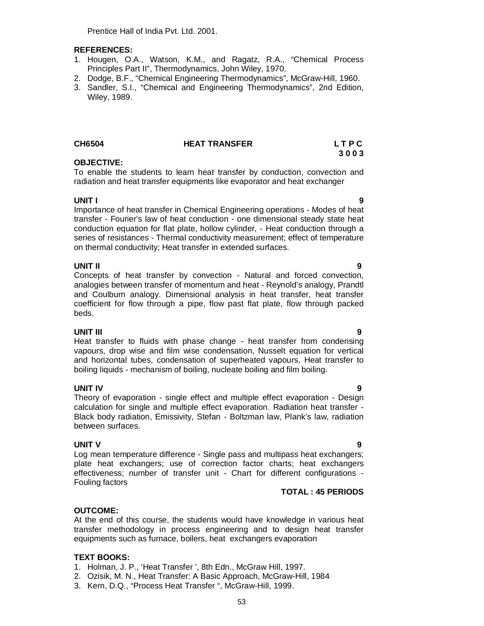Prentice Hall of India Pvt. Ltd. 2001.

### **REFERENCES:**

- 1. Hougen, O.A., Watson, K.M., and Ragatz, R.A., "Chemical Process Principles Part II", Thermodynamics, John Wiley, 1970.
- 2. Dodge, B.F., "Chemical Engineering Thermodynamics", McGraw-Hill, 1960.
- 3. Sandler, S.I., "Chemical and Engineering Thermodynamics", 2nd Edition, Wiley, 1989.

### **CH6504 HEAT TRANSFER L T P C**

### **OBJECTIVE:**

To enable the students to learn heat transfer by conduction, convection and radiation and heat transfer equipments like evaporator and heat exchanger

### **UNIT I 9**

Importance of heat transfer in Chemical Engineering operations - Modes of heat transfer - Fourier's law of heat conduction - one dimensional steady state heat conduction equation for flat plate, hollow cylinder, - Heat conduction through a series of resistances - Thermal conductivity measurement; effect of temperature on thermal conductivity; Heat transfer in extended surfaces.

### **UNIT II 9**

Concepts of heat transfer by convection - Natural and forced convection, analogies between transfer of momentum and heat - Reynold's analogy, Prandtl and Coulburn analogy. Dimensional analysis in heat transfer, heat transfer coefficient for flow through a pipe, flow past flat plate, flow through packed beds.

**UNIT III 9** Heat transfer to fluids with phase change - heat transfer from condensing vapours, drop wise and film wise condensation, Nusselt equation for vertical and horizontal tubes, condensation of superheated vapours, Heat transfer to boiling liquids - mechanism of boiling, nucleate boiling and film boiling.

### **UNIT IV 9**

Theory of evaporation - single effect and multiple effect evaporation - Design calculation for single and multiple effect evaporation. Radiation heat transfer - Black body radiation, Emissivity, Stefan - Boltzman law, Plank's law, radiation between surfaces.

### **UNIT V 9**

Log mean temperature difference - Single pass and multipass heat exchangers; plate heat exchangers; use of correction factor charts; heat exchangers effectiveness; number of transfer unit - Chart for different configurations - Fouling factors

### **TOTAL : 45 PERIODS**

### **OUTCOME:**

At the end of this course, the students would have knowledge in various heat transfer methodology in process engineering and to design heat transfer equipments such as furnace, boilers, heat exchangers evaporation

### **TEXT BOOKS:**

- 1. Holman, J. P., 'Heat Transfer ', 8th Edn., McGraw Hill, 1997.
- 2. Ozisik, M. N., Heat Transfer: A Basic Approach, McGraw-Hill, 1984
- 3. Kern, D.Q., "Process Heat Transfer ", McGraw-Hill, 1999.

**3 0 0 3**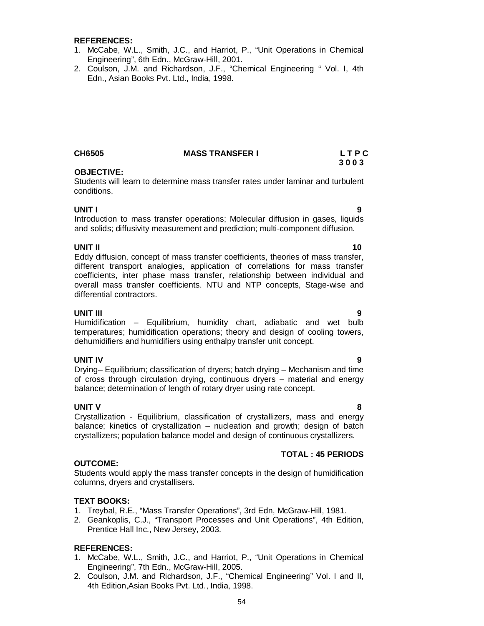### **REFERENCES:**

- 1. McCabe, W.L., Smith, J.C., and Harriot, P., "Unit Operations in Chemical Engineering", 6th Edn., McGraw-Hill, 2001.
- 2. Coulson, J.M. and Richardson, J.F., "Chemical Engineering " Vol. I, 4th Edn., Asian Books Pvt. Ltd., India, 1998.

### **CH6505 MASS TRANSFER I L T P C**

### **OBJECTIVE:**

Students will learn to determine mass transfer rates under laminar and turbulent conditions.

**UNIT I 9** Introduction to mass transfer operations; Molecular diffusion in gases, liquids and solids; diffusivity measurement and prediction; multi-component diffusion.

### **UNIT II 10**

Eddy diffusion, concept of mass transfer coefficients, theories of mass transfer, different transport analogies, application of correlations for mass transfer coefficients, inter phase mass transfer, relationship between individual and overall mass transfer coefficients. NTU and NTP concepts, Stage-wise and differential contractors.

**UNIT III 9** Humidification – Equilibrium, humidity chart, adiabatic and wet bulb temperatures; humidification operations; theory and design of cooling towers, dehumidifiers and humidifiers using enthalpy transfer unit concept.

**UNIT IV 9** Drying– Equilibrium; classification of dryers; batch drying – Mechanism and time of cross through circulation drying, continuous dryers – material and energy balance; determination of length of rotary dryer using rate concept.

### **UNIT V 8**

Crystallization - Equilibrium, classification of crystallizers, mass and energy balance; kinetics of crystallization – nucleation and growth; design of batch crystallizers; population balance model and design of continuous crystallizers.

### **TOTAL : 45 PERIODS**

### Students would apply the mass transfer concepts in the design of humidification columns, dryers and crystallisers.

### **TEXT BOOKS:**

**OUTCOME:**

- 1. Treybal, R.E., "Mass Transfer Operations", 3rd Edn, McGraw-Hill, 1981.
- 2. Geankoplis, C.J., "Transport Processes and Unit Operations", 4th Edition, Prentice Hall Inc., New Jersey, 2003.

### **REFERENCES:**

- 1. McCabe, W.L., Smith, J.C., and Harriot, P., "Unit Operations in Chemical Engineering", 7th Edn., McGraw-Hill, 2005.
- 2. Coulson, J.M. and Richardson, J.F., "Chemical Engineering" Vol. I and II, 4th Edition,Asian Books Pvt. Ltd., India, 1998.

 **3 0 0 3**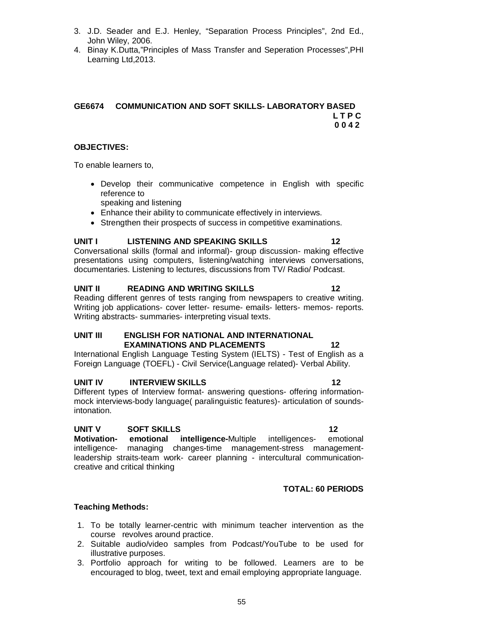- 3. J.D. Seader and E.J. Henley, "Separation Process Principles", 2nd Ed., John Wiley, 2006.
- 4. Binay K.Dutta,"Principles of Mass Transfer and Seperation Processes",PHI Learning Ltd,2013.

### **GE6674 COMMUNICATION AND SOFT SKILLS- LABORATORY BASED L T P C 0 0 4 2**

### **OBJECTIVES:**

To enable learners to,

- Develop their communicative competence in English with specific reference to speaking and listening
- Enhance their ability to communicate effectively in interviews.
- Strengthen their prospects of success in competitive examinations.

### **UNIT I LISTENING AND SPEAKING SKILLS 12**

Conversational skills (formal and informal)- group discussion- making effective presentations using computers, listening/watching interviews conversations, documentaries. Listening to lectures, discussions from TV/ Radio/ Podcast.

### **UNIT II READING AND WRITING SKILLS 12** Reading different genres of tests ranging from newspapers to creative writing. Writing job applications- cover letter- resume- emails- letters- memos- reports. Writing abstracts- summaries- interpreting visual texts.

### **UNIT III ENGLISH FOR NATIONAL AND INTERNATIONAL EXAMINATIONS AND PLACEMENTS 12**

International English Language Testing System (IELTS) - Test of English as a Foreign Language (TOEFL) - Civil Service(Language related)- Verbal Ability.

### **UNIT IV INTERVIEW SKILLS** 12

Different types of Interview format- answering questions- offering informationmock interviews-body language( paralinguistic features)- articulation of soundsintonation.

### **UNIT V SOFT SKILLS** 12

**Motivation- emotional intelligence-**Multiple intelligences- emotional intelligence- managing changes-time management-stress managementleadership straits-team work- career planning - intercultural communicationcreative and critical thinking

### **TOTAL: 60 PERIODS**

### **Teaching Methods:**

- 1. To be totally learner-centric with minimum teacher intervention as the course revolves around practice.
- 2. Suitable audio/video samples from Podcast/YouTube to be used for illustrative purposes.
- 3. Portfolio approach for writing to be followed. Learners are to be encouraged to blog, tweet, text and email employing appropriate language.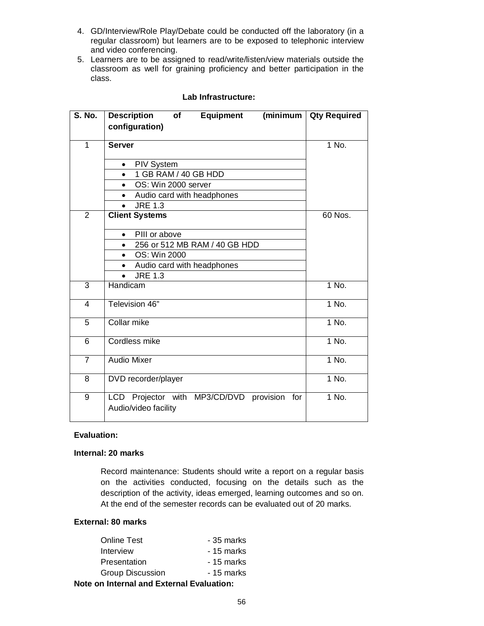- 4. GD/Interview/Role Play/Debate could be conducted off the laboratory (in a regular classroom) but learners are to be exposed to telephonic interview and video conferencing.
- 5. Learners are to be assigned to read/write/listen/view materials outside the classroom as well for graining proficiency and better participation in the class.

| S. No.         | (minimum<br><b>Description</b><br>Equipment<br>of<br>configuration)    | <b>Qty Required</b> |
|----------------|------------------------------------------------------------------------|---------------------|
| 1              | <b>Server</b>                                                          | $1$ No.             |
|                | <b>PIV System</b><br>$\bullet$                                         |                     |
|                | 1 GB RAM / 40 GB HDD<br>$\bullet$                                      |                     |
|                | OS: Win 2000 server<br>$\bullet$                                       |                     |
|                | Audio card with headphones                                             |                     |
|                | <b>JRE 1.3</b>                                                         |                     |
| $\overline{2}$ | <b>Client Systems</b>                                                  | 60 Nos.             |
|                | PIII or above<br>$\bullet$                                             |                     |
|                | 256 or 512 MB RAM / 40 GB HDD<br>$\bullet$                             |                     |
|                | OS: Win 2000<br>$\bullet$                                              |                     |
|                | Audio card with headphones                                             |                     |
|                | <b>JRE 1.3</b>                                                         |                     |
| 3              | Handicam                                                               | 1 No.               |
| 4              | Television 46"                                                         | $1$ No.             |
| 5              | Collar mike                                                            | $1$ No.             |
| 6              | <b>Cordless mike</b>                                                   | 1 No.               |
| $\overline{7}$ | <b>Audio Mixer</b>                                                     | 1 No.               |
| 8              | DVD recorder/player                                                    | 1 No.               |
| 9              | LCD Projector with MP3/CD/DVD provision<br>for<br>Audio/video facility | $1$ No.             |

### **Lab Infrastructure:**

### **Evaluation:**

### **Internal: 20 marks**

Record maintenance: Students should write a report on a regular basis on the activities conducted, focusing on the details such as the description of the activity, ideas emerged, learning outcomes and so on. At the end of the semester records can be evaluated out of 20 marks.

### **External: 80 marks**

| <b>Online Test</b>                               | - 35 marks |  |
|--------------------------------------------------|------------|--|
| Interview                                        | - 15 marks |  |
| <b>Presentation</b>                              | - 15 marks |  |
| <b>Group Discussion</b>                          | - 15 marks |  |
| <b>Note on Internal and External Evaluation:</b> |            |  |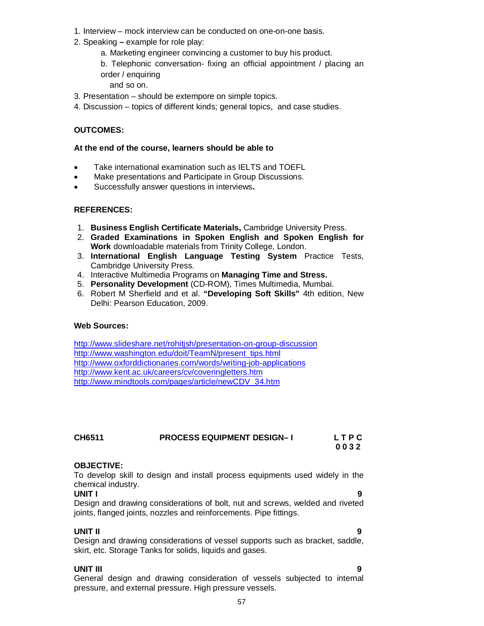- 1. Interview mock interview can be conducted on one-on-one basis.
- 2. Speaking **–** example for role play:
	- a. Marketing engineer convincing a customer to buy his product.
	- b. Telephonic conversation- fixing an official appointment / placing an order / enquiring

and so on.

- 3. Presentation should be extempore on simple topics.
- 4. Discussion topics of different kinds; general topics, and case studies.

### **OUTCOMES:**

### **At the end of the course, learners should be able to**

- Take international examination such as IELTS and TOEFL
- Make presentations and Participate in Group Discussions.
- Successfully answer questions in interviews**.**

### **REFERENCES:**

- 1. **Business English Certificate Materials,** Cambridge University Press.
- 2. **Graded Examinations in Spoken English and Spoken English for Work** downloadable materials from Trinity College, London.
- 3. **International English Language Testing System** Practice Tests, Cambridge University Press.
- 4. Interactive Multimedia Programs on **Managing Time and Stress.**
- 5. **Personality Development** (CD-ROM), Times Multimedia, Mumbai.
- 6. Robert M Sherfield and et al. **"Developing Soft Skills"** 4th edition, New Delhi: Pearson Education, 2009.

### **Web Sources:**

http://www.slideshare.net/rohitjsh/presentation-on-group-discussion http://www.washington.edu/doit/TeamN/present\_tips.html http://www.oxforddictionaries.com/words/writing-job-applications http://www.kent.ac.uk/careers/cv/coveringletters.htm http://www.mindtools.com/pages/article/newCDV\_34.htm

| CH6511 | <b>PROCESS EQUIPMENT DESIGN-1</b> | LTPC |
|--------|-----------------------------------|------|
|        |                                   | 0032 |

### **OBJECTIVE:**

To develop skill to design and install process equipments used widely in the chemical industry.

**UNIT I 9** Design and drawing considerations of bolt, nut and screws, welded and riveted joints, flanged joints, nozzles and reinforcements. Pipe fittings.

**UNIT II 9** Design and drawing considerations of vessel supports such as bracket, saddle, skirt, etc. Storage Tanks for solids, liquids and gases.

**UNIT III 9** General design and drawing consideration of vessels subjected to internal pressure, and external pressure. High pressure vessels.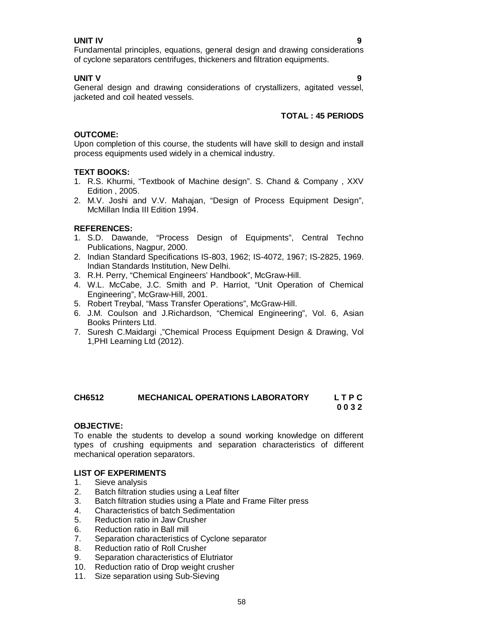### **UNIT IV 9**

Fundamental principles, equations, general design and drawing considerations of cyclone separators centrifuges, thickeners and filtration equipments.

### **UNIT V 9**

General design and drawing considerations of crystallizers, agitated vessel, jacketed and coil heated vessels.

### **TOTAL : 45 PERIODS**

### **OUTCOME:**

Upon completion of this course, the students will have skill to design and install process equipments used widely in a chemical industry.

### **TEXT BOOKS:**

- 1. R.S. Khurmi, "Textbook of Machine design". S. Chand & Company , XXV Edition , 2005.
- 2. M.V. Joshi and V.V. Mahajan, "Design of Process Equipment Design", McMillan India III Edition 1994.

### **REFERENCES:**

- 1. S.D. Dawande, "Process Design of Equipments", Central Techno Publications, Nagpur, 2000.
- 2. Indian Standard Specifications IS-803, 1962; IS-4072, 1967; IS-2825, 1969. Indian Standards Institution, New Delhi.
- 3. R.H. Perry, "Chemical Engineers' Handbook", McGraw-Hill.
- 4. W.L. McCabe, J.C. Smith and P. Harriot, "Unit Operation of Chemical Engineering", McGraw-Hill, 2001.
- 5. Robert Treybal, "Mass Transfer Operations", McGraw-Hill.
- 6. J.M. Coulson and J.Richardson, "Chemical Engineering", Vol. 6, Asian Books Printers Ltd.
- 7. Suresh C.Maidargi ,"Chemical Process Equipment Design & Drawing, Vol 1,PHI Learning Ltd (2012).

### **CH6512 MECHANICAL OPERATIONS LABORATORY L T P C 0 0 3 2**

### **OBJECTIVE:**

To enable the students to develop a sound working knowledge on different types of crushing equipments and separation characteristics of different mechanical operation separators.

### **LIST OF EXPERIMENTS**

- 1. Sieve analysis
- 2. Batch filtration studies using a Leaf filter
- 3. Batch filtration studies using a Plate and Frame Filter press
- 4. Characteristics of batch Sedimentation
- 5. Reduction ratio in Jaw Crusher
- 6. Reduction ratio in Ball mill
- 7. Separation characteristics of Cyclone separator
- 8. Reduction ratio of Roll Crusher
- 9. Separation characteristics of Elutriator
- 10. Reduction ratio of Drop weight crusher
- 11. Size separation using Sub-Sieving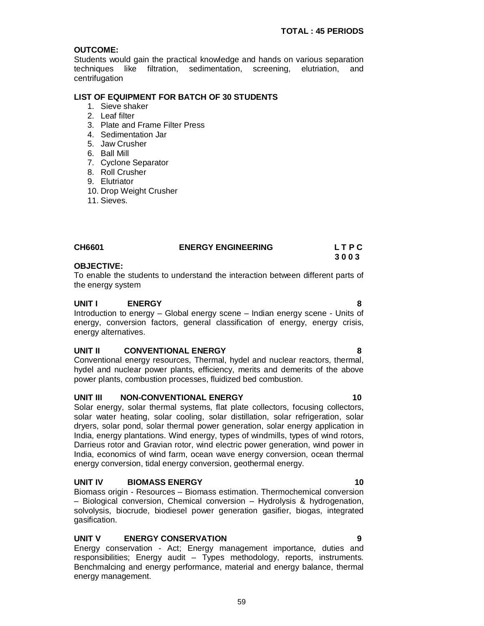### **OUTCOME:**

Students would gain the practical knowledge and hands on various separation techniques like filtration, sedimentation, screening, elutriation, and centrifugation

### **LIST OF EQUIPMENT FOR BATCH OF 30 STUDENTS**

- 1. Sieve shaker
- 2. Leaf filter
- 3. Plate and Frame Filter Press
- 4. Sedimentation Jar
- 5. Jaw Crusher
- 6. Ball Mill
- 7. Cyclone Separator
- 8. Roll Crusher
- 9. Elutriator
- 10. Drop Weight Crusher
- 11. Sieves.

| <b>CH6601</b> | <b>ENERGY ENGINEERING</b> | LTPC |
|---------------|---------------------------|------|
|               |                           | 3003 |

### **OBJECTIVE:**

To enable the students to understand the interaction between different parts of the energy system

### **UNIT I ENERGY 8**

Introduction to energy – Global energy scene – Indian energy scene - Units of energy, conversion factors, general classification of energy, energy crisis, energy alternatives.

### **UNIT II CONVENTIONAL ENERGY 8**

Conventional energy resources, Thermal, hydel and nuclear reactors, thermal, hydel and nuclear power plants, efficiency, merits and demerits of the above power plants, combustion processes, fluidized bed combustion.

### **UNIT III NON-CONVENTIONAL ENERGY 10**

Solar energy, solar thermal systems, flat plate collectors, focusing collectors, solar water heating, solar cooling, solar distillation, solar refrigeration, solar dryers, solar pond, solar thermal power generation, solar energy application in India, energy plantations. Wind energy, types of windmills, types of wind rotors, Darrieus rotor and Gravian rotor, wind electric power generation, wind power in India, economics of wind farm, ocean wave energy conversion, ocean thermal energy conversion, tidal energy conversion, geothermal energy.

### **UNIT IV BIOMASS ENERGY 10**

Biomass origin - Resources – Biomass estimation. Thermochemical conversion – Biological conversion, Chemical conversion – Hydrolysis & hydrogenation, solvolysis, biocrude, biodiesel power generation gasifier, biogas, integrated gasification.

### **UNIT V ENERGY CONSERVATION 9**

Energy conservation - Act; Energy management importance, duties and responsibilities; Energy audit – Types methodology, reports, instruments. Benchmalcing and energy performance, material and energy balance, thermal energy management.

### 59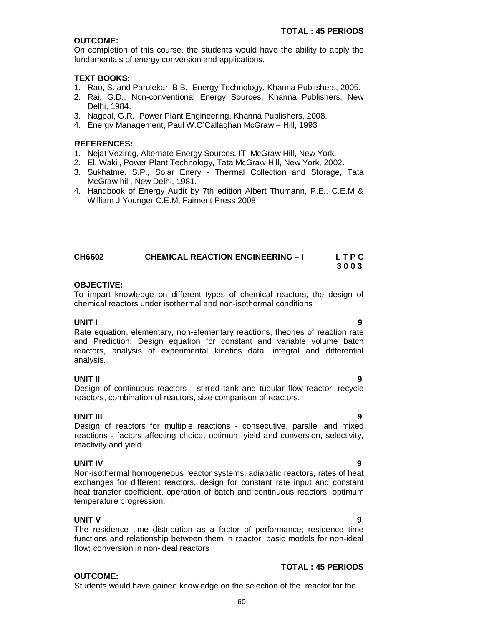### **OUTCOME:**

On completion of this course, the students would have the ability to apply the fundamentals of energy conversion and applications.

### **TEXT BOOKS:**

- 1. Rao, S. and Parulekar, B.B., Energy Technology, Khanna Publishers, 2005.
- 2. Rai, G.D., Non-conventional Energy Sources, Khanna Publishers, New Delhi, 1984.
- 3. Nagpal, G.R., Power Plant Engineering, Khanna Publishers, 2008.
- 4. Energy Management, Paul W.O'Callaghan McGraw Hill, 1993

### **REFERENCES:**

- 1. Nejat Vezirog, Alternate Energy Sources, IT, McGraw Hill, New York.
- 2. El. Wakil, Power Plant Technology, Tata McGraw Hill, New York, 2002.
- 3. Sukhatme. S.P., Solar Enery Thermal Collection and Storage, Tata McGraw hill, New Delhi, 1981.
- 4. Handbook of Energy Audit by 7th edition Albert Thumann, P.E., C.E.M & William J Younger C.E.M, Faiment Press 2008

| <b>CH6602</b> | <b>CHEMICAL REACTION ENGINEERING - I</b> | LTPC |
|---------------|------------------------------------------|------|
|               |                                          | 3003 |

### **OBJECTIVE:**

To impart knowledge on different types of chemical reactors, the design of chemical reactors under isothermal and non-isothermal conditions

### **UNIT I 9**

Rate equation, elementary, non-elementary reactions, theories of reaction rate and Prediction; Design equation for constant and variable volume batch reactors, analysis of experimental kinetics data, integral and differential analysis.

**UNIT II 9** Design of continuous reactors - stirred tank and tubular flow reactor, recycle reactors, combination of reactors, size comparison of reactors.

**UNIT III 9** Design of reactors for multiple reactions - consecutive, parallel and mixed reactions - factors affecting choice, optimum yield and conversion, selectivity, reactivity and yield.

### **UNIT IV 9**

Non-isothermal homogeneous reactor systems, adiabatic reactors, rates of heat exchanges for different reactors, design for constant rate input and constant heat transfer coefficient, operation of batch and continuous reactors, optimum temperature progression.

**UNIT V 9** The residence time distribution as a factor of performance; residence time functions and relationship between them in reactor; basic models for non-ideal flow; conversion in non-ideal reactors

### **TOTAL : 45 PERIODS**

### **OUTCOME:**

Students would have gained knowledge on the selection of the reactor for the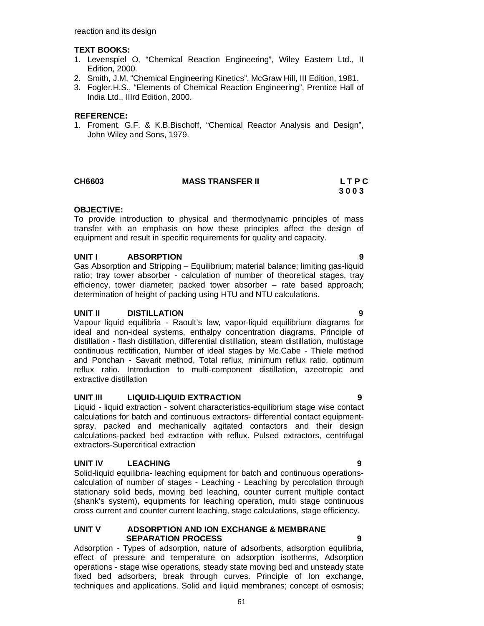### **TEXT BOOKS:**

- 1. Levenspiel O, "Chemical Reaction Engineering", Wiley Eastern Ltd., II Edition, 2000.
- 2. Smith, J.M, "Chemical Engineering Kinetics", McGraw Hill, III Edition, 1981.
- 3. Fogler.H.S., "Elements of Chemical Reaction Engineering", Prentice Hall of India Ltd., IIIrd Edition, 2000.

### **REFERENCE:**

1. Froment. G.F. & K.B.Bischoff, "Chemical Reactor Analysis and Design", John Wiley and Sons, 1979.

### **CH6603 MASS TRANSFER II L T P C**

 **3 0 0 3**

### **OBJECTIVE:**

To provide introduction to physical and thermodynamic principles of mass transfer with an emphasis on how these principles affect the design of equipment and result in specific requirements for quality and capacity.

### **UNIT I ABSORPTION 9**

Gas Absorption and Stripping – Equilibrium; material balance; limiting gas-liquid ratio; tray tower absorber - calculation of number of theoretical stages, tray efficiency, tower diameter; packed tower absorber – rate based approach; determination of height of packing using HTU and NTU calculations.

### **UNIT II DISTILLATION 9**

Vapour liquid equilibria - Raoult's law, vapor-liquid equilibrium diagrams for ideal and non-ideal systems, enthalpy concentration diagrams. Principle of distillation - flash distillation, differential distillation, steam distillation, multistage continuous rectification, Number of ideal stages by Mc.Cabe - Thiele method and Ponchan - Savarit method, Total reflux, minimum reflux ratio, optimum reflux ratio. Introduction to multi-component distillation, azeotropic and extractive distillation

### **UNIT III LIQUID-LIQUID EXTRACTION 9**

Liquid - liquid extraction - solvent characteristics-equilibrium stage wise contact calculations for batch and continuous extractors- differential contact equipmentspray, packed and mechanically agitated contactors and their design calculations-packed bed extraction with reflux. Pulsed extractors, centrifugal extractors-Supercritical extraction

### **UNIT IV LEACHING 9**

Solid-liquid equilibria- leaching equipment for batch and continuous operationscalculation of number of stages - Leaching - Leaching by percolation through stationary solid beds, moving bed leaching, counter current multiple contact (shank's system), equipments for leaching operation, multi stage continuous cross current and counter current leaching, stage calculations, stage efficiency.

### **UNIT V ADSORPTION AND ION EXCHANGE & MEMBRANE SEPARATION PROCESS 9**

Adsorption - Types of adsorption, nature of adsorbents, adsorption equilibria, effect of pressure and temperature on adsorption isotherms, Adsorption operations - stage wise operations, steady state moving bed and unsteady state fixed bed adsorbers, break through curves. Principle of Ion exchange, techniques and applications. Solid and liquid membranes; concept of osmosis;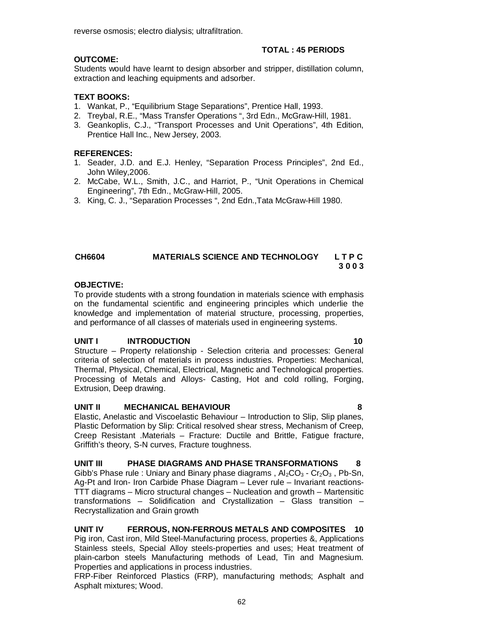reverse osmosis; electro dialysis; ultrafiltration.

### **TOTAL : 45 PERIODS**

### **OUTCOME:**

Students would have learnt to design absorber and stripper, distillation column, extraction and leaching equipments and adsorber.

### **TEXT BOOKS:**

- 1. Wankat, P., "Equilibrium Stage Separations", Prentice Hall, 1993.
- 2. Treybal, R.E., "Mass Transfer Operations ", 3rd Edn., McGraw-Hill, 1981.
- 3. Geankoplis, C.J., "Transport Processes and Unit Operations", 4th Edition, Prentice Hall Inc., New Jersey, 2003.

### **REFERENCES:**

- 1. Seader, J.D. and E.J. Henley, "Separation Process Principles", 2nd Ed., John Wiley,2006.
- 2. McCabe, W.L., Smith, J.C., and Harriot, P., "Unit Operations in Chemical Engineering", 7th Edn., McGraw-Hill, 2005.
- 3. King, C. J., "Separation Processes ", 2nd Edn.,Tata McGraw-Hill 1980.

### **CH6604 MATERIALS SCIENCE AND TECHNOLOGY L T P C 3 0 0 3**

### **OBJECTIVE:**

To provide students with a strong foundation in materials science with emphasis on the fundamental scientific and engineering principles which underlie the knowledge and implementation of material structure, processing, properties, and performance of all classes of materials used in engineering systems.

### **UNIT I INTRODUCTION 10**

Structure – Property relationship - Selection criteria and processes: General criteria of selection of materials in process industries. Properties: Mechanical, Thermal, Physical, Chemical, Electrical, Magnetic and Technological properties. Processing of Metals and Alloys- Casting, Hot and cold rolling, Forging, Extrusion, Deep drawing.

### **UNIT II MECHANICAL BEHAVIOUR 8**

Elastic, Anelastic and Viscoelastic Behaviour – Introduction to Slip, Slip planes, Plastic Deformation by Slip: Critical resolved shear stress, Mechanism of Creep, Creep Resistant .Materials – Fracture: Ductile and Brittle, Fatigue fracture, Griffith's theory, S-N curves, Fracture toughness.

### **UNIT III PHASE DIAGRAMS AND PHASE TRANSFORMATIONS 8**

Gibb's Phase rule : Uniary and Binary phase diagrams,  $Al_2CO_3 \cdot Cr_2O_3$ , Pb-Sn, Ag-Pt and Iron- Iron Carbide Phase Diagram – Lever rule – Invariant reactions-TTT diagrams – Micro structural changes – Nucleation and growth – Martensitic transformations – Solidification and Crystallization – Glass transition – Recrystallization and Grain growth

### **UNIT IV FERROUS, NON-FERROUS METALS AND COMPOSITES 10**

Pig iron, Cast iron, Mild Steel-Manufacturing process, properties &, Applications Stainless steels, Special Alloy steels-properties and uses; Heat treatment of plain-carbon steels Manufacturing methods of Lead, Tin and Magnesium. Properties and applications in process industries.

FRP-Fiber Reinforced Plastics (FRP), manufacturing methods; Asphalt and Asphalt mixtures; Wood.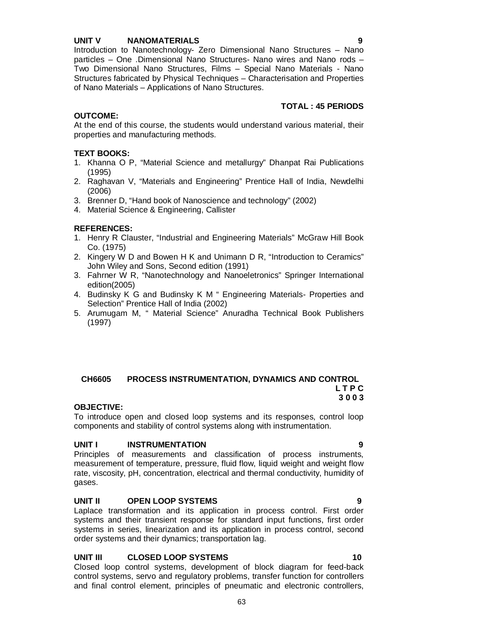### **UNIT V NANOMATERIALS 9**

Introduction to Nanotechnology- Zero Dimensional Nano Structures – Nano particles – One .Dimensional Nano Structures- Nano wires and Nano rods – Two Dimensional Nano Structures, Films – Special Nano Materials - Nano Structures fabricated by Physical Techniques – Characterisation and Properties of Nano Materials – Applications of Nano Structures.

### **TOTAL : 45 PERIODS**

### **OUTCOME:**

At the end of this course, the students would understand various material, their properties and manufacturing methods.

### **TEXT BOOKS:**

- 1. Khanna O P, "Material Science and metallurgy" Dhanpat Rai Publications (1995)
- 2. Raghavan V, "Materials and Engineering" Prentice Hall of India, Newdelhi (2006)
- 3. Brenner D, "Hand book of Nanoscience and technology" (2002)
- 4. Material Science & Engineering, Callister

### **REFERENCES:**

- 1. Henry R Clauster, "Industrial and Engineering Materials" McGraw Hill Book Co. (1975)
- 2. Kingery W D and Bowen H K and Unimann D R, "Introduction to Ceramics" John Wiley and Sons, Second edition (1991)
- 3. Fahrner W R, "Nanotechnology and Nanoeletronics" Springer International edition(2005)
- 4. Budinsky K G and Budinsky K M " Engineering Materials- Properties and Selection" Prentice Hall of India (2002)
- 5. Arumugam M, " Material Science" Anuradha Technical Book Publishers (1997)

### **CH6605 PROCESS INSTRUMENTATION, DYNAMICS AND CONTROL L T P C 3 0 0 3**

### **OBJECTIVE:**

To introduce open and closed loop systems and its responses, control loop components and stability of control systems along with instrumentation.

### **UNIT I INSTRUMENTATION 9**

Principles of measurements and classification of process instruments, measurement of temperature, pressure, fluid flow, liquid weight and weight flow rate, viscosity, pH, concentration, electrical and thermal conductivity, humidity of gases.

### **UNIT II OPEN LOOP SYSTEMS 9**

Laplace transformation and its application in process control. First order systems and their transient response for standard input functions, first order systems in series, linearization and its application in process control, second order systems and their dynamics; transportation lag.

### **UNIT III CLOSED LOOP SYSTEMS 10**

Closed loop control systems, development of block diagram for feed-back control systems, servo and regulatory problems, transfer function for controllers and final control element, principles of pneumatic and electronic controllers,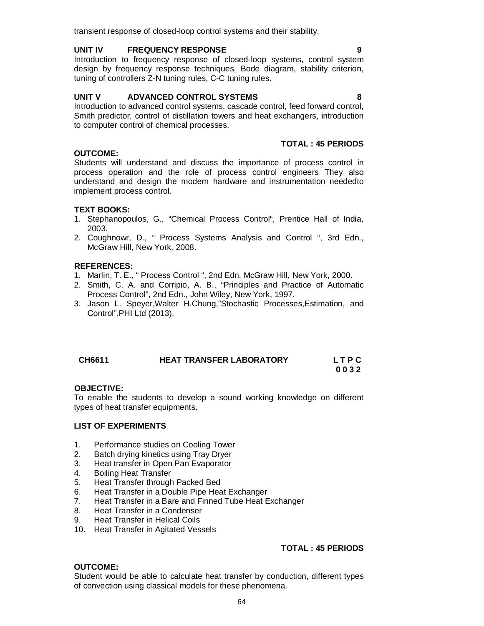### transient response of closed-loop control systems and their stability.

### **UNIT IV FREQUENCY RESPONSE 9**

Introduction to frequency response of closed-loop systems, control system design by frequency response techniques, Bode diagram, stability criterion, tuning of controllers Z-N tuning rules, C-C tuning rules.

### **UNIT V ADVANCED CONTROL SYSTEMS 8**

Introduction to advanced control systems, cascade control, feed forward control, Smith predictor, control of distillation towers and heat exchangers, introduction to computer control of chemical processes.

### **TOTAL : 45 PERIODS**

Students will understand and discuss the importance of process control in process operation and the role of process control engineers They also understand and design the modern hardware and instrumentation neededto implement process control.

### **TEXT BOOKS:**

**OUTCOME:**

- 1. Stephanopoulos, G., "Chemical Process Control", Prentice Hall of India, 2003.
- 2. Coughnowr, D., " Process Systems Analysis and Control ", 3rd Edn., McGraw Hill, New York, 2008.

### **REFERENCES:**

- 1. Marlin, T. E., " Process Control ", 2nd Edn, McGraw Hill, New York, 2000.
- 2. Smith, C. A. and Corripio, A. B., "Principles and Practice of Automatic Process Control", 2nd Edn., John Wiley, New York, 1997.
- 3. Jason L. Speyer,Walter H.Chung,"Stochastic Processes,Estimation, and Control",PHI Ltd (2013).

| CH6611 | <b>HEAT TRANSFER LABORATORY</b> | <b>LTPC</b> |
|--------|---------------------------------|-------------|
|        |                                 | 0032        |

### **OBJECTIVE:**

To enable the students to develop a sound working knowledge on different types of heat transfer equipments.

### **LIST OF EXPERIMENTS**

- 1. Performance studies on Cooling Tower
- 2. Batch drying kinetics using Tray Dryer
- 3. Heat transfer in Open Pan Evaporator
- 4. Boiling Heat Transfer
- 5. Heat Transfer through Packed Bed
- 6. Heat Transfer in a Double Pipe Heat Exchanger
- 7. Heat Transfer in a Bare and Finned Tube Heat Exchanger
- 8. Heat Transfer in a Condenser
- 9. Heat Transfer in Helical Coils
- 10. Heat Transfer in Agitated Vessels

### **TOTAL : 45 PERIODS**

### **OUTCOME:**

Student would be able to calculate heat transfer by conduction, different types of convection using classical models for these phenomena.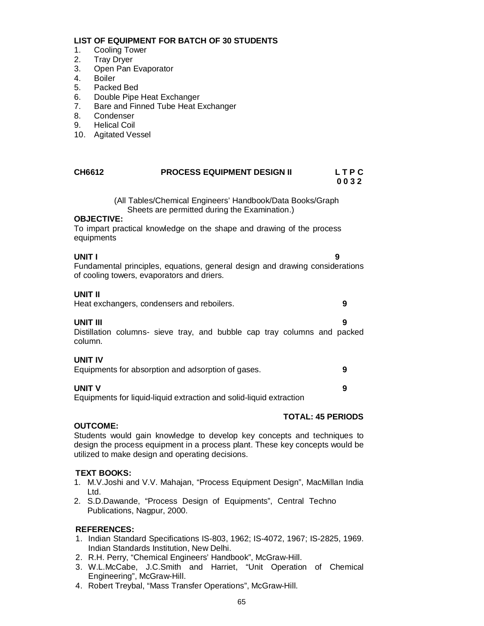### **LIST OF EQUIPMENT FOR BATCH OF 30 STUDENTS**

- 1. Cooling Tower
- 2. Tray Dryer
- 3. Open Pan Evaporator<br>4. Boiler
- **Boiler**
- 5. Packed Bed
- 6. Double Pipe Heat Exchanger<br>7. Bare and Finned Tube Heat E
- Bare and Finned Tube Heat Exchanger
- 8. Condenser
- 9. Helical Coil
- 10. Agitated Vessel

| CH6612 | <b>PROCESS EQUIPMENT DESIGN II</b> | LTPC |
|--------|------------------------------------|------|
|        |                                    | 0032 |

 (All Tables/Chemical Engineers' Handbook/Data Books/Graph Sheets are permitted during the Examination.)

### **OBJECTIVE:**

To impart practical knowledge on the shape and drawing of the process equipments

**UNIT I 9** Fundamental principles, equations, general design and drawing considerations of cooling towers, evaporators and driers.

### **UNIT II**

Heat exchangers, condensers and reboilers. **9**

**UNIT III 9** Distillation columns- sieve tray, and bubble cap tray columns and packed column.

### **UNIT IV**

| Equipments for absorption and adsorption of gases. |  |
|----------------------------------------------------|--|
|----------------------------------------------------|--|

### **UNIT V 9**

Equipments for liquid-liquid extraction and solid-liquid extraction

### **TOTAL: 45 PERIODS**

### **OUTCOME:**

Students would gain knowledge to develop key concepts and techniques to design the process equipment in a process plant. These key concepts would be utilized to make design and operating decisions.

### **TEXT BOOKS:**

- 1. M.V.Joshi and V.V. Mahajan, "Process Equipment Design", MacMillan India Ltd.
- 2. S.D.Dawande, "Process Design of Equipments", Central Techno Publications, Nagpur, 2000.

### **REFERENCES:**

- 1. Indian Standard Specifications IS-803, 1962; IS-4072, 1967; IS-2825, 1969. Indian Standards Institution, New Delhi.
- 2. R.H. Perry, "Chemical Engineers' Handbook", McGraw-Hill.
- 3. W.L.McCabe, J.C.Smith and Harriet, "Unit Operation of Chemical Engineering", McGraw-Hill.
- 4. Robert Treybal, "Mass Transfer Operations", McGraw-Hill.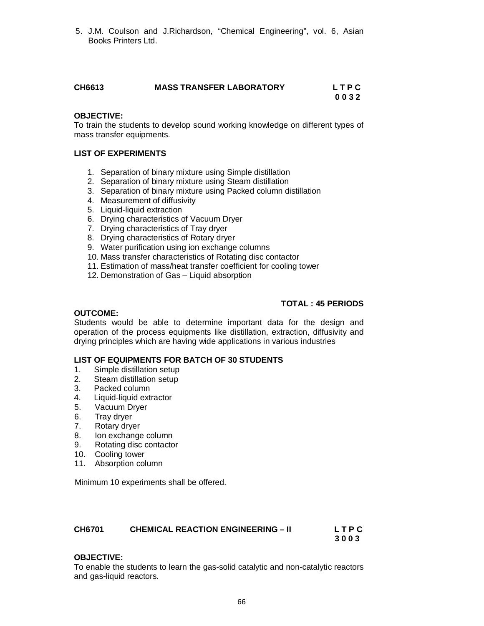5. J.M. Coulson and J.Richardson, "Chemical Engineering", vol. 6, Asian Books Printers Ltd.

| CH6613 | <b>MASS TRANSFER LABORATORY</b> | LTPC |
|--------|---------------------------------|------|
|        |                                 | 0032 |

### **OBJECTIVE:**

To train the students to develop sound working knowledge on different types of mass transfer equipments.

### **LIST OF EXPERIMENTS**

- 1. Separation of binary mixture using Simple distillation
- 2. Separation of binary mixture using Steam distillation
- 3. Separation of binary mixture using Packed column distillation
- 4. Measurement of diffusivity
- 5. Liquid-liquid extraction
- 6. Drying characteristics of Vacuum Dryer
- 7. Drying characteristics of Tray dryer
- 8. Drying characteristics of Rotary dryer
- 9. Water purification using ion exchange columns
- 10. Mass transfer characteristics of Rotating disc contactor
- 11. Estimation of mass/heat transfer coefficient for cooling tower
- 12. Demonstration of Gas Liquid absorption

### **TOTAL : 45 PERIODS**

### **OUTCOME:**

Students would be able to determine important data for the design and operation of the process equipments like distillation, extraction, diffusivity and drying principles which are having wide applications in various industries

### **LIST OF EQUIPMENTS FOR BATCH OF 30 STUDENTS**

- 1. Simple distillation setup<br>2. Steam distillation setup
- Steam distillation setup
- 
- 3. Packed column<br>4. Liquid-liquid ext 4. Liquid-liquid extractor
- 5. Vacuum Dryer
- 
- 6. Tray dryer<br>7. Rotary dry Rotary dryer
- 8. Ion exchange column
- 9. Rotating disc contactor
- 10. Cooling tower
- 11. Absorption column

Minimum 10 experiments shall be offered.

| CH6701 | <b>CHEMICAL REACTION ENGINEERING - II</b> | LTPC |
|--------|-------------------------------------------|------|
|        |                                           | 3003 |

### **OBJECTIVE:**

To enable the students to learn the gas-solid catalytic and non-catalytic reactors and gas-liquid reactors.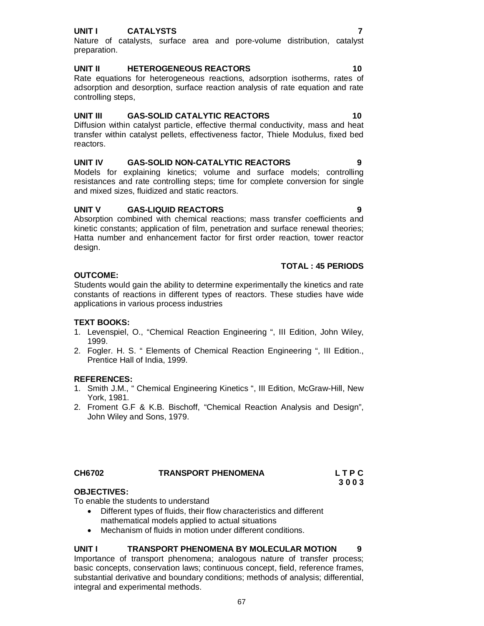### **UNIT I CATALYSTS 7**

Nature of catalysts, surface area and pore-volume distribution, catalyst preparation.

### **UNIT II HETEROGENEOUS REACTORS 10**

Rate equations for heterogeneous reactions, adsorption isotherms, rates of adsorption and desorption, surface reaction analysis of rate equation and rate controlling steps,

### **UNIT III GAS-SOLID CATALYTIC REACTORS 10**

Diffusion within catalyst particle, effective thermal conductivity, mass and heat transfer within catalyst pellets, effectiveness factor, Thiele Modulus, fixed bed reactors.

### **UNIT IV GAS-SOLID NON-CATALYTIC REACTORS 9**

Models for explaining kinetics; volume and surface models; controlling resistances and rate controlling steps; time for complete conversion for single and mixed sizes, fluidized and static reactors.

### **UNIT V GAS-LIQUID REACTORS 9**

Absorption combined with chemical reactions; mass transfer coefficients and kinetic constants; application of film, penetration and surface renewal theories; Hatta number and enhancement factor for first order reaction, tower reactor design.

### **TOTAL : 45 PERIODS**

### **OUTCOME:**

Students would gain the ability to determine experimentally the kinetics and rate constants of reactions in different types of reactors. These studies have wide applications in various process industries

### **TEXT BOOKS:**

- 1. Levenspiel, O., "Chemical Reaction Engineering ", III Edition, John Wiley, 1999.
- 2. Fogler. H. S. " Elements of Chemical Reaction Engineering ", III Edition., Prentice Hall of India, 1999.

### **REFERENCES:**

- 1. Smith J.M., " Chemical Engineering Kinetics ", III Edition, McGraw-Hill, New York, 1981.
- 2. Froment G.F & K.B. Bischoff, "Chemical Reaction Analysis and Design", John Wiley and Sons, 1979.

### **CH6702 TRANSPORT PHENOMENA L T P C 3 0 0 3**

### **OBJECTIVES:**

To enable the students to understand

- Different types of fluids, their flow characteristics and different mathematical models applied to actual situations
- Mechanism of fluids in motion under different conditions.

### **UNIT I TRANSPORT PHENOMENA BY MOLECULAR MOTION 9**

Importance of transport phenomena; analogous nature of transfer process; basic concepts, conservation laws; continuous concept, field, reference frames, substantial derivative and boundary conditions; methods of analysis; differential, integral and experimental methods.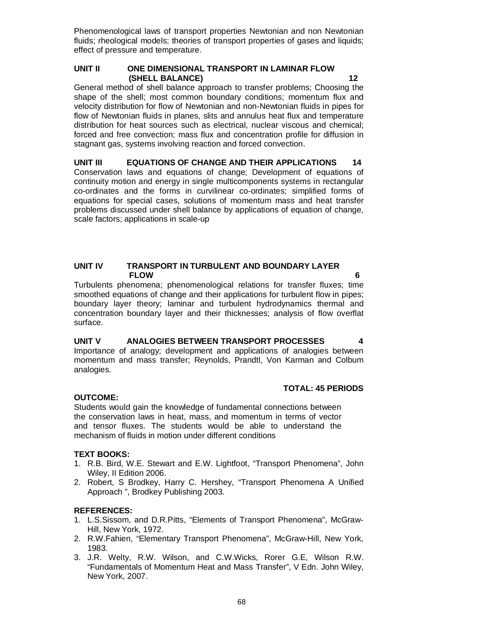Phenomenological laws of transport properties Newtonian and non Newtonian fluids; rheological models; theories of transport properties of gases and liquids; effect of pressure and temperature.

### **UNIT II ONE DIMENSIONAL TRANSPORT IN LAMINAR FLOW (SHELL BALANCE) 12**

General method of shell balance approach to transfer problems; Choosing the shape of the shell; most common boundary conditions; momentum flux and velocity distribution for flow of Newtonian and non-Newtonian fluids in pipes for flow of Newtonian fluids in planes, slits and annulus heat flux and temperature distribution for heat sources such as electrical, nuclear viscous and chemical; forced and free convection; mass flux and concentration profile for diffusion in stagnant gas, systems involving reaction and forced convection.

**UNIT III EQUATIONS OF CHANGE AND THEIR APPLICATIONS 14** Conservation laws and equations of change; Development of equations of continuity motion and energy in single multicomponents systems in rectangular co-ordinates and the forms in curvilinear co-ordinates; simplified forms of equations for special cases, solutions of momentum mass and heat transfer problems discussed under shell balance by applications of equation of change, scale factors; applications in scale-up

### **UNIT IV TRANSPORT IN TURBULENT AND BOUNDARY LAYER FLOW 6**

Turbulents phenomena; phenomenological relations for transfer fluxes; time smoothed equations of change and their applications for turbulent flow in pipes; boundary layer theory; laminar and turbulent hydrodynamics thermal and concentration boundary layer and their thicknesses; analysis of flow overflat surface.

### **UNIT V ANALOGIES BETWEEN TRANSPORT PROCESSES 4** Importance of analogy; development and applications of analogies between momentum and mass transfer; Reynolds, Prandtl, Von Karman and Colbum analogies.

### **TOTAL: 45 PERIODS**

### **OUTCOME:**

Students would gain the knowledge of fundamental connections between the conservation laws in heat, mass, and momentum in terms of vector and tensor fluxes. The students would be able to understand the mechanism of fluids in motion under different conditions

### **TEXT BOOKS:**

- 1. R.B. Bird, W.E. Stewart and E.W. Lightfoot, "Transport Phenomena", John Wiley, II Edition 2006.
- 2. Robert, S Brodkey, Harry C. Hershey, "Transport Phenomena A Unified Approach ", Brodkey Publishing 2003.

### **REFERENCES:**

- 1. L.S.Sissom, and D.R.Pitts, "Elements of Transport Phenomena", McGraw-Hill, New York, 1972.
- 2. R.W.Fahien, "Elementary Transport Phenomena", McGraw-Hill, New York, 1983.
- 3. J.R. Welty, R.W. Wilson, and C.W.Wicks, Rorer G.E, Wilson R.W. "Fundamentals of Momentum Heat and Mass Transfer", V Edn. John Wiley, New York, 2007.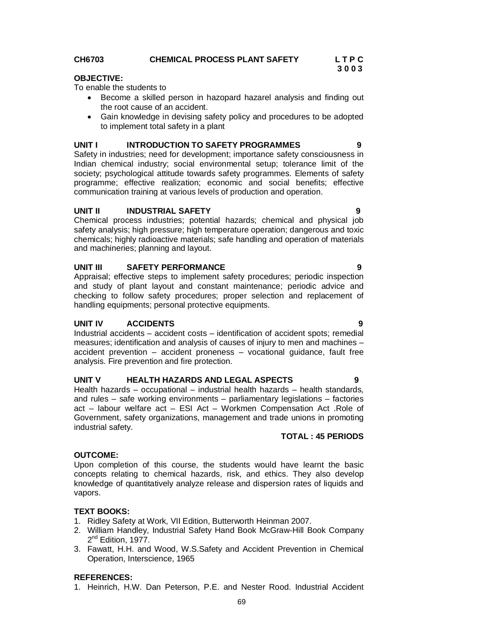### **CH6703 CHEMICAL PROCESS PLANT SAFETY L T P C**

### **OBJECTIVE:**

To enable the students to

- Become a skilled person in hazopard hazarel analysis and finding out the root cause of an accident.
- Gain knowledge in devising safety policy and procedures to be adopted to implement total safety in a plant

### **UNIT I INTRODUCTION TO SAFETY PROGRAMMES 9**

Safety in industries; need for development; importance safety consciousness in Indian chemical industry; social environmental setup; tolerance limit of the society; psychological attitude towards safety programmes. Elements of safety programme; effective realization; economic and social benefits; effective communication training at various levels of production and operation.

### **UNIT II INDUSTRIAL SAFETY 9**

Chemical process industries; potential hazards; chemical and physical job safety analysis; high pressure; high temperature operation; dangerous and toxic chemicals; highly radioactive materials; safe handling and operation of materials and machineries; planning and layout.

### **UNIT III SAFETY PERFORMANCE 9**

Appraisal; effective steps to implement safety procedures; periodic inspection and study of plant layout and constant maintenance; periodic advice and checking to follow safety procedures; proper selection and replacement of handling equipments; personal protective equipments.

### **UNIT IV ACCIDENTS 9**

Industrial accidents – accident costs – identification of accident spots; remedial measures; identification and analysis of causes of injury to men and machines – accident prevention – accident proneness – vocational guidance, fault free analysis. Fire prevention and fire protection.

### **UNIT V HEALTH HAZARDS AND LEGAL ASPECTS 9**

Health hazards – occupational – industrial health hazards – health standards, and rules – safe working environments – parliamentary legislations – factories act – labour welfare act – ESI Act – Workmen Compensation Act .Role of Government, safety organizations, management and trade unions in promoting industrial safety.

### **OUTCOME:**

Upon completion of this course, the students would have learnt the basic concepts relating to chemical hazards, risk, and ethics. They also develop knowledge of quantitatively analyze release and dispersion rates of liquids and vapors.

### **TEXT BOOKS:**

- 1. Ridley Safety at Work, VII Edition, Butterworth Heinman 2007.
- 2. William Handley, Industrial Safety Hand Book McGraw-Hill Book Company 2<sup>nd</sup> Edition, 1977.
- 3. Fawatt, H.H. and Wood, W.S.Safety and Accident Prevention in Chemical Operation, Interscience, 1965

### **REFERENCES:**

1. Heinrich, H.W. Dan Peterson, P.E. and Nester Rood. Industrial Accident

**TOTAL : 45 PERIODS**

**3 0 0 3**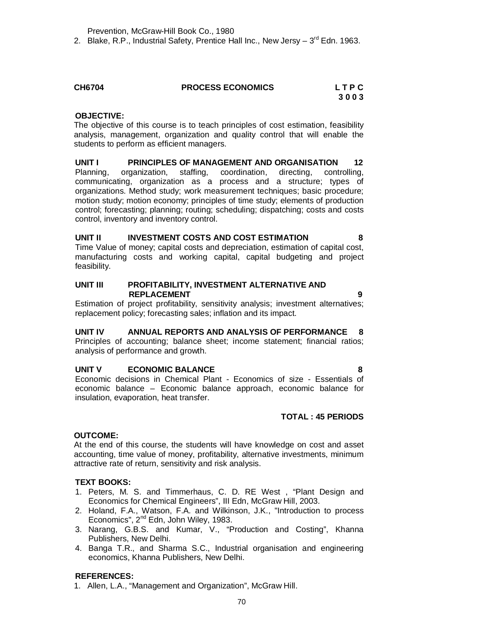Prevention, McGraw-Hill Book Co., 1980

2. Blake, R.P., Industrial Safety, Prentice Hall Inc., New Jersy – 3<sup>rd</sup> Edn. 1963.

### **CH6704 PROCESS ECONOMICS L T P C 3 0 0 3**

**OBJECTIVE:**

The objective of this course is to teach principles of cost estimation, feasibility analysis, management, organization and quality control that will enable the students to perform as efficient managers.

### **UNIT I PRINCIPLES OF MANAGEMENT AND ORGANISATION 12** Planning, organization, staffing, coordination, directing, controlling, communicating, organization as a process and a structure; types of organizations. Method study; work measurement techniques; basic procedure; motion study; motion economy; principles of time study; elements of production control; forecasting; planning; routing; scheduling; dispatching; costs and costs control, inventory and inventory control.

### **UNIT II INVESTMENT COSTS AND COST ESTIMATION 8** Time Value of money; capital costs and depreciation, estimation of capital cost, manufacturing costs and working capital, capital budgeting and project

feasibility.

### **UNIT III PROFITABILITY, INVESTMENT ALTERNATIVE AND REPLACEMENT 9**

Estimation of project profitability, sensitivity analysis; investment alternatives; replacement policy; forecasting sales; inflation and its impact.

### **UNIT IV ANNUAL REPORTS AND ANALYSIS OF PERFORMANCE 8**

Principles of accounting; balance sheet; income statement; financial ratios; analysis of performance and growth.

### **UNIT V ECONOMIC BALANCE 8**

Economic decisions in Chemical Plant - Economics of size - Essentials of economic balance – Economic balance approach, economic balance for insulation, evaporation, heat transfer.

### **TOTAL : 45 PERIODS**

### **OUTCOME:**

At the end of this course, the students will have knowledge on cost and asset accounting, time value of money, profitability, alternative investments, minimum attractive rate of return, sensitivity and risk analysis.

### **TEXT BOOKS:**

- 1. Peters, M. S. and Timmerhaus, C. D. RE West , "Plant Design and Economics for Chemical Engineers", III Edn, McGraw Hill, 2003.
- 2. Holand, F.A., Watson, F.A. and Wilkinson, J.K., "Introduction to process Economics", 2<sup>nd</sup> Edn, John Wiley, 1983.
- 3. Narang, G.B.S. and Kumar, V., "Production and Costing", Khanna Publishers, New Delhi.
- 4. Banga T.R., and Sharma S.C., Industrial organisation and engineering economics, Khanna Publishers, New Delhi.

### **REFERENCES:**

1. Allen, L.A., "Management and Organization", McGraw Hill.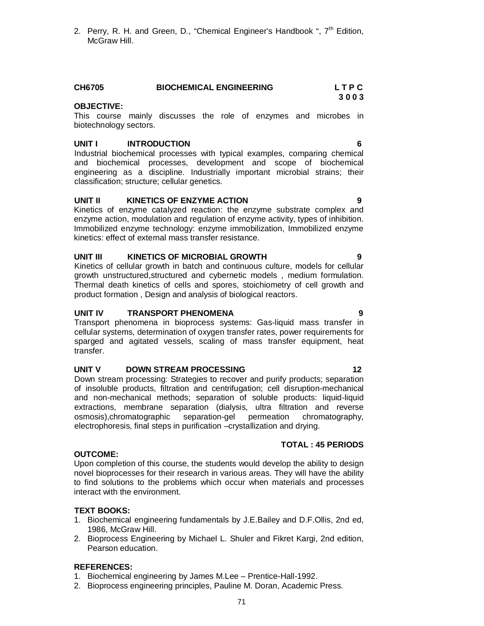2. Perry, R. H. and Green, D., "Chemical Engineer's Handbook ",  $7<sup>th</sup>$  Edition, McGraw Hill.

### **CH6705 BIOCHEMICAL ENGINEERING L T P C 3 0 0 3**

### **OBJECTIVE:**

This course mainly discusses the role of enzymes and microbes in biotechnology sectors.

### **UNIT I INTRODUCTION 6**

Industrial biochemical processes with typical examples, comparing chemical and biochemical processes, development and scope of biochemical engineering as a discipline. Industrially important microbial strains; their classification; structure; cellular genetics.

### **UNIT II KINETICS OF ENZYME ACTION 9**

Kinetics of enzyme catalyzed reaction: the enzyme substrate complex and enzyme action, modulation and regulation of enzyme activity, types of inhibition. Immobilized enzyme technology: enzyme immobilization, Immobilized enzyme kinetics: effect of external mass transfer resistance.

### **UNIT III KINETICS OF MICROBIAL GROWTH 9**

Kinetics of cellular growth in batch and continuous culture, models for cellular growth unstructured,structured and cybernetic models , medium formulation. Thermal death kinetics of cells and spores, stoichiometry of cell growth and product formation , Design and analysis of biological reactors.

### **UNIT IV TRANSPORT PHENOMENA 9**

Transport phenomena in bioprocess systems: Gas-liquid mass transfer in cellular systems, determination of oxygen transfer rates, power requirements for sparged and agitated vessels, scaling of mass transfer equipment, heat transfer.

### **UNIT V DOWN STREAM PROCESSING 12**

Down stream processing: Strategies to recover and purify products; separation of insoluble products, filtration and centrifugation; cell disruption-mechanical and non-mechanical methods; separation of soluble products: liquid-liquid extractions, membrane separation (dialysis, ultra filtration and reverse osmosis),chromatographic separation-gel permeation chromatography, electrophoresis, final steps in purification –crystallization and drying.

### **OUTCOME:**

Upon completion of this course, the students would develop the ability to design novel bioprocesses for their research in various areas. They will have the ability to find solutions to the problems which occur when materials and processes interact with the environment.

### **TEXT BOOKS:**

- 1. Biochemical engineering fundamentals by J.E.Bailey and D.F.Ollis, 2nd ed, 1986, McGraw Hill.
- 2. Bioprocess Engineering by Michael L. Shuler and Fikret Kargi, 2nd edition, Pearson education.

### **REFERENCES:**

- 1. Biochemical engineering by James M.Lee Prentice-Hall-1992.
- 2. Bioprocess engineering principles, Pauline M. Doran, Academic Press.

### **TOTAL : 45 PERIODS**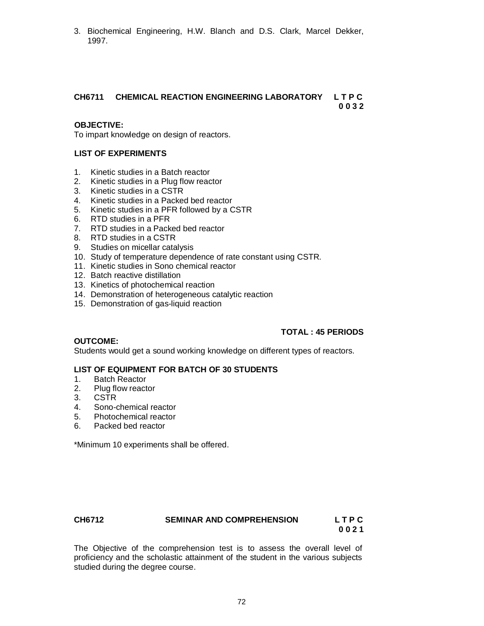3. Biochemical Engineering, H.W. Blanch and D.S. Clark, Marcel Dekker, 1997.

### **CH6711 CHEMICAL REACTION ENGINEERING LABORATORY L T P C 0 0 3 2**

### **OBJECTIVE:**

To impart knowledge on design of reactors.

### **LIST OF EXPERIMENTS**

- 1. Kinetic studies in a Batch reactor
- 2. Kinetic studies in a Plug flow reactor
- 3. Kinetic studies in a CSTR
- 4. Kinetic studies in a Packed bed reactor
- 5. Kinetic studies in a PFR followed by a CSTR
- 6. RTD studies in a PFR
- 7. RTD studies in a Packed bed reactor
- 8. RTD studies in a CSTR
- 9. Studies on micellar catalysis
- 10. Study of temperature dependence of rate constant using CSTR.
- 11. Kinetic studies in Sono chemical reactor
- 12. Batch reactive distillation
- 13. Kinetics of photochemical reaction
- 14. Demonstration of heterogeneous catalytic reaction
- 15. Demonstration of gas-liquid reaction

### **TOTAL : 45 PERIODS**

### **OUTCOME:**

Students would get a sound working knowledge on different types of reactors.

### **LIST OF EQUIPMENT FOR BATCH OF 30 STUDENTS**

- 1. Batch Reactor
- 2. Plug flow reactor
- 3. CSTR
- 4. Sono-chemical reactor
- 5. Photochemical reactor
- 6. Packed bed reactor

\*Minimum 10 experiments shall be offered.

### **CH6712 SEMINAR AND COMPREHENSION L T P C**

**0 0 2 1**

The Objective of the comprehension test is to assess the overall level of proficiency and the scholastic attainment of the student in the various subjects studied during the degree course.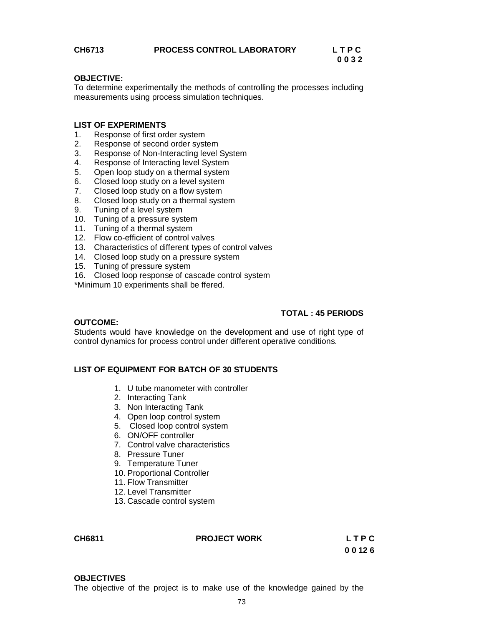# **0 0 3 2**

## **OBJECTIVE:**

To determine experimentally the methods of controlling the processes including measurements using process simulation techniques.

## **LIST OF EXPERIMENTS**

- 1. Response of first order system
- 2. Response of second order system
- 3. Response of Non-Interacting level System
- 4. Response of Interacting level System
- 5. Open loop study on a thermal system
- 6. Closed loop study on a level system<br>7. Closed loop study on a flow system
- Closed loop study on a flow system
- 8. Closed loop study on a thermal system
- 9. Tuning of a level system
- 10. Tuning of a pressure system
- 11. Tuning of a thermal system
- 12. Flow co-efficient of control valves
- 13. Characteristics of different types of control valves
- 14. Closed loop study on a pressure system
- 15. Tuning of pressure system
- 16. Closed loop response of cascade control system

\*Minimum 10 experiments shall be ffered.

## **TOTAL : 45 PERIODS**

## **OUTCOME:**

Students would have knowledge on the development and use of right type of control dynamics for process control under different operative conditions.

## **LIST OF EQUIPMENT FOR BATCH OF 30 STUDENTS**

- 1. U tube manometer with controller
- 2. Interacting Tank
- 3. Non Interacting Tank
- 4. Open loop control system
- 5. Closed loop control system
- 6. ON/OFF controller
- 7. Control valve characteristics
- 8. Pressure Tuner
- 9. Temperature Tuner
- 10. Proportional Controller
- 11. Flow Transmitter
- 12. Level Transmitter
- 13. Cascade control system

| CH6811 | <b>PROJECT WORK</b> | LTPC  |
|--------|---------------------|-------|
|        |                     | 00126 |

#### **OBJECTIVES**

The objective of the project is to make use of the knowledge gained by the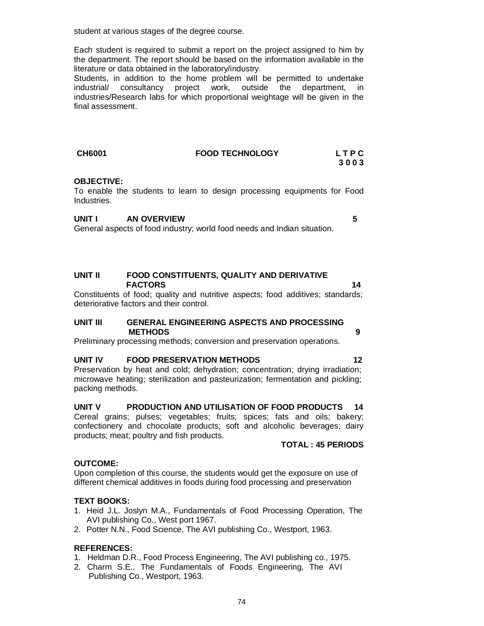student at various stages of the degree course.

Each student is required to submit a report on the project assigned to him by the department. The report should be based on the information available in the literature or data obtained in the laboratory/industry.

Students, in addition to the home problem will be permitted to undertake industrial/ consultancy project work, outside the department, in industries/Research labs for which proportional weightage will be given in the final assessment.

| <b>CH6001</b> | <b>FOOD TECHNOLOGY</b> | <b>LTPC</b> |
|---------------|------------------------|-------------|
|               |                        | 3003        |

#### **OBJECTIVE:**

To enable the students to learn to design processing equipments for Food Industries.

## **UNIT I AN OVERVIEW 5**

General aspects of food industry; world food needs and Indian situation.

## **UNIT II FOOD CONSTITUENTS, QUALITY AND DERIVATIVE FACTORS** 14

Constituents of food; quality and nutritive aspects; food additives; standards; deteriorative factors and their control.

#### **UNIT III GENERAL ENGINEERING ASPECTS AND PROCESSING METHODS 9**

Preliminary processing methods; conversion and preservation operations.

#### **UNIT IV FOOD PRESERVATION METHODS 12**

Preservation by heat and cold; dehydration; concentration; drying irradiation; microwave heating; sterilization and pasteurization; fermentation and pickling; packing methods.

**UNIT V PRODUCTION AND UTILISATION OF FOOD PRODUCTS 14**

Cereal grains; pulses; vegetables; fruits; spices; fats and oils; bakery; confectionery and chocolate products; soft and alcoholic beverages; dairy products; meat; poultry and fish products.

#### **TOTAL : 45 PERIODS**

## **OUTCOME:**

Upon completion of this course, the students would get the exposure on use of different chemical additives in foods during food processing and preservation

## **TEXT BOOKS:**

- 1. Heid J.L. Joslyn M.A., Fundamentals of Food Processing Operation, The AVI publishing Co., West port 1967.
- 2. Potter N.N., Food Science, The AVI publishing Co., Westport, 1963.

## **REFERENCES:**

- 1. Heldman D.R., Food Process Engineering, The AVI publishing co., 1975.
- 2. Charm S.E., The Fundamentals of Foods Engineering, The AVI Publishing Co., Westport, 1963.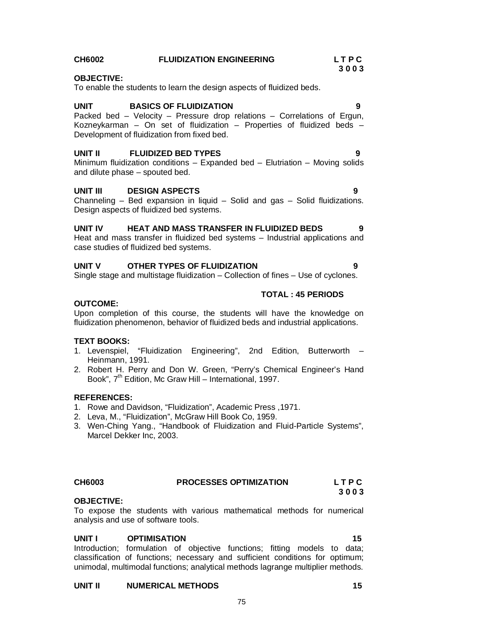## **CH6002 FLUIDIZATION ENGINEERING L T P C**

### **OBJECTIVE:**

To enable the students to learn the design aspects of fluidized beds.

#### **UNIT BASICS OF FLUIDIZATION 9**

Packed bed – Velocity – Pressure drop relations – Correlations of Ergun, Kozneykarman – On set of fluidization – Properties of fluidized beds – Development of fluidization from fixed bed.

## **UNIT II FLUIDIZED BED TYPES 9**

Minimum fluidization conditions – Expanded bed – Elutriation – Moving solids and dilute phase – spouted bed.

#### **UNIT III DESIGN ASPECTS 9**

Channeling – Bed expansion in liquid – Solid and gas – Solid fluidizations. Design aspects of fluidized bed systems.

#### **UNIT IV HEAT AND MASS TRANSFER IN FLUIDIZED BEDS 9**

Heat and mass transfer in fluidized bed systems – Industrial applications and case studies of fluidized bed systems.

#### **UNIT V OTHER TYPES OF FLUIDIZATION 9**

Single stage and multistage fluidization – Collection of fines – Use of cyclones.

## **TOTAL : 45 PERIODS**

### **OUTCOME:**

Upon completion of this course, the students will have the knowledge on fluidization phenomenon, behavior of fluidized beds and industrial applications.

## **TEXT BOOKS:**

- 1. Levenspiel, "Fluidization Engineering", 2nd Edition, Butterworth Heinmann, 1991.
- 2. Robert H. Perry and Don W. Green, "Perry's Chemical Engineer's Hand Book", 7<sup>th</sup> Edition, Mc Graw Hill – International, 1997.

#### **REFERENCES:**

- 1. Rowe and Davidson, "Fluidization", Academic Press ,1971.
- 2. Leva, M., "Fluidization", McGraw Hill Book Co, 1959.
- 3. Wen-Ching Yang., "Handbook of Fluidization and Fluid-Particle Systems", Marcel Dekker Inc, 2003.

## **CH6003 PROCESSES OPTIMIZATION L T P C**

**OBJECTIVE:**

To expose the students with various mathematical methods for numerical analysis and use of software tools.

## UNIT I OPTIMISATION 15

Introduction; formulation of objective functions; fitting models to data; classification of functions; necessary and sufficient conditions for optimum; unimodal, multimodal functions; analytical methods lagrange multiplier methods.

75

## **UNIT II NUMERICAL METHODS 15**

**3 0 0 3**

**3 0 0 3**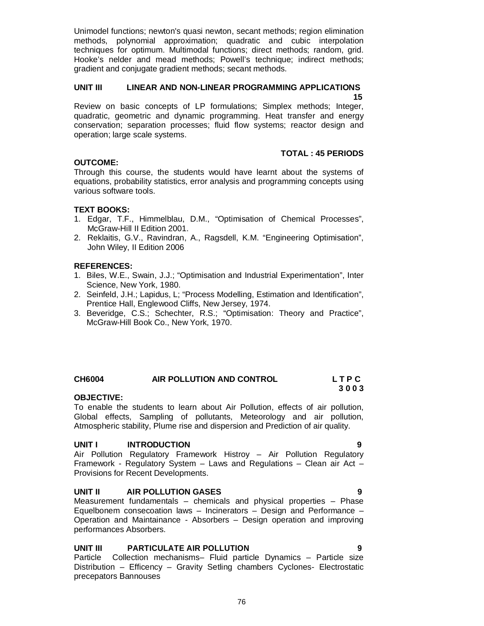Unimodel functions; newton's quasi newton, secant methods; region elimination methods, polynomial approximation; quadratic and cubic interpolation techniques for optimum. Multimodal functions; direct methods; random, grid. Hooke's nelder and mead methods; Powell's technique; indirect methods; gradient and conjugate gradient methods; secant methods.

## **UNIT III LINEAR AND NON-LINEAR PROGRAMMING APPLICATIONS**

 **15** Review on basic concepts of LP formulations; Simplex methods; Integer, quadratic, geometric and dynamic programming. Heat transfer and energy conservation; separation processes; fluid flow systems; reactor design and operation; large scale systems.

### **TOTAL : 45 PERIODS**

## **OUTCOME:**

Through this course, the students would have learnt about the systems of equations, probability statistics, error analysis and programming concepts using various software tools.

### **TEXT BOOKS:**

- 1. Edgar, T.F., Himmelblau, D.M., "Optimisation of Chemical Processes", McGraw-Hill II Edition 2001.
- 2. Reklaitis, G.V., Ravindran, A., Ragsdell, K.M. "Engineering Optimisation", John Wiley, II Edition 2006

### **REFERENCES:**

- 1. Biles, W.E., Swain, J.J.; "Optimisation and Industrial Experimentation", Inter Science, New York, 1980.
- 2. Seinfeld, J.H.; Lapidus, L; "Process Modelling, Estimation and Identification", Prentice Hall, Englewood Cliffs, New Jersey, 1974.
- 3. Beveridge, C.S.; Schechter, R.S.; "Optimisation: Theory and Practice", McGraw-Hill Book Co., New York, 1970.

#### **CH6004 AIR POLLUTION AND CONTROL L T P C 3 0 0 3**

#### **OBJECTIVE:**

To enable the students to learn about Air Pollution, effects of air pollution, Global effects, Sampling of pollutants, Meteorology and air pollution, Atmospheric stability, Plume rise and dispersion and Prediction of air quality.

#### **UNIT I INTRODUCTION 9**

Air Pollution Regulatory Framework Histroy – Air Pollution Regulatory Framework - Regulatory System – Laws and Regulations – Clean air Act – Provisions for Recent Developments.

#### **UNIT II AIR POLLUTION GASES 9**

Measurement fundamentals – chemicals and physical properties – Phase Equelbonem consecoation laws – Incinerators – Design and Performance – Operation and Maintainance - Absorbers – Design operation and improving performances Absorbers.

## **UNIT III PARTICULATE AIR POLLUTION 9**

Particle Collection mechanisms– Fluid particle Dynamics – Particle size Distribution – Efficency – Gravity Setling chambers Cyclones- Electrostatic precepators Bannouses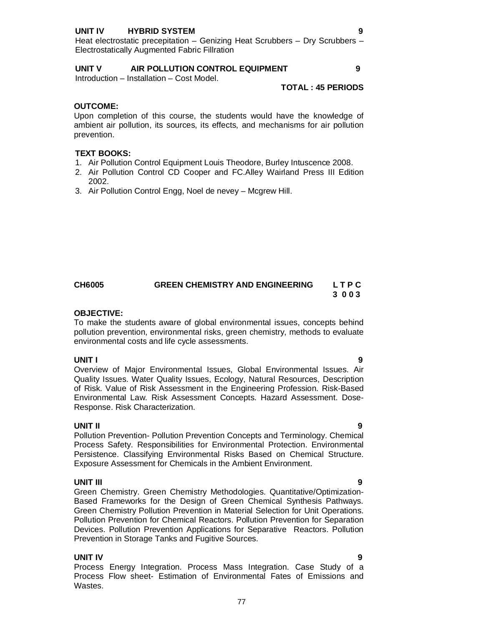## **UNIT IV HYBRID SYSTEM 9**

#### **UNIT V AIR POLLUTION CONTROL EQUIPMENT 9**

Introduction – Installation – Cost Model.

#### **TOTAL : 45 PERIODS**

#### **OUTCOME:**

Upon completion of this course, the students would have the knowledge of ambient air pollution, its sources, its effects, and mechanisms for air pollution prevention.

### **TEXT BOOKS:**

- 1. Air Pollution Control Equipment Louis Theodore, Burley Intuscence 2008.
- 2. Air Pollution Control CD Cooper and FC.Alley Wairland Press III Edition 2002.
- 3. Air Pollution Control Engg, Noel de nevey Mcgrew Hill.

## **CH6005 GREEN CHEMISTRY AND ENGINEERING L T P C 3 0 0 3**

### **OBJECTIVE:**

To make the students aware of global environmental issues, concepts behind pollution prevention, environmental risks, green chemistry, methods to evaluate environmental costs and life cycle assessments.

**UNIT I 9** Overview of Major Environmental Issues, Global Environmental Issues. Air Quality Issues. Water Quality Issues, Ecology, Natural Resources, Description of Risk. Value of Risk Assessment in the Engineering Profession. Risk-Based Environmental Law. Risk Assessment Concepts. Hazard Assessment. Dose-Response. Risk Characterization.

#### **UNIT II 9**

Pollution Prevention- Pollution Prevention Concepts and Terminology. Chemical Process Safety. Responsibilities for Environmental Protection. Environmental Persistence. Classifying Environmental Risks Based on Chemical Structure. Exposure Assessment for Chemicals in the Ambient Environment.

#### **UNIT III 9**

Green Chemistry. Green Chemistry Methodologies. Quantitative/Optimization-Based Frameworks for the Design of Green Chemical Synthesis Pathways. Green Chemistry Pollution Prevention in Material Selection for Unit Operations. Pollution Prevention for Chemical Reactors. Pollution Prevention for Separation Devices. Pollution Prevention Applications for Separative Reactors. Pollution Prevention in Storage Tanks and Fugitive Sources.

## **UNIT IV 9**

Process Energy Integration. Process Mass Integration. Case Study of a Process Flow sheet- Estimation of Environmental Fates of Emissions and Wastes.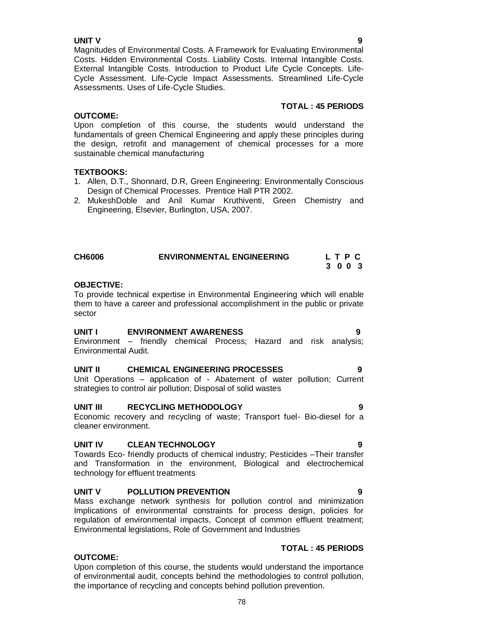**TOTAL : 45 PERIODS**

**UNIT V 9** Magnitudes of Environmental Costs. A Framework for Evaluating Environmental Costs. Hidden Environmental Costs. Liability Costs. Internal Intangible Costs. External Intangible Costs. Introduction to Product Life Cycle Concepts. Life-Cycle Assessment. Life-Cycle Impact Assessments. Streamlined Life-Cycle Assessments. Uses of Life-Cycle Studies.

## **OUTCOME:**

Upon completion of this course, the students would understand the fundamentals of green Chemical Engineering and apply these principles during the design, retrofit and management of chemical processes for a more sustainable chemical manufacturing

## **TEXTBOOKS:**

- 1. Allen, D.T., Shonnard, D.R, Green Engineering: Environmentally Conscious Design of Chemical Processes. Prentice Hall PTR 2002.
- 2. MukeshDoble and Anil Kumar Kruthiventi, Green Chemistry and Engineering, Elsevier, Burlington, USA, 2007.

| <b>CH6006</b> | <b>ENVIRONMENTAL ENGINEERING</b> | LTPC    |  |
|---------------|----------------------------------|---------|--|
|               |                                  | 3 0 0 3 |  |

## **OBJECTIVE:**

**OUTCOME:** 

To provide technical expertise in Environmental Engineering which will enable them to have a career and professional accomplishment in the public or private sector

#### **UNIT I ENVIRONMENT AWARENESS 9**

Environment – friendly chemical Process; Hazard and risk analysis; Environmental Audit.

## **UNIT II CHEMICAL ENGINEERING PROCESSES 9**

Unit Operations – application of - Abatement of water pollution; Current strategies to control air pollution; Disposal of solid wastes

## **UNIT III RECYCLING METHODOLOGY 9**

Economic recovery and recycling of waste; Transport fuel- Bio-diesel for a cleaner environment.

#### **UNIT IV CLEAN TECHNOLOGY 9**

Towards Eco- friendly products of chemical industry; Pesticides –Their transfer and Transformation in the environment, Biological and electrochemical technology for effluent treatments

#### **UNIT V POLLUTION PREVENTION 9**

Mass exchange network synthesis for pollution control and minimization Implications of environmental constraints for process design, policies for regulation of environmental impacts, Concept of common effluent treatment; Environmental legislations, Role of Government and Industries

## **TOTAL : 45 PERIODS**

Upon completion of this course, the students would understand the importance of environmental audit, concepts behind the methodologies to control pollution, the importance of recycling and concepts behind pollution prevention.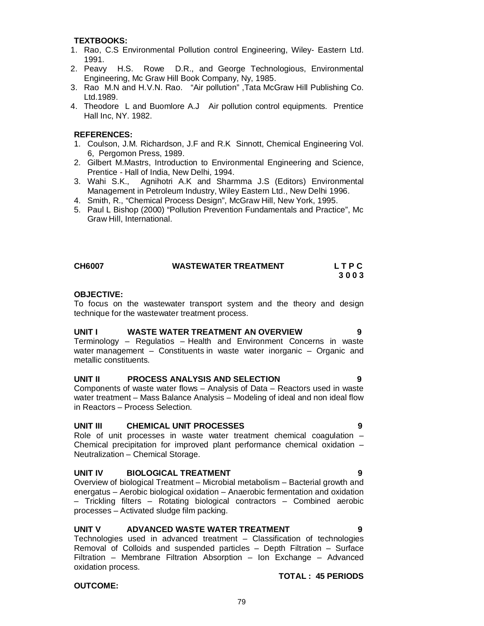#### **TEXTBOOKS:**

- 1. Rao, C.S Environmental Pollution control Engineering, Wiley- Eastern Ltd. 1991.
- 2. Peavy H.S. Rowe D.R., and George Technologious, Environmental Engineering, Mc Graw Hill Book Company, Ny, 1985.
- 3. Rao M.N and H.V.N. Rao. "Air pollution" ,Tata McGraw Hill Publishing Co. Ltd.1989.
- 4. Theodore L and Buomlore A.J Air pollution control equipments. Prentice Hall Inc, NY. 1982.

## **REFERENCES:**

- 1. Coulson, J.M. Richardson, J.F and R.K Sinnott, Chemical Engineering Vol. 6, Pergomon Press, 1989.
- 2. Gilbert M.Mastrs, Introduction to Environmental Engineering and Science, Prentice - Hall of India, New Delhi, 1994.
- 3. Wahi S.K., Agnihotri A.K and Sharmma J.S (Editors) Environmental Management in Petroleum Industry, Wiley Eastern Ltd., New Delhi 1996.
- 4. Smith, R., "Chemical Process Design", McGraw Hill, New York, 1995.
- 5. Paul L Bishop (2000) "Pollution Prevention Fundamentals and Practice", Mc Graw Hill, International.

| <b>CH6007</b> | <b>WASTEWATER TREATMENT</b> | LTPC |
|---------------|-----------------------------|------|
|               |                             | 3003 |

## **OBJECTIVE:**

To focus on the wastewater transport system and the theory and design technique for the wastewater treatment process.

## **UNIT I WASTE WATER TREATMENT AN OVERVIEW 9**

Terminology – Regulatios – Health and Environment Concerns in waste water management – Constituents in waste water inorganic – Organic and metallic constituents.

## **UNIT II PROCESS ANALYSIS AND SELECTION 9**

Components of waste water flows – Analysis of Data – Reactors used in waste water treatment – Mass Balance Analysis – Modeling of ideal and non ideal flow in Reactors – Process Selection.

#### **UNIT III CHEMICAL UNIT PROCESSES 9**

Role of unit processes in waste water treatment chemical coagulation – Chemical precipitation for improved plant performance chemical oxidation – Neutralization – Chemical Storage.

#### **UNIT IV BIOLOGICAL TREATMENT 9**

Overview of biological Treatment – Microbial metabolism – Bacterial growth and energatus – Aerobic biological oxidation – Anaerobic fermentation and oxidation – Trickling filters – Rotating biological contractors – Combined aerobic processes – Activated sludge film packing.

#### **UNIT V ADVANCED WASTE WATER TREATMENT 9**

Technologies used in advanced treatment – Classification of technologies Removal of Colloids and suspended particles – Depth Filtration – Surface Filtration – Membrane Filtration Absorption – Ion Exchange – Advanced oxidation process.

#### **OUTCOME:**

## **TOTAL : 45 PERIODS**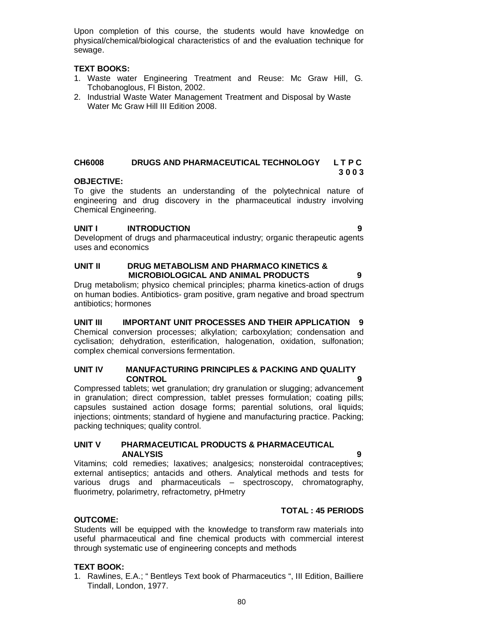Upon completion of this course, the students would have knowledge on physical/chemical/biological characteristics of and the evaluation technique for sewage.

### **TEXT BOOKS:**

- 1. Waste water Engineering Treatment and Reuse: Mc Graw Hill, G. Tchobanoglous, FI Biston, 2002.
- 2. Industrial Waste Water Management Treatment and Disposal by Waste Water Mc Graw Hill III Edition 2008.

#### **CH6008 DRUGS AND PHARMACEUTICAL TECHNOLOGY L T P C 3 0 0 3**

### **OBJECTIVE:**

To give the students an understanding of the polytechnical nature of engineering and drug discovery in the pharmaceutical industry involving Chemical Engineering.

### **UNIT I INTRODUCTION 9**

Development of drugs and pharmaceutical industry; organic therapeutic agents uses and economics

### **UNIT II DRUG METABOLISM AND PHARMACO KINETICS & MICROBIOLOGICAL AND ANIMAL PRODUCTS 9**

Drug metabolism; physico chemical principles; pharma kinetics-action of drugs on human bodies. Antibiotics- gram positive, gram negative and broad spectrum antibiotics; hormones

**UNIT III IMPORTANT UNIT PROCESSES AND THEIR APPLICATION 9** Chemical conversion processes; alkylation; carboxylation; condensation and cyclisation; dehydration, esterification, halogenation, oxidation, sulfonation; complex chemical conversions fermentation.

## **UNIT IV MANUFACTURING PRINCIPLES & PACKING AND QUALITY CONTROL 9**

Compressed tablets; wet granulation; dry granulation or slugging; advancement in granulation; direct compression, tablet presses formulation; coating pills; capsules sustained action dosage forms; parential solutions, oral liquids; injections; ointments; standard of hygiene and manufacturing practice. Packing; packing techniques; quality control.

## **UNIT V PHARMACEUTICAL PRODUCTS & PHARMACEUTICAL ANALYSIS 9**

Vitamins; cold remedies; laxatives; analgesics; nonsteroidal contraceptives; external antiseptics; antacids and others. Analytical methods and tests for various drugs and pharmaceuticals – spectroscopy, chromatography, fluorimetry, polarimetry, refractometry, pHmetry

## **TOTAL : 45 PERIODS**

## **OUTCOME:**

Students will be equipped with the knowledge to transform raw materials into useful pharmaceutical and fine chemical products with commercial interest through systematic use of engineering concepts and methods

## **TEXT BOOK:**

1. Rawlines, E.A.; " Bentleys Text book of Pharmaceutics ", III Edition, Bailliere Tindall, London, 1977.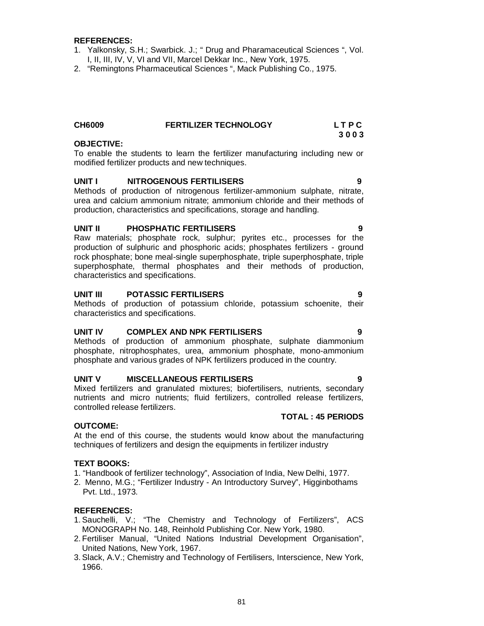#### **REFERENCES:**

- 1. Yalkonsky, S.H.; Swarbick. J.; " Drug and Pharamaceutical Sciences ", Vol. I, II, III, IV, V, VI and VII, Marcel Dekkar Inc., New York, 1975.
- 2. "Remingtons Pharmaceutical Sciences ", Mack Publishing Co., 1975.

| <b>CH6009</b> | <b>FERTILIZER TECHNOLOGY</b> | <b>LTPC</b> |
|---------------|------------------------------|-------------|
|               |                              | <u>າດດາ</u> |

#### **OBJECTIVE:**

To enable the students to learn the fertilizer manufacturing including new or modified fertilizer products and new techniques.

#### **UNIT I NITROGENOUS FERTILISERS 9**

Methods of production of nitrogenous fertilizer-ammonium sulphate, nitrate, urea and calcium ammonium nitrate; ammonium chloride and their methods of production, characteristics and specifications, storage and handling.

#### **UNIT II PHOSPHATIC FERTILISERS 9**

Raw materials; phosphate rock, sulphur; pyrites etc., processes for the production of sulphuric and phosphoric acids; phosphates fertilizers - ground rock phosphate; bone meal-single superphosphate, triple superphosphate, triple superphosphate, thermal phosphates and their methods of production, characteristics and specifications.

#### **UNIT III POTASSIC FERTILISERS 9**

Methods of production of potassium chloride, potassium schoenite, their characteristics and specifications.

#### **UNIT IV COMPLEX AND NPK FERTILISERS 9**

Methods of production of ammonium phosphate, sulphate diammonium phosphate, nitrophosphates, urea, ammonium phosphate, mono-ammonium phosphate and various grades of NPK fertilizers produced in the country.

#### **UNIT V MISCELLANEOUS FERTILISERS 9**

Mixed fertilizers and granulated mixtures; biofertilisers, nutrients, secondary nutrients and micro nutrients; fluid fertilizers, controlled release fertilizers, controlled release fertilizers.

## **TOTAL : 45 PERIODS**

#### **OUTCOME:**

At the end of this course, the students would know about the manufacturing techniques of fertilizers and design the equipments in fertilizer industry

#### **TEXT BOOKS:**

- 1. "Handbook of fertilizer technology", Association of India, New Delhi, 1977.
- 2. Menno, M.G.; "Fertilizer Industry An Introductory Survey", Higginbothams Pvt. Ltd., 1973.

#### **REFERENCES:**

- 1.Sauchelli, V.; "The Chemistry and Technology of Fertilizers", ACS MONOGRAPH No. 148, Reinhold Publishing Cor. New York, 1980.
- 2. Fertiliser Manual, "United Nations Industrial Development Organisation", United Nations, New York, 1967.
- 3.Slack, A.V.; Chemistry and Technology of Fertilisers, Interscience, New York, 1966.

# **3 0 0 3**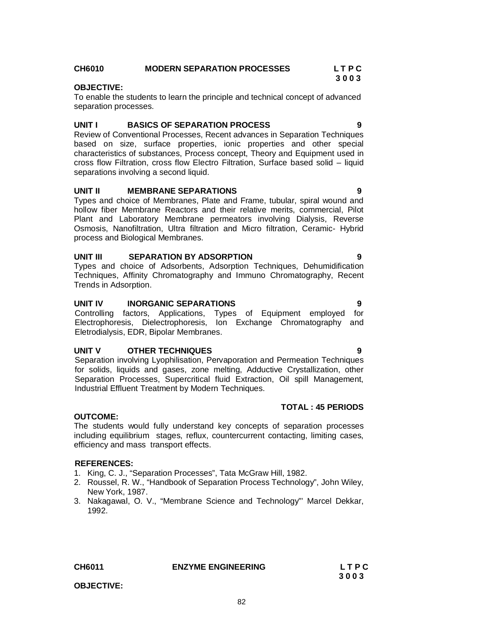**OBJECTIVE:**

#### **CH6010 MODERN SEPARATION PROCESSES L T P C 3 0 0 3 OBJECTIVE:**

To enable the students to learn the principle and technical concept of advanced separation processes.

#### **UNIT I BASICS OF SEPARATION PROCESS 9**

Review of Conventional Processes, Recent advances in Separation Techniques based on size, surface properties, ionic properties and other special characteristics of substances, Process concept, Theory and Equipment used in cross flow Filtration, cross flow Electro Filtration, Surface based solid – liquid separations involving a second liquid.

#### **UNIT II MEMBRANE SEPARATIONS 9**

Types and choice of Membranes, Plate and Frame, tubular, spiral wound and hollow fiber Membrane Reactors and their relative merits, commercial, Pilot Plant and Laboratory Membrane permeators involving Dialysis, Reverse Osmosis, Nanofiltration, Ultra filtration and Micro filtration, Ceramic- Hybrid process and Biological Membranes.

### **UNIT III SEPARATION BY ADSORPTION 9**

Types and choice of Adsorbents, Adsorption Techniques, Dehumidification Techniques, Affinity Chromatography and Immuno Chromatography, Recent Trends in Adsorption.

#### **UNIT IV INORGANIC SEPARATIONS 9**

Controlling factors, Applications, Types of Equipment employed for Electrophoresis, Dielectrophoresis, Ion Exchange Chromatography and Eletrodialysis, EDR, Bipolar Membranes.

#### **UNIT V OTHER TECHNIQUES 9**

Separation involving Lyophilisation, Pervaporation and Permeation Techniques for solids, liquids and gases, zone melting, Adductive Crystallization, other Separation Processes, Supercritical fluid Extraction, Oil spill Management, Industrial Effluent Treatment by Modern Techniques.

#### **OUTCOME:**

The students would fully understand key concepts of separation processes including equilibrium stages, reflux, countercurrent contacting, limiting cases, efficiency and mass transport effects.

### **REFERENCES:**

- 1. King, C. J., "Separation Processes", Tata McGraw Hill, 1982.
- 2. Roussel, R. W., "Handbook of Separation Process Technology", John Wiley, New York, 1987.
- 3. Nakagawal, O. V., "Membrane Science and Technology"' Marcel Dekkar, 1992.

## **TOTAL : 45 PERIODS**

**CH6011 ENZYME ENGINEERING L T P C**

 **3 0 0 3**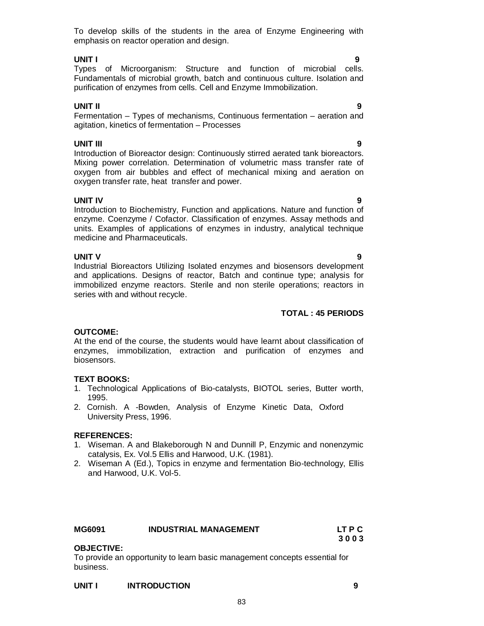To develop skills of the students in the area of Enzyme Engineering with emphasis on reactor operation and design.

## **UNIT I 9**

Types of Microorganism: Structure and function of microbial cells. Fundamentals of microbial growth, batch and continuous culture. Isolation and purification of enzymes from cells. Cell and Enzyme Immobilization.

**UNIT II 9** Fermentation – Types of mechanisms, Continuous fermentation – aeration and agitation, kinetics of fermentation – Processes

**UNIT III 9** Introduction of Bioreactor design: Continuously stirred aerated tank bioreactors. Mixing power correlation. Determination of volumetric mass transfer rate of oxygen from air bubbles and effect of mechanical mixing and aeration on oxygen transfer rate, heat transfer and power.

**UNIT IV 9** Introduction to Biochemistry, Function and applications. Nature and function of enzyme. Coenzyme / Cofactor. Classification of enzymes. Assay methods and units. Examples of applications of enzymes in industry, analytical technique medicine and Pharmaceuticals.

**UNIT V 9** Industrial Bioreactors Utilizing Isolated enzymes and biosensors development and applications. Designs of reactor, Batch and continue type; analysis for immobilized enzyme reactors. Sterile and non sterile operations; reactors in series with and without recycle.

## **TOTAL : 45 PERIODS**

## **OUTCOME:**

At the end of the course, the students would have learnt about classification of enzymes, immobilization, extraction and purification of enzymes and biosensors.

## **TEXT BOOKS:**

- 1. Technological Applications of Bio-catalysts, BIOTOL series, Butter worth, 1995.
- 2. Cornish. A -Bowden, Analysis of Enzyme Kinetic Data, Oxford University Press, 1996.

## **REFERENCES:**

- 1. Wiseman. A and Blakeborough N and Dunnill P, Enzymic and nonenzymic catalysis, Ex. Vol.5 Ellis and Harwood, U.K. (1981).
- 2. Wiseman A (Ed.), Topics in enzyme and fermentation Bio-technology, Ellis and Harwood, U.K. Vol-5.

| <b>MG6091</b> | <b>INDUSTRIAL MANAGEMENT</b> | LT P C |
|---------------|------------------------------|--------|
|               |                              | 3003   |
| AB IPATIVE    |                              |        |

## **OBJECTIVE:**

To provide an opportunity to learn basic management concepts essential for business.

## **UNIT I INTRODUCTION 9**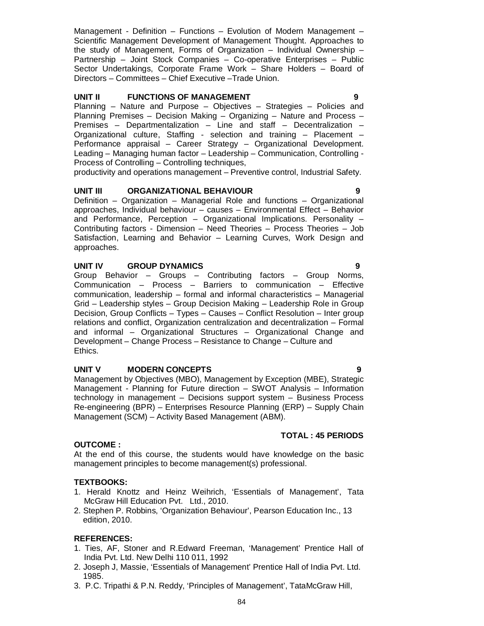Management - Definition – Functions – Evolution of Modern Management – Scientific Management Development of Management Thought. Approaches to the study of Management, Forms of Organization – Individual Ownership – Partnership – Joint Stock Companies – Co-operative Enterprises – Public Sector Undertakings, Corporate Frame Work – Share Holders – Board of Directors – Committees – Chief Executive –Trade Union.

#### **UNIT II FUNCTIONS OF MANAGEMENT 9**

Planning – Nature and Purpose – Objectives – Strategies – Policies and Planning Premises – Decision Making – Organizing – Nature and Process – Premises – Departmentalization – Line and staff – Decentralization – Organizational culture, Staffing - selection and training – Placement – Performance appraisal – Career Strategy – Organizational Development. Leading – Managing human factor – Leadership – Communication, Controlling - Process of Controlling – Controlling techniques,

productivity and operations management – Preventive control, Industrial Safety.

#### **UNIT III ORGANIZATIONAL BEHAVIOUR 9**

Definition – Organization – Managerial Role and functions – Organizational approaches, Individual behaviour – causes – Environmental Effect – Behavior and Performance, Perception – Organizational Implications. Personality – Contributing factors - Dimension – Need Theories – Process Theories – Job Satisfaction, Learning and Behavior – Learning Curves, Work Design and approaches.

#### **UNIT IV GROUP DYNAMICS 9**

Group Behavior – Groups – Contributing factors – Group Norms, Communication – Process – Barriers to communication – Effective communication, leadership – formal and informal characteristics – Managerial Grid – Leadership styles – Group Decision Making – Leadership Role in Group Decision, Group Conflicts – Types – Causes – Conflict Resolution – Inter group relations and conflict, Organization centralization and decentralization – Formal and informal – Organizational Structures – Organizational Change and Development – Change Process – Resistance to Change – Culture and Ethics.

#### **UNIT V MODERN CONCEPTS 9**

Management by Objectives (MBO), Management by Exception (MBE), Strategic Management - Planning for Future direction – SWOT Analysis – Information technology in management – Decisions support system – Business Process Re-engineering (BPR) – Enterprises Resource Planning (ERP) – Supply Chain Management (SCM) – Activity Based Management (ABM).

#### **TOTAL : 45 PERIODS**

#### **OUTCOME :**

At the end of this course, the students would have knowledge on the basic management principles to become management(s) professional.

#### **TEXTBOOKS:**

- 1. Herald Knottz and Heinz Weihrich, 'Essentials of Management', Tata McGraw Hill Education Pvt. Ltd., 2010.
- 2. Stephen P. Robbins, 'Organization Behaviour', Pearson Education Inc., 13 edition, 2010.

#### **REFERENCES:**

- 1. Ties, AF, Stoner and R.Edward Freeman, 'Management' Prentice Hall of India Pvt. Ltd. New Delhi 110 011, 1992
- 2. Joseph J, Massie, 'Essentials of Management' Prentice Hall of India Pvt. Ltd. 1985.
- 3. P.C. Tripathi & P.N. Reddy, 'Principles of Management', TataMcGraw Hill,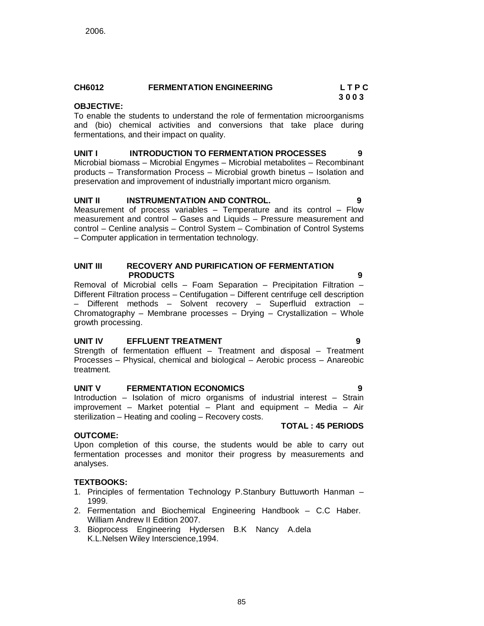#### **CH6012 FERMENTATION ENGINEERING L T P C 3 0 0 3**

## **OBJECTIVE:**

To enable the students to understand the role of fermentation microorganisms and (bio) chemical activities and conversions that take place during fermentations, and their impact on quality.

## **UNIT I INTRODUCTION TO FERMENTATION PROCESSES 9**

Microbial biomass – Microbial Engymes – Microbial metabolites – Recombinant products – Transformation Process – Microbial growth binetus – Isolation and preservation and improvement of industrially important micro organism.

## **UNIT II INSTRUMENTATION AND CONTROL. 9**

Measurement of process variables – Temperature and its control – Flow measurement and control – Gases and Liquids – Pressure measurement and control – Cenline analysis – Control System – Combination of Control Systems – Computer application in termentation technology.

#### **UNIT III RECOVERY AND PURIFICATION OF FERMENTATION PRODUCTS 9**

Removal of Microbial cells – Foam Separation – Precipitation Filtration – Different Filtration process – Centifugation – Different centrifuge cell description – Different methods – Solvent recovery – Superfluid extraction – Chromatography – Membrane processes – Drying – Crystallization – Whole growth processing.

## **UNIT IV EFFLUENT TREATMENT 9**

Strength of fermentation effluent – Treatment and disposal – Treatment Processes – Physical, chemical and biological – Aerobic process – Anareobic treatment.

## **UNIT V FERMENTATION ECONOMICS 9**

Introduction – Isolation of micro organisms of industrial interest – Strain improvement – Market potential – Plant and equipment – Media – Air sterilization – Heating and cooling – Recovery costs.

## **OUTCOME:**

Upon completion of this course, the students would be able to carry out fermentation processes and monitor their progress by measurements and analyses.

## **TEXTBOOKS:**

- 1. Principles of fermentation Technology P.Stanbury Buttuworth Hanman 1999.
- 2. Fermentation and Biochemical Engineering Handbook C.C Haber. William Andrew II Edition 2007.
- 3. Bioprocess Engineering Hydersen B.K Nancy A.dela K.L.Nelsen Wiley Interscience,1994.

**TOTAL : 45 PERIODS**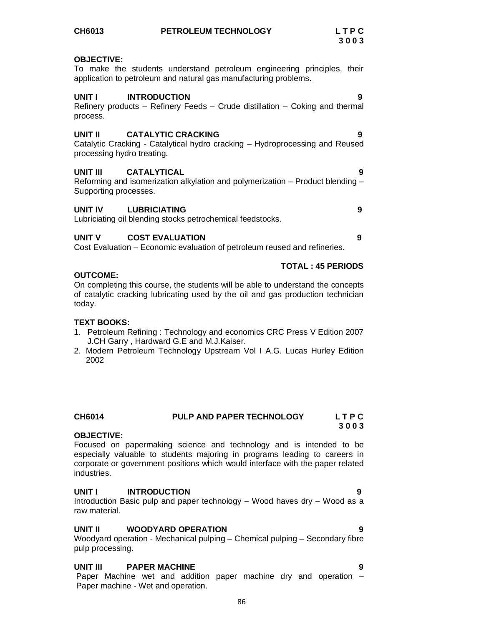| CH6014                           | PULP AND PAPER TECHNOLOGY                                                                                                                                                                                                           | LTPC<br>3003 |
|----------------------------------|-------------------------------------------------------------------------------------------------------------------------------------------------------------------------------------------------------------------------------------|--------------|
| <b>OBJECTIVE:</b><br>industries. | Focused on papermaking science and technology and is intended to be<br>especially valuable to students majoring in programs leading to careers in<br>corporate or government positions which would interface with the paper related |              |
| UNIT I<br>raw material.          | <b>INTRODUCTION</b><br>Introduction Basic pulp and paper technology - Wood haves dry - Wood as a                                                                                                                                    | 9            |
| UNIT II<br>nuln processing       | <b>WOODYARD OPERATION</b><br>Woodyard operation - Mechanical pulping – Chemical pulping – Secondary fibre                                                                                                                           | 9            |

## **UNIT III PAPER MACHINE 9**

Paper Machine wet and addition paper machine dry and operation – Paper machine - Wet and operation.

To make the students understand petroleum engineering principles, their application to petroleum and natural gas manufacturing problems.

**UNIT I INTRODUCTION 9**

| <b>UNIT V</b>                         | <b>COST EVALUATION</b>                                                                                    | 9 |
|---------------------------------------|-----------------------------------------------------------------------------------------------------------|---|
| UNIT IV                               | <b>LUBRICIATING</b><br>Lubriciating oil blending stocks petrochemical feedstocks.                         | 9 |
| UNIT III<br>Supporting processes.     | <b>CATALYTICAL</b><br>Reforming and isomerization alkylation and polymerization – Product blending –      | 9 |
| UNIT II<br>processing hydro treating. | <b>CATALYTIC CRACKING</b><br>Catalytic Cracking - Catalytical hydro cracking – Hydroprocessing and Reused | 9 |
| process.                              | Refinery products – Refinery Feeds – Crude distillation – Coking and thermal                              |   |

Cost Evaluation – Economic evaluation of petroleum reused and refineries.

## **OUTCOME:**

## On completing this course, the students will be able to understand the concepts of catalytic cracking lubricating used by the oil and gas production technician today.

## **TEXT BOOKS:**

- 1. Petroleum Refining : Technology and economics CRC Press V Edition 2007 J.CH Garry , Hardward G.E and M.J.Kaiser.
- 2. Modern Petroleum Technology Upstream Vol I A.G. Lucas Hurley Edition 2002
- **CH6014 PULP AND PAPER TECHNOLOGY L T P C 3 0 0 3**

pulp processing.

**3 0 0 3**

 **TOTAL : 45 PERIODS**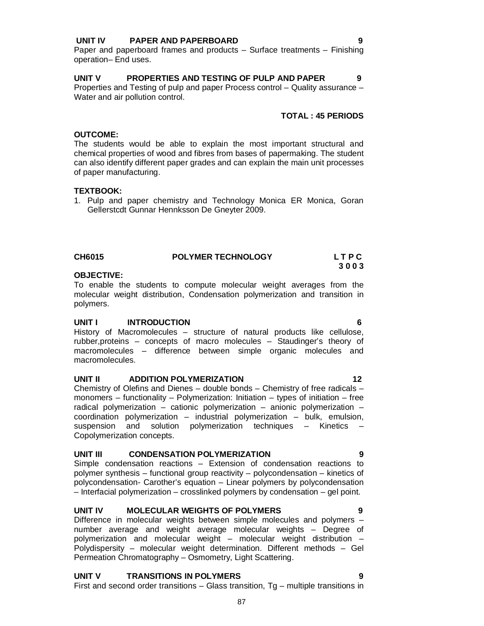## **UNIT IV PAPER AND PAPERBOARD 9**

Paper and paperboard frames and products – Surface treatments – Finishing operation– End uses.

#### **UNIT V PROPERTIES AND TESTING OF PULP AND PAPER 9** Properties and Testing of pulp and paper Process control – Quality assurance – Water and air pollution control.

## **TOTAL : 45 PERIODS**

#### **OUTCOME:**

The students would be able to explain the most important structural and chemical properties of wood and fibres from bases of papermaking. The student can also identify different paper grades and can explain the main unit processes of paper manufacturing.

#### **TEXTBOOK:**

1. Pulp and paper chemistry and Technology Monica ER Monica, Goran Gellerstcdt Gunnar Hennksson De Gneyter 2009.

#### **CH6015 POLYMER TECHNOLOGY L T P C 3 0 0 3**

### **OBJECTIVE:**

To enable the students to compute molecular weight averages from the molecular weight distribution, Condensation polymerization and transition in polymers.

#### **UNIT I INTRODUCTION 6**

History of Macromolecules – structure of natural products like cellulose, rubber,proteins – concepts of macro molecules – Staudinger's theory of macromolecules – difference between simple organic molecules and macromolecules.

#### **UNIT II** ADDITION POLYMERIZATION **12**

Chemistry of Olefins and Dienes – double bonds – Chemistry of free radicals – monomers – functionality – Polymerization: Initiation – types of initiation – free radical polymerization – cationic polymerization – anionic polymerization – coordination polymerization – industrial polymerization – bulk, emulsion, suspension and solution polymerization techniques - Kinetics Copolymerization concepts.

## **UNIT III CONDENSATION POLYMERIZATION 9**

Simple condensation reactions – Extension of condensation reactions to polymer synthesis – functional group reactivity – polycondensation – kinetics of polycondensation- Carother's equation – Linear polymers by polycondensation – Interfacial polymerization – crosslinked polymers by condensation – gel point.

#### **UNIT IV MOLECULAR WEIGHTS OF POLYMERS 9**

Difference in molecular weights between simple molecules and polymers – number average and weight average molecular weights – Degree of polymerization and molecular weight – molecular weight distribution – Polydispersity – molecular weight determination. Different methods – Gel Permeation Chromatography – Osmometry, Light Scattering.

#### 87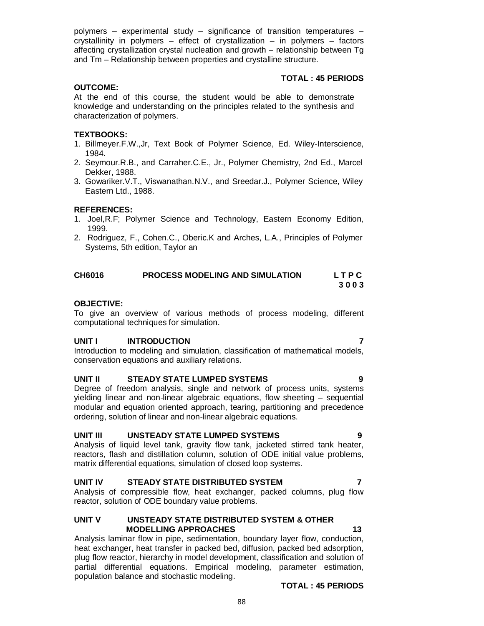polymers – experimental study – significance of transition temperatures – crystallinity in polymers – effect of crystallization – in polymers – factors affecting crystallization crystal nucleation and growth – relationship between Tg and Tm – Relationship between properties and crystalline structure.

### **TOTAL : 45 PERIODS**

#### **OUTCOME:**

At the end of this course, the student would be able to demonstrate knowledge and understanding on the principles related to the synthesis and characterization of polymers.

#### **TEXTBOOKS:**

- 1. Billmeyer.F.W.,Jr, Text Book of Polymer Science, Ed. Wiley-Interscience, 1984.
- 2. Seymour.R.B., and Carraher.C.E., Jr., Polymer Chemistry, 2nd Ed., Marcel Dekker, 1988.
- 3. Gowariker.V.T., Viswanathan.N.V., and Sreedar.J., Polymer Science, Wiley Eastern Ltd., 1988.

#### **REFERENCES:**

- 1. Joel,R.F; Polymer Science and Technology, Eastern Economy Edition, 1999.
- 2. Rodriguez, F., Cohen.C., Oberic.K and Arches, L.A., Principles of Polymer Systems, 5th edition, Taylor an

| <b>CH6016</b> | PROCESS MODELING AND SIMULATION | LTPC |
|---------------|---------------------------------|------|
|               |                                 | 3003 |

#### **OBJECTIVE:**

To give an overview of various methods of process modeling, different computational techniques for simulation.

#### **UNIT I INTRODUCTION 7**

Introduction to modeling and simulation, classification of mathematical models, conservation equations and auxiliary relations.

#### **UNIT II STEADY STATE LUMPED SYSTEMS 9**

Degree of freedom analysis, single and network of process units, systems yielding linear and non-linear algebraic equations, flow sheeting – sequential modular and equation oriented approach, tearing, partitioning and precedence ordering, solution of linear and non-linear algebraic equations.

#### **UNIT III UNSTEADY STATE LUMPED SYSTEMS 9**

Analysis of liquid level tank, gravity flow tank, jacketed stirred tank heater, reactors, flash and distillation column, solution of ODE initial value problems, matrix differential equations, simulation of closed loop systems.

#### **UNIT IV STEADY STATE DISTRIBUTED SYSTEM 7**

Analysis of compressible flow, heat exchanger, packed columns, plug flow reactor, solution of ODE boundary value problems.

#### **UNIT V UNSTEADY STATE DISTRIBUTED SYSTEM & OTHER MODELLING APPROACHES 13**

Analysis laminar flow in pipe, sedimentation, boundary layer flow, conduction, heat exchanger, heat transfer in packed bed, diffusion, packed bed adsorption, plug flow reactor, hierarchy in model development, classification and solution of partial differential equations. Empirical modeling, parameter estimation, population balance and stochastic modeling.

#### **TOTAL : 45 PERIODS**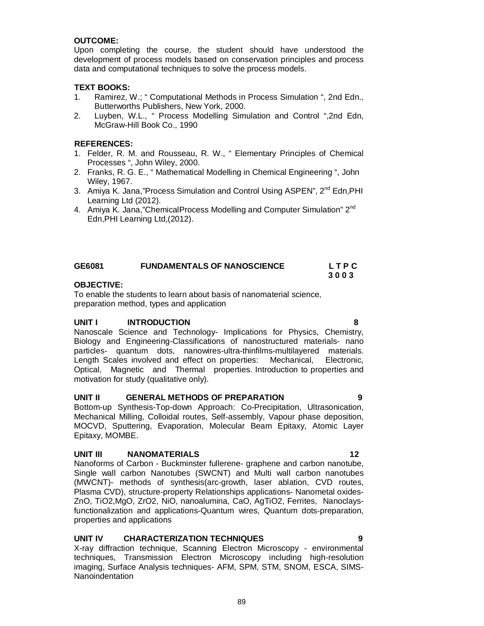## **OUTCOME:**

Upon completing the course, the student should have understood the development of process models based on conservation principles and process data and computational techniques to solve the process models.

## **TEXT BOOKS:**

- 1. Ramirez, W.; " Computational Methods in Process Simulation ", 2nd Edn., Butterworths Publishers, New York, 2000.
- 2. Luyben, W.L., " Process Modelling Simulation and Control ",2nd Edn, McGraw-Hill Book Co., 1990

## **REFERENCES:**

- 1. Felder, R. M. and Rousseau, R. W., " Elementary Principles of Chemical Processes ", John Wiley, 2000.
- 2. Franks, R. G. E., " Mathematical Modelling in Chemical Engineering ", John Wiley, 1967.
- 3. Amiya K. Jana,"Process Simulation and Control Using ASPEN", 2<sup>nd</sup> Edn, PHI Learning Ltd (2012).
- 4. Amiya K. Jana,"ChemicalProcess Modelling and Computer Simulation" 2<sup>nd</sup> Edn,PHI Learning Ltd,(2012).

| GE6081 | <b>FUNDAMENTALS OF NANOSCIENCE</b> | LTPC |
|--------|------------------------------------|------|
|        |                                    | 3003 |

### **OBJECTIVE:**

To enable the students to learn about basis of nanomaterial science, preparation method, types and application

## **UNIT I INTRODUCTION 8**

Nanoscale Science and Technology- Implications for Physics, Chemistry, Biology and Engineering-Classifications of nanostructured materials- nano particles- quantum dots, nanowires-ultra-thinfilms-multilayered materials. Length Scales involved and effect on properties: Mechanical, Electronic, Optical, Magnetic and Thermal properties. Introduction to properties and motivation for study (qualitative only).

## **UNIT II GENERAL METHODS OF PREPARATION 9**

Bottom-up Synthesis-Top-down Approach: Co-Precipitation, Ultrasonication, Mechanical Milling, Colloidal routes, Self-assembly, Vapour phase deposition, MOCVD, Sputtering, Evaporation, Molecular Beam Epitaxy, Atomic Layer Epitaxy, MOMBE.

## **UNIT III NANOMATERIALS 12**

Nanoforms of Carbon - Buckminster fullerene- graphene and carbon nanotube, Single wall carbon Nanotubes (SWCNT) and Multi wall carbon nanotubes (MWCNT)- methods of synthesis(arc-growth, laser ablation, CVD routes, Plasma CVD), structure-property Relationships applications- Nanometal oxides-ZnO, TiO2,MgO, ZrO2, NiO, nanoalumina, CaO, AgTiO2, Ferrites, Nanoclaysfunctionalization and applications-Quantum wires, Quantum dots-preparation, properties and applications

## **UNIT IV CHARACTERIZATION TECHNIQUES 9**

X-ray diffraction technique, Scanning Electron Microscopy - environmental techniques, Transmission Electron Microscopy including high-resolution imaging, Surface Analysis techniques- AFM, SPM, STM, SNOM, ESCA, SIMS-Nanoindentation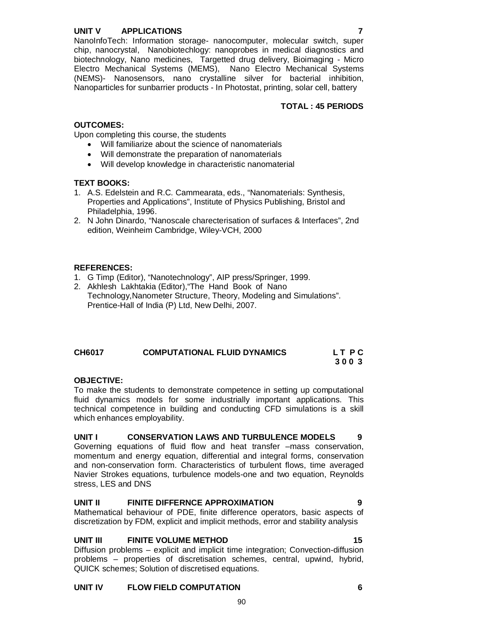## **UNIT V APPLICATIONS 7**

## **TOTAL : 45 PERIODS**

## **OUTCOMES:**

Upon completing this course, the students

- Will familiarize about the science of nanomaterials
- Will demonstrate the preparation of nanomaterials
- Will develop knowledge in characteristic nanomaterial

## **TEXT BOOKS:**

- 1. A.S. Edelstein and R.C. Cammearata, eds., "Nanomaterials: Synthesis, Properties and Applications", Institute of Physics Publishing, Bristol and Philadelphia, 1996.
- 2. N John Dinardo, "Nanoscale charecterisation of surfaces & Interfaces", 2nd edition, Weinheim Cambridge, Wiley-VCH, 2000

## **REFERENCES:**

- 1. G Timp (Editor), "Nanotechnology", AIP press/Springer, 1999.
- 2. Akhlesh Lakhtakia (Editor),"The Hand Book of Nano Technology,Nanometer Structure, Theory, Modeling and Simulations". Prentice-Hall of India (P) Ltd, New Delhi, 2007.

## CH6017 COMPUTATIONAL FLUID DYNAMICS LT PC  **3 0 0 3**

## **OBJECTIVE:**

To make the students to demonstrate competence in setting up computational fluid dynamics models for some industrially important applications. This technical competence in building and conducting CFD simulations is a skill which enhances employability.

## **UNIT I CONSERVATION LAWS AND TURBULENCE MODELS 9**

Governing equations of fluid flow and heat transfer –mass conservation, momentum and energy equation, differential and integral forms, conservation and non-conservation form. Characteristics of turbulent flows, time averaged Navier Strokes equations, turbulence models-one and two equation, Reynolds stress, LES and DNS

## **UNIT II FINITE DIFFERNCE APPROXIMATION 9**

Mathematical behaviour of PDE, finite difference operators, basic aspects of discretization by FDM, explicit and implicit methods, error and stability analysis

## **UNIT III FINITE VOLUME METHOD 15**

Diffusion problems – explicit and implicit time integration; Convection-diffusion problems – properties of discretisation schemes, central, upwind, hybrid, QUICK schemes; Solution of discretised equations.

## **UNIT IV FLOW FIELD COMPUTATION 6**

90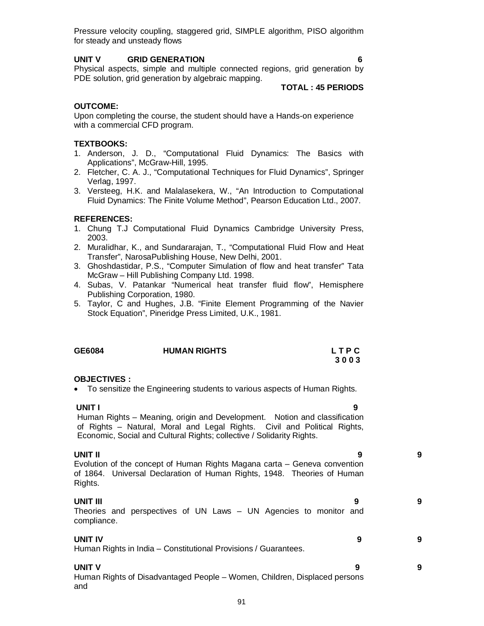Pressure velocity coupling, staggered grid, SIMPLE algorithm, PISO algorithm for steady and unsteady flows

### **UNIT V GRID GENERATION 6**

Physical aspects, simple and multiple connected regions, grid generation by PDE solution, grid generation by algebraic mapping.

#### **TOTAL : 45 PERIODS**

### **OUTCOME:**

Upon completing the course, the student should have a Hands-on experience with a commercial CFD program.

## **TEXTBOOKS:**

- 1. Anderson, J. D., "Computational Fluid Dynamics: The Basics with Applications", McGraw-Hill, 1995.
- 2. Fletcher, C. A. J., "Computational Techniques for Fluid Dynamics", Springer Verlag, 1997.
- 3. Versteeg, H.K. and Malalasekera, W., "An Introduction to Computational Fluid Dynamics: The Finite Volume Method", Pearson Education Ltd., 2007.

#### **REFERENCES:**

- 1. Chung T.J Computational Fluid Dynamics Cambridge University Press, 2003.
- 2. Muralidhar, K., and Sundararajan, T., "Computational Fluid Flow and Heat Transfer", NarosaPublishing House, New Delhi, 2001.
- 3. Ghoshdastidar, P.S., "Computer Simulation of flow and heat transfer" Tata McGraw – Hill Publishing Company Ltd. 1998.
- 4. Subas, V. Patankar "Numerical heat transfer fluid flow", Hemisphere Publishing Corporation, 1980.
- 5. Taylor, C and Hughes, J.B. "Finite Element Programming of the Navier Stock Equation", Pineridge Press Limited, U.K., 1981.

| GE6084 | <b>HUMAN RIGHTS</b> | LTPC |
|--------|---------------------|------|
|        |                     | 3003 |

#### **OBJECTIVES :**

To sensitize the Engineering students to various aspects of Human Rights.

| UNIT I<br>9<br>Human Rights - Meaning, origin and Development. Notion and classification<br>of Rights – Natural, Moral and Legal Rights. Civil and Political Rights,<br>Economic, Social and Cultural Rights; collective / Solidarity Rights. |   |
|-----------------------------------------------------------------------------------------------------------------------------------------------------------------------------------------------------------------------------------------------|---|
| UNIT II<br>9<br>Evolution of the concept of Human Rights Magana carta – Geneva convention<br>of 1864. Universal Declaration of Human Rights, 1948. Theories of Human<br>Rights.                                                               | 9 |
| UNIT III<br>9<br>Theories and perspectives of UN Laws - UN Agencies to monitor and<br>compliance.                                                                                                                                             | 9 |
| <b>UNIT IV</b><br>9<br>Human Rights in India - Constitutional Provisions / Guarantees.                                                                                                                                                        | 9 |
| <b>UNIT V</b><br>9<br>Human Rights of Disadvantaged People - Women, Children, Displaced persons<br>and                                                                                                                                        | 9 |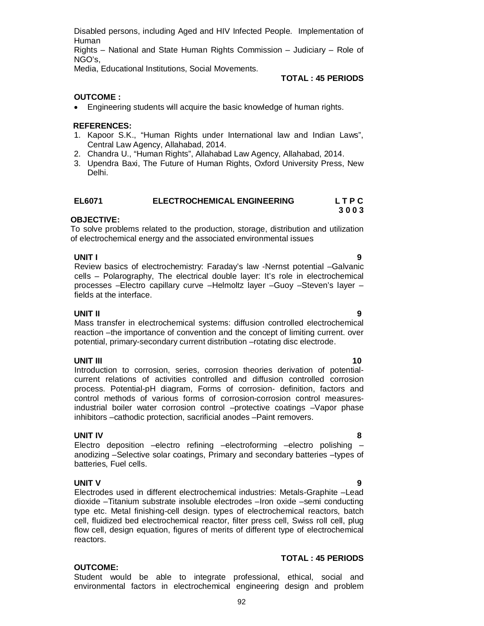reactors. **TOTAL : 45 PERIODS OUTCOME:**  Student would be able to integrate professional, ethical, social and

environmental factors in electrochemical engineering design and problem

92

Disabled persons, including Aged and HIV Infected People. Implementation of Human

Rights – National and State Human Rights Commission – Judiciary – Role of NGO's,

Media, Educational Institutions, Social Movements.

## **TOTAL : 45 PERIODS**

## **OUTCOME :**

Engineering students will acquire the basic knowledge of human rights.

## **REFERENCES:**

- 1. Kapoor S.K., "Human Rights under International law and Indian Laws", Central Law Agency, Allahabad, 2014.
- 2. Chandra U., "Human Rights", Allahabad Law Agency, Allahabad, 2014.
- 3. Upendra Baxi, The Future of Human Rights, Oxford University Press, New Delhi.

| <b>EL6071</b> | <b>ELECTROCHEMICAL ENGINEERING</b> | <b>LTPC</b> |
|---------------|------------------------------------|-------------|
|               |                                    | 3003        |

## **OBJECTIVE:**

To solve problems related to the production, storage, distribution and utilization of electrochemical energy and the associated environmental issues

**UNIT I 9** Review basics of electrochemistry: Faraday's law -Nernst potential –Galvanic cells – Polarography, The electrical double layer: It's role in electrochemical processes –Electro capillary curve –Helmoltz layer –Guoy –Steven's layer – fields at the interface.

**UNIT II 9** Mass transfer in electrochemical systems: diffusion controlled electrochemical reaction –the importance of convention and the concept of limiting current. over potential, primary-secondary current distribution –rotating disc electrode.

## **UNIT III 10**

Introduction to corrosion, series, corrosion theories derivation of potentialcurrent relations of activities controlled and diffusion controlled corrosion process. Potential-pH diagram, Forms of corrosion- definition, factors and control methods of various forms of corrosion-corrosion control measuresindustrial boiler water corrosion control –protective coatings –Vapor phase inhibitors –cathodic protection, sacrificial anodes –Paint removers.

## **UNIT IV 8**

Electro deposition –electro refining –electroforming –electro polishing – anodizing –Selective solar coatings, Primary and secondary batteries –types of batteries, Fuel cells.

## **UNIT V 9**

Electrodes used in different electrochemical industries: Metals-Graphite –Lead dioxide –Titanium substrate insoluble electrodes –Iron oxide –semi conducting type etc. Metal finishing-cell design. types of electrochemical reactors, batch cell, fluidized bed electrochemical reactor, filter press cell, Swiss roll cell, plug flow cell, design equation, figures of merits of different type of electrochemical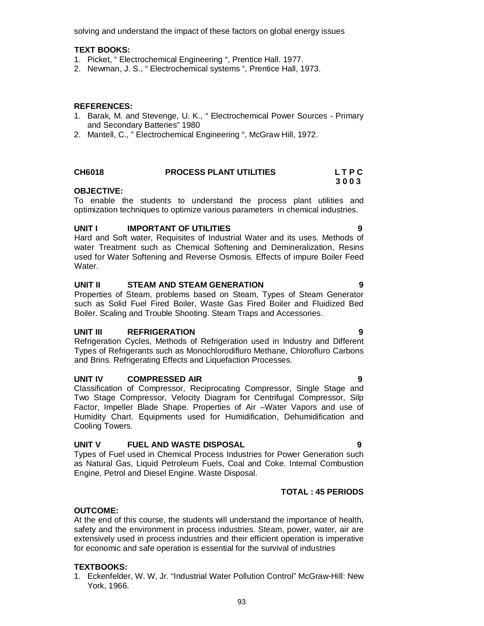solving and understand the impact of these factors on global energy issues

## **TEXT BOOKS:**

- 1. Picket, " Electrochemical Engineering ", Prentice Hall. 1977.
- 2. Newman, J. S., " Electrochemical systems ", Prentice Hall, 1973.

## **REFERENCES:**

- 1. Barak, M. and Stevenge, U. K., " Electrochemical Power Sources Primary and Secondary Batteries" 1980
- 2. Mantell, C., " Electrochemical Engineering ", McGraw Hill, 1972.

## **CH6018 PROCESS PLANT UTILITIES L T P C**

#### **3 0 0 3 OBJECTIVE:**

To enable the students to understand the process plant utilities and optimization techniques to optimize various parameters in chemical industries.

## **UNIT I IMPORTANT OF UTILITIES 9**

Hard and Soft water, Requisites of Industrial Water and its uses. Methods of water Treatment such as Chemical Softening and Demineralization, Resins used for Water Softening and Reverse Osmosis. Effects of impure Boiler Feed Water.

### **UNIT II STEAM AND STEAM GENERATION 9**

Properties of Steam, problems based on Steam, Types of Steam Generator such as Solid Fuel Fired Boiler, Waste Gas Fired Boiler and Fluidized Bed Boiler. Scaling and Trouble Shooting. Steam Traps and Accessories.

## **UNIT III REFRIGERATION 9**

Refrigeration Cycles, Methods of Refrigeration used in Industry and Different Types of Refrigerants such as Monochlorodifluro Methane, Chlorofluro Carbons and Brins. Refrigerating Effects and Liquefaction Processes.

## **UNIT IV COMPRESSED AIR 9**

Classification of Compressor, Reciprocating Compressor, Single Stage and Two Stage Compressor, Velocity Diagram for Centrifugal Compressor, Silp Factor, Impeller Blade Shape. Properties of Air –Water Vapors and use of Humidity Chart. Equipments used for Humidification, Dehumidification and Cooling Towers.

#### **UNIT V FUEL AND WASTE DISPOSAL 9**

Types of Fuel used in Chemical Process Industries for Power Generation such as Natural Gas, Liquid Petroleum Fuels, Coal and Coke. Internal Combustion Engine, Petrol and Diesel Engine. Waste Disposal.

## **TOTAL : 45 PERIODS**

#### **OUTCOME:**

At the end of this course, the students will understand the importance of health, safety and the environment in process industries. Steam, power, water, air are extensively used in process industries and their efficient operation is imperative for economic and safe operation is essential for the survival of industries

## **TEXTBOOKS:**

1. Eckenfelder, W. W, Jr. "Industrial Water Pollution Control" McGraw-Hill: New York, 1966.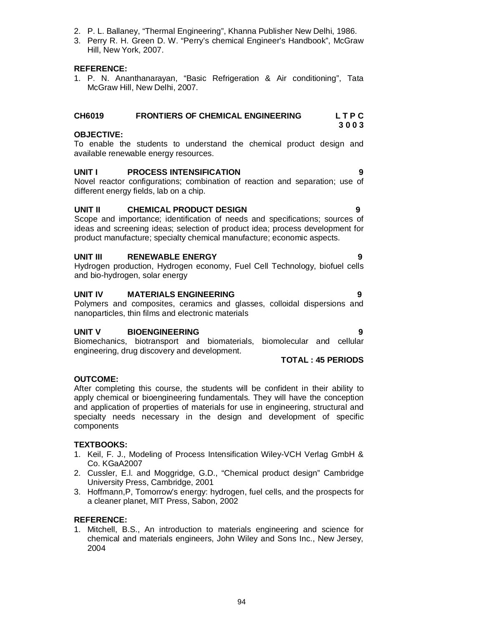94

- 2. P. L. Ballaney, "Thermal Engineering", Khanna Publisher New Delhi, 1986.
- 3. Perry R. H. Green D. W. "Perry's chemical Engineer's Handbook", McGraw Hill, New York, 2007.

### **REFERENCE:**

1. P. N. Ananthanarayan, "Basic Refrigeration & Air conditioning", Tata McGraw Hill, New Delhi, 2007.

## **CH6019 FRONTIERS OF CHEMICAL ENGINEERING L T P C**

## **OBJECTIVE:**

To enable the students to understand the chemical product design and available renewable energy resources.

## **UNIT I PROCESS INTENSIFICATION 9**

Novel reactor configurations; combination of reaction and separation; use of different energy fields, lab on a chip.

## **UNIT II CHEMICAL PRODUCT DESIGN 9**

Scope and importance; identification of needs and specifications; sources of ideas and screening ideas; selection of product idea; process development for product manufacture; specialty chemical manufacture; economic aspects.

## **UNIT III RENEWABLE ENERGY 9**

Hydrogen production, Hydrogen economy, Fuel Cell Technology, biofuel cells and bio-hydrogen, solar energy

## **UNIT IV MATERIALS ENGINEERING 9**

Polymers and composites, ceramics and glasses, colloidal dispersions and nanoparticles, thin films and electronic materials

## **UNIT V BIOENGINEERING 9**

Biomechanics, biotransport and biomaterials, biomolecular and cellular engineering, drug discovery and development. **TOTAL : 45 PERIODS**

## **OUTCOME:**

After completing this course, the students will be confident in their ability to apply chemical or bioengineering fundamentals. They will have the conception and application of properties of materials for use in engineering, structural and specialty needs necessary in the design and development of specific components

## **TEXTBOOKS:**

- 1. Keil, F. J., Modeling of Process Intensification Wiley-VCH Verlag GmbH & Co. KGaA2007
- 2. Cussler, E.l. and Moggridge, G.D., "Chemical product design" Cambridge University Press, Cambridge, 2001
- 3. Hoffmann,P, Tomorrow's energy: hydrogen, fuel cells, and the prospects for a cleaner planet, MIT Press, Sabon, 2002

## **REFERENCE:**

1. Mitchell, B.S., An introduction to materials engineering and science for chemical and materials engineers, John Wiley and Sons Inc., New Jersey, 2004

**3 0 0 3**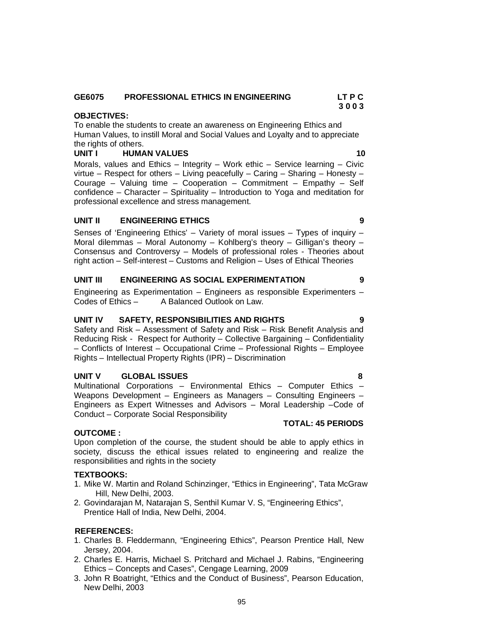#### **GE6075 PROFESSIONAL ETHICS IN ENGINEERING LT P C 3 0 0 3**

### **OBJECTIVES:**

To enable the students to create an awareness on Engineering Ethics and Human Values, to instill Moral and Social Values and Loyalty and to appreciate the rights of others.

### **UNIT I** HUMAN VALUES 10

Morals, values and Ethics – Integrity – Work ethic – Service learning – Civic virtue – Respect for others – Living peacefully – Caring – Sharing – Honesty – Courage – Valuing time – Cooperation – Commitment – Empathy – Self confidence – Character – Spirituality – Introduction to Yoga and meditation for professional excellence and stress management.

### **UNIT II ENGINEERING ETHICS 9**

Senses of 'Engineering Ethics' – Variety of moral issues – Types of inquiry – Moral dilemmas – Moral Autonomy – Kohlberg's theory – Gilligan's theory – Consensus and Controversy – Models of professional roles - Theories about right action – Self-interest – Customs and Religion – Uses of Ethical Theories

#### **UNIT III ENGINEERING AS SOCIAL EXPERIMENTATION 9**

Engineering as Experimentation – Engineers as responsible Experimenters –<br>Codes of Ethics – A Balanced Outlook on Law. A Balanced Outlook on Law.

#### **UNIT IV SAFETY, RESPONSIBILITIES AND RIGHTS 9**

Safety and Risk – Assessment of Safety and Risk – Risk Benefit Analysis and Reducing Risk - Respect for Authority – Collective Bargaining – Confidentiality – Conflicts of Interest – Occupational Crime – Professional Rights – Employee Rights – Intellectual Property Rights (IPR) – Discrimination

#### **UNIT V GLOBAL ISSUES 8**

Multinational Corporations – Environmental Ethics – Computer Ethics – Weapons Development – Engineers as Managers – Consulting Engineers – Engineers as Expert Witnesses and Advisors – Moral Leadership –Code of Conduct – Corporate Social Responsibility

#### **OUTCOME :**

Upon completion of the course, the student should be able to apply ethics in society, discuss the ethical issues related to engineering and realize the responsibilities and rights in the society

#### **TEXTBOOKS:**

- 1. Mike W. Martin and Roland Schinzinger, "Ethics in Engineering", Tata McGraw Hill, New Delhi, 2003.
- 2. Govindarajan M, Natarajan S, Senthil Kumar V. S, "Engineering Ethics", Prentice Hall of India, New Delhi, 2004.

### **REFERENCES:**

- 1. Charles B. Fleddermann, "Engineering Ethics", Pearson Prentice Hall, New Jersey, 2004.
- 2. Charles E. Harris, Michael S. Pritchard and Michael J. Rabins, "Engineering Ethics – Concepts and Cases", Cengage Learning, 2009
- 3. John R Boatright, "Ethics and the Conduct of Business", Pearson Education, New Delhi, 2003

## **TOTAL: 45 PERIODS**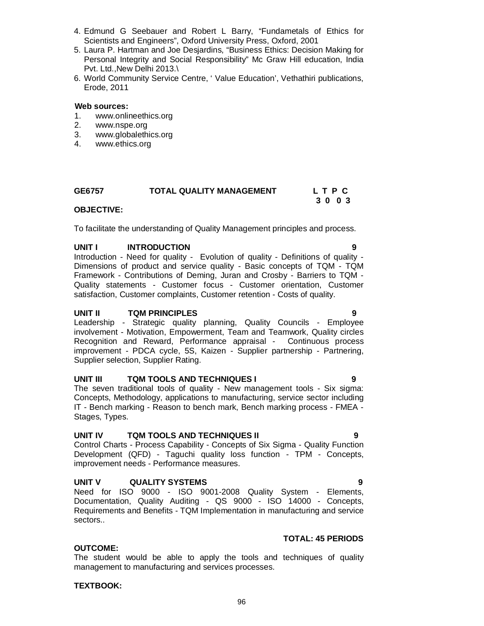96

- 4. Edmund G Seebauer and Robert L Barry, "Fundametals of Ethics for Scientists and Engineers", Oxford University Press, Oxford, 2001
- 5. Laura P. Hartman and Joe Desjardins, "Business Ethics: Decision Making for Personal Integrity and Social Responsibility" Mc Graw Hill education, India Pvt. Ltd., New Delhi 2013.\
- 6. World Community Service Centre, ' Value Education', Vethathiri publications, Erode, 2011

#### **Web sources:**

- 1. www.onlineethics.org
- 2. www.nspe.org
- 3. www.globalethics.org
- 4. www.ethics.org

| GE6757 | <b>TOTAL QUALITY MANAGEMENT</b> | LTPC |
|--------|---------------------------------|------|
|        |                                 | 3003 |

### **OBJECTIVE:**

To facilitate the understanding of Quality Management principles and process.

## UNIT **INTRODUCTION**

Introduction - Need for quality - Evolution of quality - Definitions of quality - Dimensions of product and service quality - Basic concepts of TQM - TQM Framework - Contributions of Deming, Juran and Crosby - Barriers to TQM - Quality statements - Customer focus - Customer orientation, Customer satisfaction, Customer complaints, Customer retention - Costs of quality.

#### **UNIT II TQM PRINCIPLES 9**

Leadership - Strategic quality planning, Quality Councils - Employee involvement - Motivation, Empowerment, Team and Teamwork, Quality circles Recognition and Reward, Performance appraisal - Continuous process improvement - PDCA cycle, 5S, Kaizen - Supplier partnership - Partnering, Supplier selection, Supplier Rating.

## **UNIT III TQM TOOLS AND TECHNIQUES I 9**

The seven traditional tools of quality - New management tools - Six sigma: Concepts, Methodology, applications to manufacturing, service sector including IT - Bench marking - Reason to bench mark, Bench marking process - FMEA - Stages, Types.

### **UNIT IV TQM TOOLS AND TECHNIQUES II 9**

Control Charts - Process Capability - Concepts of Six Sigma - Quality Function Development (QFD) - Taguchi quality loss function - TPM - Concepts, improvement needs - Performance measures.

## **UNIT V QUALITY SYSTEMS 9**

Need for ISO 9000 - ISO 9001-2008 Quality System - Elements, Documentation, Quality Auditing - QS 9000 - ISO 14000 - Concepts, Requirements and Benefits - TQM Implementation in manufacturing and service sectors..

## **TOTAL: 45 PERIODS**

## **OUTCOME:**

The student would be able to apply the tools and techniques of quality management to manufacturing and services processes.

## **TEXTBOOK:**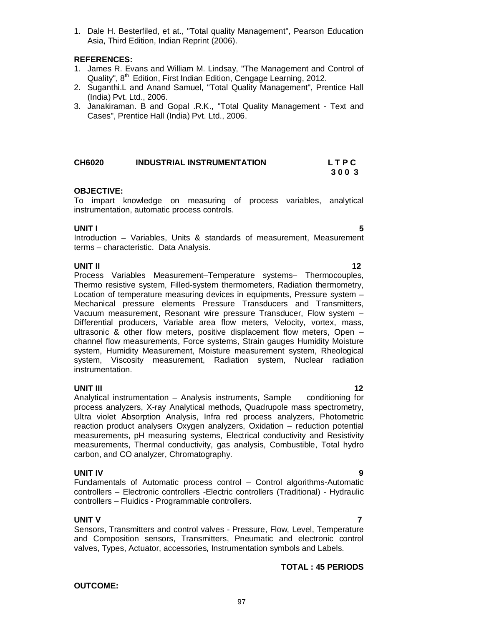1. Dale H. Besterfiled, et at., "Total quality Management", Pearson Education Asia, Third Edition, Indian Reprint (2006).

## **REFERENCES:**

- 1. James R. Evans and William M. Lindsay, "The Management and Control of Quality", 8<sup>th</sup> Edition, First Indian Edition, Cengage Learning, 2012.
- 2. Suganthi.L and Anand Samuel, "Total Quality Management", Prentice Hall (India) Pvt. Ltd., 2006.
- 3. Janakiraman. B and Gopal .R.K., "Total Quality Management Text and Cases", Prentice Hall (India) Pvt. Ltd., 2006.

| <b>CH6020</b> | <b>INDUSTRIAL INSTRUMENTATION</b> | <b>LTPC</b> |
|---------------|-----------------------------------|-------------|
|               |                                   | 3003        |

## **OBJECTIVE:**

To impart knowledge on measuring of process variables, analytical instrumentation, automatic process controls.

## **UNIT I 5**

Introduction – Variables, Units & standards of measurement, Measurement terms – characteristic. Data Analysis.

**UNIT II 12** Process Variables Measurement–Temperature systems– Thermocouples, Thermo resistive system, Filled-system thermometers, Radiation thermometry, Location of temperature measuring devices in equipments, Pressure system – Mechanical pressure elements Pressure Transducers and Transmitters, Vacuum measurement, Resonant wire pressure Transducer, Flow system – Differential producers, Variable area flow meters, Velocity, vortex, mass, ultrasonic & other flow meters, positive displacement flow meters, Open – channel flow measurements, Force systems, Strain gauges Humidity Moisture system, Humidity Measurement, Moisture measurement system, Rheological system, Viscosity measurement, Radiation system, Nuclear radiation instrumentation.

## **UNIT III 12**

Analytical instrumentation – Analysis instruments, Sample conditioning for process analyzers, X-ray Analytical methods, Quadrupole mass spectrometry, Ultra violet Absorption Analysis, Infra red process analyzers, Photometric reaction product analysers Oxygen analyzers, Oxidation – reduction potential measurements, pH measuring systems, Electrical conductivity and Resistivity measurements, Thermal conductivity, gas analysis, Combustible, Total hydro carbon, and CO analyzer, Chromatography.

## **UNIT IV 9**

Fundamentals of Automatic process control – Control algorithms-Automatic controllers – Electronic controllers -Electric controllers (Traditional) - Hydraulic controllers – Fluidics - Programmable controllers.

**OUTCOME:** 

**UNIT V 7** Sensors, Transmitters and control valves - Pressure, Flow, Level, Temperature and Composition sensors, Transmitters, Pneumatic and electronic control valves, Types, Actuator, accessories, Instrumentation symbols and Labels.

## **TOTAL : 45 PERIODS**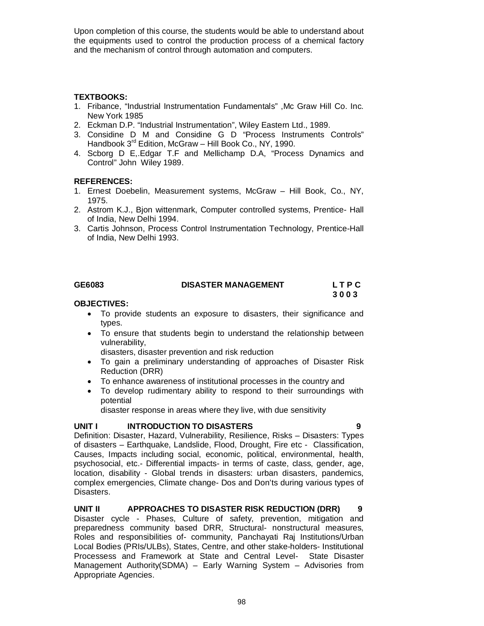Upon completion of this course, the students would be able to understand about the equipments used to control the production process of a chemical factory and the mechanism of control through automation and computers.

## **TEXTBOOKS:**

- 1. Fribance, "Industrial Instrumentation Fundamentals" ,Mc Graw Hill Co. Inc. New York 1985
- 2. Eckman D.P. "Industrial Instrumentation", Wiley Eastern Ltd., 1989.
- 3. Considine D M and Considine G D "Process Instruments Controls" Handbook 3<sup>rd</sup> Edition, McGraw - Hill Book Co., NY, 1990.
- 4. Scborg D E,.Edgar T.F and Mellichamp D.A, "Process Dynamics and Control" John Wiley 1989.

## **REFERENCES:**

- 1. Ernest Doebelin, Measurement systems, McGraw Hill Book, Co., NY, 1975.
- 2. Astrom K.J., Bjon wittenmark, Computer controlled systems, Prentice- Hall of India, New Delhi 1994.
- 3. Cartis Johnson, Process Control Instrumentation Technology, Prentice-Hall of India, New Delhi 1993.

## **GE6083 DISASTER MANAGEMENT L T P C**

 **3 0 0 3** 

## **OBJECTIVES:**

- To provide students an exposure to disasters, their significance and types.
- To ensure that students begin to understand the relationship between vulnerability,

disasters, disaster prevention and risk reduction

- To gain a preliminary understanding of approaches of Disaster Risk Reduction (DRR)
- To enhance awareness of institutional processes in the country and
- To develop rudimentary ability to respond to their surroundings with potential

disaster response in areas where they live, with due sensitivity

## **UNIT I INTRODUCTION TO DISASTERS 9**

Definition: Disaster, Hazard, Vulnerability, Resilience, Risks – Disasters: Types of disasters – Earthquake, Landslide, Flood, Drought, Fire etc - Classification, Causes, Impacts including social, economic, political, environmental, health, psychosocial, etc.- Differential impacts- in terms of caste, class, gender, age, location, disability - Global trends in disasters: urban disasters, pandemics, complex emergencies, Climate change- Dos and Don'ts during various types of Disasters.

## **UNIT II APPROACHES TO DISASTER RISK REDUCTION (DRR) 9**

Disaster cycle - Phases, Culture of safety, prevention, mitigation and preparedness community based DRR, Structural- nonstructural measures, Roles and responsibilities of- community, Panchayati Raj Institutions/Urban Local Bodies (PRIs/ULBs), States, Centre, and other stake-holders- Institutional Processess and Framework at State and Central Level- State Disaster Management Authority(SDMA) – Early Warning System – Advisories from Appropriate Agencies.